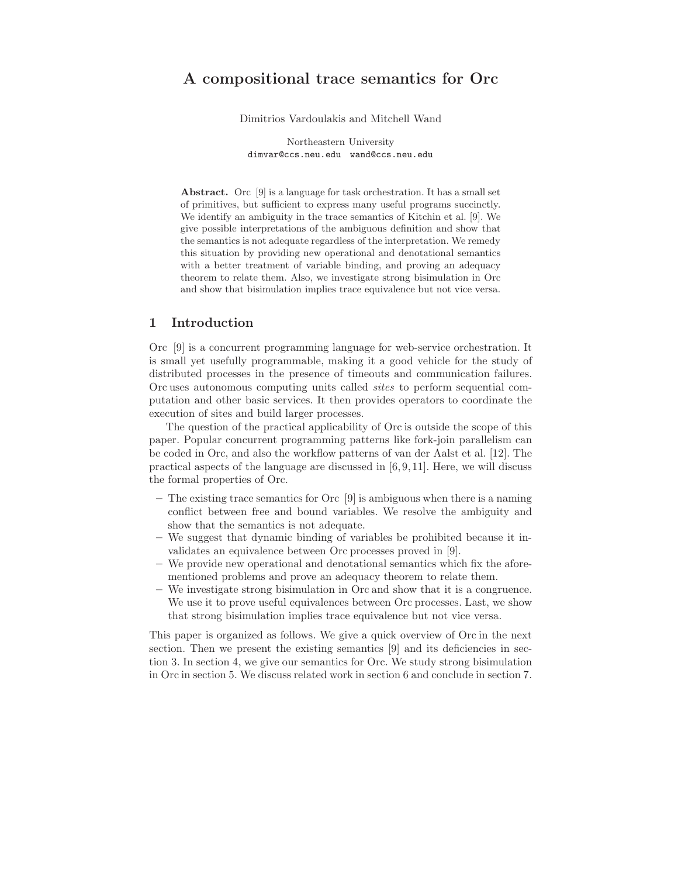# A compositional trace semantics for Orc

Dimitrios Vardoulakis and Mitchell Wand

Northeastern University dimvar@ccs.neu.edu wand@ccs.neu.edu

Abstract. Orc [9] is a language for task orchestration. It has a small set of primitives, but sufficient to express many useful programs succinctly. We identify an ambiguity in the trace semantics of Kitchin et al. [9]. We give possible interpretations of the ambiguous definition and show that the semantics is not adequate regardless of the interpretation. We remedy this situation by providing new operational and denotational semantics with a better treatment of variable binding, and proving an adequacy theorem to relate them. Also, we investigate strong bisimulation in Orc and show that bisimulation implies trace equivalence but not vice versa.

# 1 Introduction

Orc [9] is a concurrent programming language for web-service orchestration. It is small yet usefully programmable, making it a good vehicle for the study of distributed processes in the presence of timeouts and communication failures. Orc uses autonomous computing units called sites to perform sequential computation and other basic services. It then provides operators to coordinate the execution of sites and build larger processes.

The question of the practical applicability of Orc is outside the scope of this paper. Popular concurrent programming patterns like fork-join parallelism can be coded in Orc, and also the workflow patterns of van der Aalst et al. [12]. The practical aspects of the language are discussed in  $[6, 9, 11]$ . Here, we will discuss the formal properties of Orc.

- The existing trace semantics for Orc [9] is ambiguous when there is a naming conflict between free and bound variables. We resolve the ambiguity and show that the semantics is not adequate.
- We suggest that dynamic binding of variables be prohibited because it invalidates an equivalence between Orc processes proved in [9].
- We provide new operational and denotational semantics which fix the aforementioned problems and prove an adequacy theorem to relate them.
- We investigate strong bisimulation in Orc and show that it is a congruence. We use it to prove useful equivalences between Orc processes. Last, we show that strong bisimulation implies trace equivalence but not vice versa.

This paper is organized as follows. We give a quick overview of Orc in the next section. Then we present the existing semantics [9] and its deficiencies in section 3. In section 4, we give our semantics for Orc. We study strong bisimulation in Orc in section 5. We discuss related work in section 6 and conclude in section 7.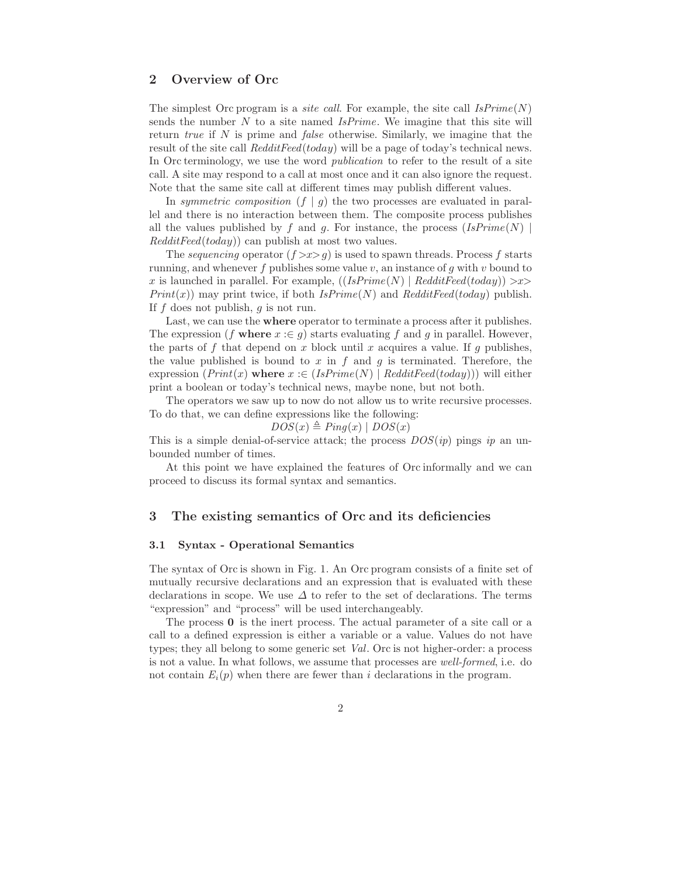# 2 Overview of Orc

The simplest Orc program is a *site call*. For example, the site call  $IsPrime(N)$ sends the number  $N$  to a site named  $IsPrime$ . We imagine that this site will return true if  $N$  is prime and *false* otherwise. Similarly, we imagine that the result of the site call RedditFeed(today) will be a page of today's technical news. In Orc terminology, we use the word *publication* to refer to the result of a site call. A site may respond to a call at most once and it can also ignore the request. Note that the same site call at different times may publish different values.

In symmetric composition  $(f | g)$  the two processes are evaluated in parallel and there is no interaction between them. The composite process publishes all the values published by f and g. For instance, the process  $(IsPrime(N)$  $RedditFeed(today)$  can publish at most two values.

The sequencing operator  $(f \gt x \gt g)$  is used to spawn threads. Process f starts running, and whenever  $f$  publishes some value  $v$ , an instance of  $g$  with  $v$  bound to x is launched in parallel. For example,  $((IsPrime(N) | RedditFeed(today)) > x>$  $Print(x))$  may print twice, if both  $IsPrime(N)$  and  $RedditFeed(today)$  publish. If  $f$  does not publish,  $g$  is not run.

Last, we can use the **where** operator to terminate a process after it publishes. The expression (f where  $x \in g$ ) starts evaluating f and g in parallel. However, the parts of f that depend on x block until x acquires a value. If g publishes, the value published is bound to x in f and q is terminated. Therefore, the expression  $(Print(x)$  where  $x \in (IsPrime(N) | RedditHead(today)))$  will either print a boolean or today's technical news, maybe none, but not both.

The operators we saw up to now do not allow us to write recursive processes. To do that, we can define expressions like the following:

$$
DOS(x) \triangleq Ping(x) | DOS(x)
$$

This is a simple denial-of-service attack; the process  $DOS(ip)$  pings ip an unbounded number of times.

At this point we have explained the features of Orc informally and we can proceed to discuss its formal syntax and semantics.

### 3 The existing semantics of Orc and its deficiencies

#### 3.1 Syntax - Operational Semantics

The syntax of Orc is shown in Fig. 1. An Orc program consists of a finite set of mutually recursive declarations and an expression that is evaluated with these declarations in scope. We use  $\Delta$  to refer to the set of declarations. The terms "expression" and "process" will be used interchangeably.

The process 0 is the inert process. The actual parameter of a site call or a call to a defined expression is either a variable or a value. Values do not have types; they all belong to some generic set Val. Orc is not higher-order: a process is not a value. In what follows, we assume that processes are well-formed, i.e. do not contain  $E_i(p)$  when there are fewer than i declarations in the program.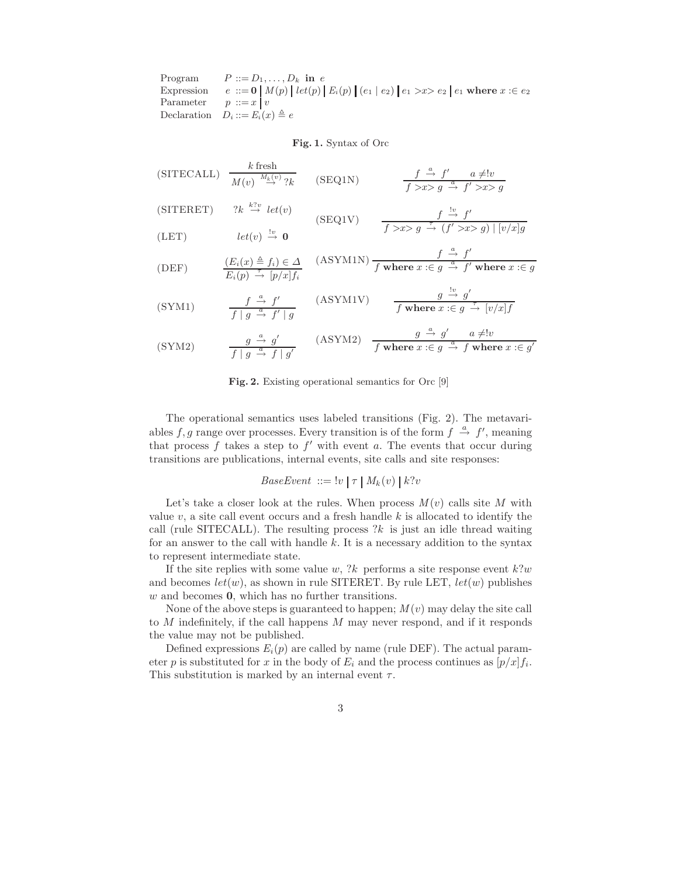Program  $P ::= D_1, \ldots, D_k$  in e Expression  $e ::= 0 \mid M(p) \mid let(p) \mid E_i(p) \mid (e_1 \mid e_2) \mid e_1 > x > e_2 \mid e_1$  where  $x \in e_2$ Parameter  $p ::= x \mid v$ Declaration  $D_i ::= E_i(x) \triangleq e$ 

Fig. 1. Syntax of Orc

(SITECALL) 
$$
\frac{k \text{ fresh}}{M(v) \stackrel{M_k(v)}{\rightarrow} ?k}
$$
 (SEQ1N)  $\frac{f \stackrel{a}{\rightarrow} f'}{f \gg x > g \stackrel{a}{\rightarrow} f' \gg x > g}$ 

(SITERET) 
$$
?k \stackrel{\kappa \to 0}{\to} let(v)
$$
   
\n(EEQ1V)  $\frac{f \stackrel{\text{1v}}{\to} f'}{f > x > g \stackrel{\tau}{\to} (f' > x > g) | [v/x]g}$   
\n(LET)  $let(v) \stackrel{\text{1v}}{\to} 0$ 

$$
\text{(DEF)} \qquad \frac{(E_i(x) \triangleq f_i) \in \Delta}{E_i(p) \stackrel{\tau}{\rightarrow} [p/x]f_i} \quad \text{(ASYMIN)} \frac{f \stackrel{a}{\rightarrow} f'}{f \text{ where } x \in g \stackrel{a}{\rightarrow} f' \text{ where } x \in g}
$$

$$
\text{(SYM1)} \qquad \qquad \frac{f \stackrel{a}{\rightarrow} f'}{f \mid g \stackrel{a}{\rightarrow} f' \mid g} \qquad \text{(ASYM1V)} \qquad \qquad \frac{g \stackrel{\text{1p}}{\rightarrow} g'}{f \text{ where } x \colon \in g \stackrel{\tau}{\rightarrow} [v/x]f}
$$

$$
\text{(SYM2)} \qquad \qquad \frac{g \stackrel{a}{\rightarrow} g'}{f \mid g \stackrel{a}{\rightarrow} f \mid g'}
$$
\n
$$
\text{(ASYM2)} \qquad \frac{g \stackrel{a}{\rightarrow} g'}{f \text{ where } x \colon \in g \stackrel{a}{\rightarrow} f \text{ where } x \colon \in g'}
$$

Fig. 2. Existing operational semantics for Orc [9]

The operational semantics uses labeled transitions (Fig. 2). The metavariables f, g range over processes. Every transition is of the form  $f \stackrel{a}{\rightarrow} f'$ , meaning that process  $f$  takes a step to  $f'$  with event  $a$ . The events that occur during transitions are publications, internal events, site calls and site responses:

$$
BaseEvent ::= \{v \mid \tau \mid M_k(v) \mid k?v
$$

Let's take a closer look at the rules. When process  $M(v)$  calls site M with value  $v$ , a site call event occurs and a fresh handle  $k$  is allocated to identify the call (rule SITECALL). The resulting process  $2k$  is just an idle thread waiting for an answer to the call with handle  $k$ . It is a necessary addition to the syntax to represent intermediate state.

If the site replies with some value w, ?k performs a site response event  $k$ ?w and becomes  $let(w)$ , as shown in rule SITERET. By rule LET,  $let(w)$  publishes  $w$  and becomes  $\mathbf{0}$ , which has no further transitions.

None of the above steps is guaranteed to happen;  $M(v)$  may delay the site call to M indefinitely, if the call happens M may never respond, and if it responds the value may not be published.

Defined expressions  $E_i(p)$  are called by name (rule DEF). The actual parameter p is substituted for x in the body of  $E_i$  and the process continues as  $[p/x]f_i$ . This substitution is marked by an internal event  $\tau$ .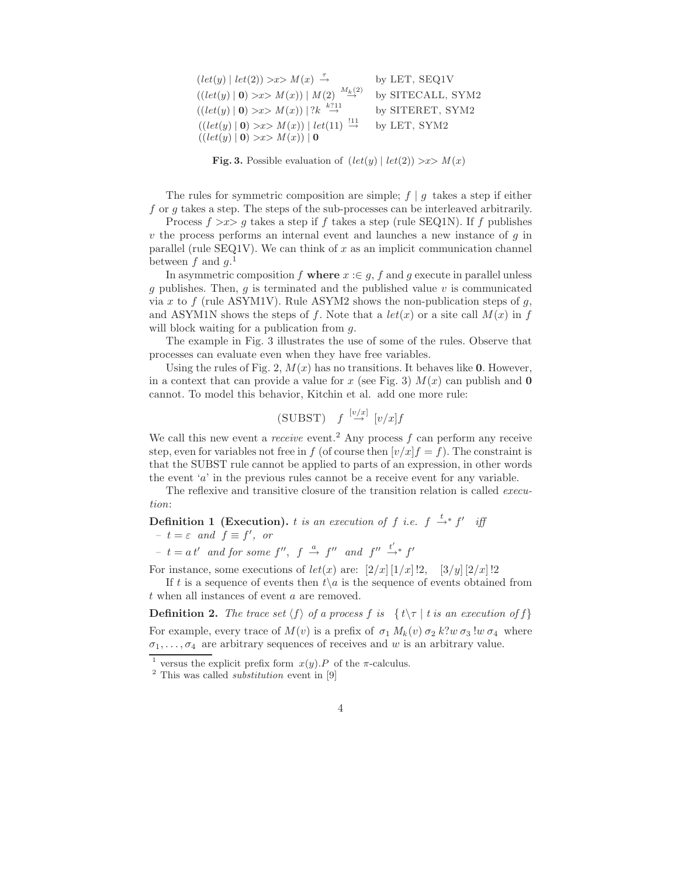| $(left(y)   let(2)) > x > M(x)$ $\rightarrow$                    | by LET, SEQ1V     |
|------------------------------------------------------------------|-------------------|
| $((let(y)   0) >x > M(x))   M(2) \stackrel{M_k(2)}{\rightarrow}$ | by SITECALL, SYM2 |
| $((let(y)   0) >x > M(x))$  ?k $\stackrel{k?11}{\rightarrow}$    | by SITERET, SYM2  |
| $((let(y)   0) >x > M(x))   let(11) \stackrel{!11}{\rightarrow}$ | by LET, SYM2      |
| ((let(y)   0) >x > M(x))   0                                     |                   |

**Fig. 3.** Possible evaluation of  $(left(y) | let(2)) > x > M(x)$ 

The rules for symmetric composition are simple;  $f | g$  takes a step if either f or g takes a step. The steps of the sub-processes can be interleaved arbitrarily.

Process  $f \gg z$  g takes a step if f takes a step (rule SEQ1N). If f publishes  $v$  the process performs an internal event and launches a new instance of  $g$  in parallel (rule  $SEQ1V$ ). We can think of x as an implicit communication channel between  $f$  and  $g$ <sup>1</sup>

In asymmetric composition f where  $x : \in g$ , f and g execute in parallel unless  $g$  publishes. Then,  $g$  is terminated and the published value  $v$  is communicated via x to f (rule ASYM1V). Rule ASYM2 shows the non-publication steps of q, and ASYM1N shows the steps of f. Note that a  $let(x)$  or a site call  $M(x)$  in f will block waiting for a publication from  $q$ .

The example in Fig. 3 illustrates the use of some of the rules. Observe that processes can evaluate even when they have free variables.

Using the rules of Fig. 2,  $M(x)$  has no transitions. It behaves like 0. However, in a context that can provide a value for x (see Fig. 3)  $M(x)$  can publish and 0 cannot. To model this behavior, Kitchin et al. add one more rule:

(SUBST) 
$$
f \stackrel{[v/x]}{\rightarrow} [v/x] f
$$

We call this new event a *receive* event.<sup>2</sup> Any process  $f$  can perform any receive step, even for variables not free in f (of course then  $[v/x]f = f$ ). The constraint is that the SUBST rule cannot be applied to parts of an expression, in other words the event 'a' in the previous rules cannot be a receive event for any variable.

The reflexive and transitive closure of the transition relation is called *execu*tion:

# Definition 1 (Execution). t is an execution of f i.e.  $f \stackrel{t}{\rightarrow} f'$  iff

$$
-t=\varepsilon\;\;and\;\;f\equiv f',\;\;or
$$

 $- t = at'$  and for some  $f''$ ,  $f \stackrel{a}{\rightarrow} f''$  and  $f'' \stackrel{t'}{\rightarrow} f'$ 

For instance, some executions of  $let(x)$  are:  $[2/x][1/x]$  !2,  $[3/y][2/x]$  !2

If t is a sequence of events then  $t\setminus a$  is the sequence of events obtained from t when all instances of event a are removed.

**Definition 2.** The trace set  $\langle f \rangle$  of a process f is  $\{ t \setminus \tau | t \text{ is an execution of } f \}$ 

For example, every trace of  $M(v)$  is a prefix of  $\sigma_1 M_k(v)$   $\sigma_2 k?w \sigma_3 w$  where  $\sigma_1, \ldots, \sigma_4$  are arbitrary sequences of receives and w is an arbitrary value.

<sup>&</sup>lt;sup>1</sup> versus the explicit prefix form  $x(y)$ . P of the  $\pi$ -calculus.

 $2$  This was called *substitution* event in  $[9]$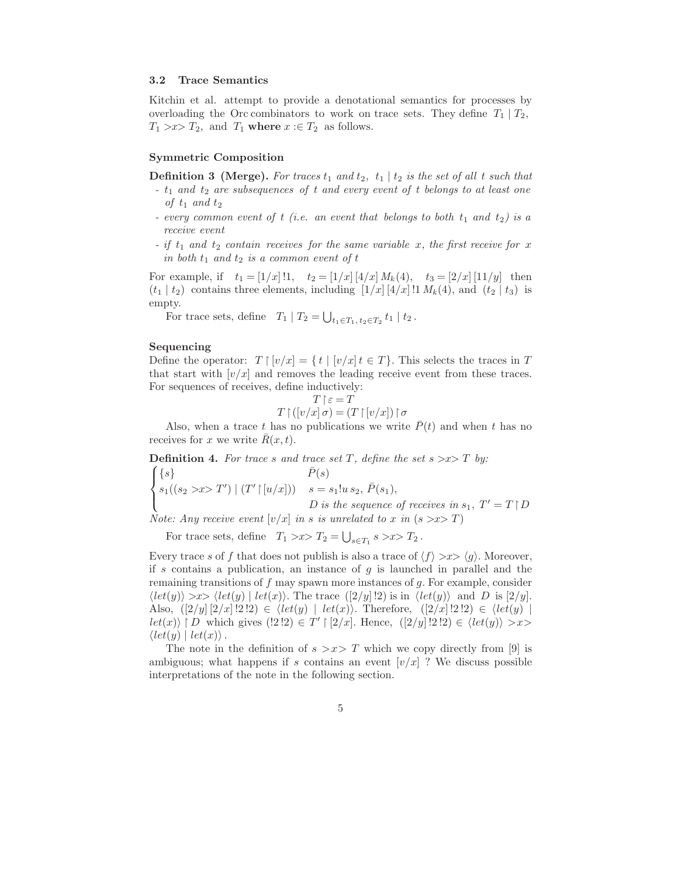### 3.2 Trace Semantics

Kitchin et al. attempt to provide a denotational semantics for processes by overloading the Orc combinators to work on trace sets. They define  $T_1 | T_2$ ,  $T_1 >> T_2$ , and  $T_1$  where  $x := T_2$  as follows.

#### Symmetric Composition

**Definition 3 (Merge).** For traces  $t_1$  and  $t_2$ ,  $t_1 | t_2$  is the set of all t such that

- $t_1$  and  $t_2$  are subsequences of t and every event of t belongs to at least one of  $t_1$  and  $t_2$
- every common event of t (i.e. an event that belongs to both  $t_1$  and  $t_2$ ) is a receive event
- if  $t_1$  and  $t_2$  contain receives for the same variable x, the first receive for x in both  $t_1$  and  $t_2$  is a common event of  $t$

For example, if  $t_1 = [1/x]!1$ ,  $t_2 = [1/x] [4/x] M_k(4)$ ,  $t_3 = [2/x] [11/y]$  then  $(t_1 | t_2)$  contains three elements, including  $[1/x] [4/x]$  !1  $M_k(4)$ , and  $(t_2 | t_3)$  is empty.

For trace sets, define  $T_1 | T_2 = \bigcup_{t_1 \in T_1, t_2 \in T_2} t_1 | t_2$ .

#### Sequencing

Define the operator:  $T \upharpoonright [v/x] = \{ t \mid [v/x] | t \in T \}$ . This selects the traces in T that start with  $[v/x]$  and removes the leading receive event from these traces. For sequences of receives, define inductively:

$$
T\upharpoonright \varepsilon = T
$$
  

$$
T\upharpoonright ([v/x] \sigma) = (T\upharpoonright [v/x])\upharpoonright \sigma
$$

Also, when a trace t has no publications we write  $\bar{P}(t)$  and when t has no receives for x we write  $R(x, t)$ .

 $\int$ **Definition 4.** For trace s and trace set T, define the set  $s \gg x > T$  by:

$$
\begin{cases} \{s\} & \bar{P}(s) \\ s_1((s_2 > x > T') \mid (T' \restriction [u/x])) & s = s_1!u s_2, \bar{P}(s_1), \\ & D \text{ is the sequence of receives in } s_1, T' = T \restriction D \end{cases}
$$

Note: Any receive event  $[v/x]$  in s is unrelated to x in  $(s \ge x \ge T)$ 

For trace sets, define  $T_1 \gg z \gg T_2 = \bigcup_{s \in T_1} s \gg z \gg T_2$ .

Every trace s of f that does not publish is also a trace of  $\langle f \rangle >x> \langle g \rangle$ . Moreover, if s contains a publication, an instance of  $g$  is launched in parallel and the remaining transitions of  $f$  may spawn more instances of  $g$ . For example, consider  $\langle let(y) \rangle >> \langle let(y) | let(x) \rangle$ . The trace  $([2/y]!2)$  is in  $\langle let(y) \rangle$  and D is  $[2/y]$ . Also,  $([2/y][2/x]!2!) \in \langle let(y) | let(x) \rangle$ . Therefore,  $([2/x]!2!2) \in \langle let(y) |$  $let(x) \restriction D$  which gives  $(2 \: 2) \in T' \restriction [2/x]$ . Hence,  $([2/y] \: 2 \: 2) \in \langle let(y) \rangle > x>$  $\langle let(y) | let(x) \rangle.$ 

The note in the definition of  $s > x > T$  which we copy directly from [9] is ambiguous; what happens if s contains an event  $[v/x]$  ? We discuss possible interpretations of the note in the following section.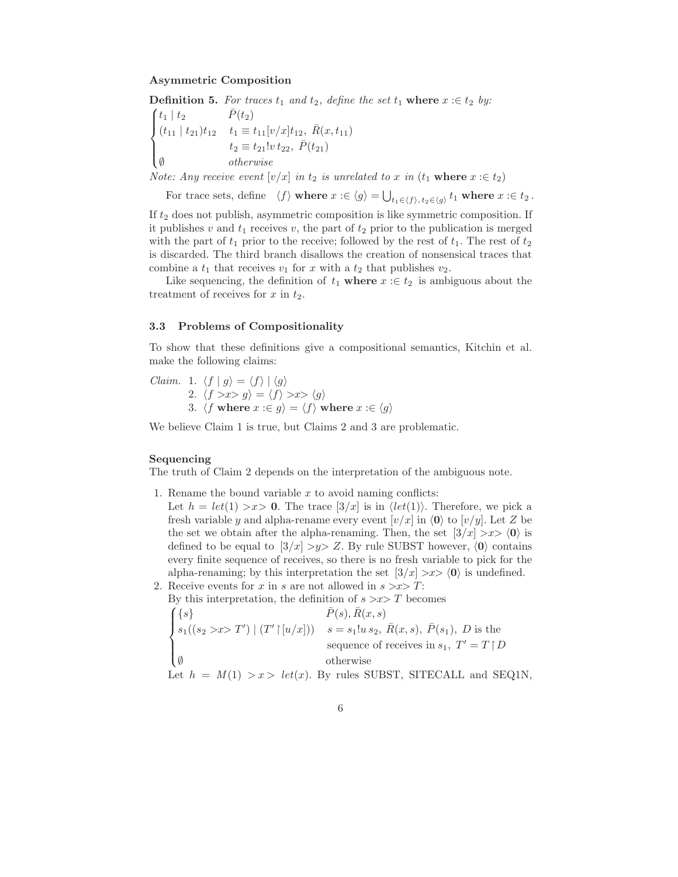### Asymmetric Composition

**Definition 5.** For traces  $t_1$  and  $t_2$ , define the set  $t_1$  where  $x \in t_2$  by:

$$
\begin{cases}\n t_1 \mid t_2 & \bar{P}(t_2) \\
 (t_{11} \mid t_{21}) t_{12} & t_1 \equiv t_{11} [v/x] t_{12}, \ \bar{R}(x, t_{11}) \\
 t_2 \equiv t_{21}! v \, t_{22}, \ \bar{P}(t_{21}) \\
 \emptyset & \text{otherwise}\n\end{cases}
$$

Note: Any receive event  $[v/x]$  in  $t_2$  is unrelated to x in  $(t_1$  where  $x \in t_2)$ 

For trace sets, define  $\langle f \rangle$  where  $x \in \langle g \rangle = \bigcup_{t_1 \in \langle f \rangle, t_2 \in \langle g \rangle} t_1$  where  $x \in t_2$ .

If  $t_2$  does not publish, asymmetric composition is like symmetric composition. If it publishes  $v$  and  $t_1$  receives  $v$ , the part of  $t_2$  prior to the publication is merged with the part of  $t_1$  prior to the receive; followed by the rest of  $t_1$ . The rest of  $t_2$ is discarded. The third branch disallows the creation of nonsensical traces that combine a  $t_1$  that receives  $v_1$  for x with a  $t_2$  that publishes  $v_2$ .

Like sequencing, the definition of  $t_1$  where  $x : \in t_2$  is ambiguous about the treatment of receives for  $x$  in  $t_2$ .

#### 3.3 Problems of Compositionality

To show that these definitions give a compositional semantics, Kitchin et al. make the following claims:

*Claim.* 1.  $\langle f | g \rangle = \langle f \rangle | \langle g \rangle$ 2.  $\langle f \rangle x \rangle = \langle f \rangle \rangle x \rangle \langle g \rangle$ 3.  $\langle f$  where  $x :\in g \rangle = \langle f \rangle$  where  $x :\in \langle g \rangle$ 

We believe Claim 1 is true, but Claims 2 and 3 are problematic.

#### Sequencing

The truth of Claim 2 depends on the interpretation of the ambiguous note.

- 1. Rename the bound variable  $x$  to avoid naming conflicts:
- Let  $h = let(1) > x > 0$ . The trace  $[3/x]$  is in  $\langle let(1) \rangle$ . Therefore, we pick a fresh variable y and alpha-rename every event  $[v/x]$  in  $\langle 0 \rangle$  to  $[v/y]$ . Let Z be the set we obtain after the alpha-renaming. Then, the set  $[3/x] > x > \langle 0 \rangle$  is defined to be equal to  $[3/x] >y > Z$ . By rule SUBST however,  $\langle 0 \rangle$  contains every finite sequence of receives, so there is no fresh variable to pick for the alpha-renaming; by this interpretation the set  $[3/x] >x > 0$  is undefined.
- 2. Receive events for x in s are not allowed in  $s \geq x > T$ : By this interpretation, the definition of  $s \geq x > T$  becomes

$$
\begin{cases}\n\{s\} & \bar{P}(s), \bar{R}(x, s) \\
s_1((s_2 > x > T') | (T' | [u/x])) & s = s_1!u s_2, \bar{R}(x, s), \bar{P}(s_1), D \text{ is the} \\
& \text{sequence of receives in } s_1, T' = T | D \\
\emptyset & \text{otherwise} \\
\text{Let } h = M(1) > x > \text{let}(x). By rules SUBST, SITECALL and SEQ1N,\n\end{cases}
$$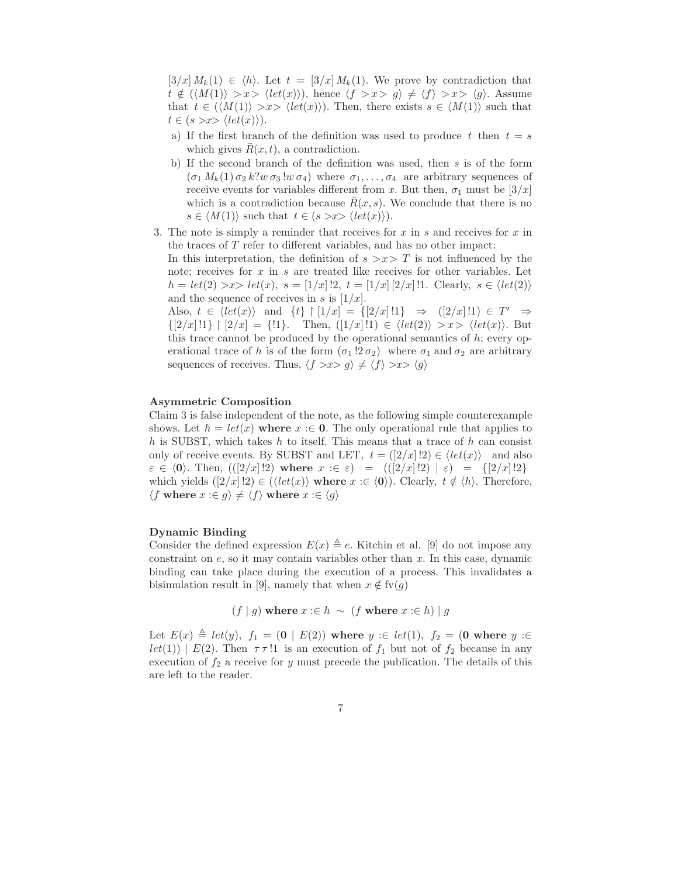$[3/x] M_k(1) \in \langle h \rangle$ . Let  $t = [3/x] M_k(1)$ . We prove by contradiction that  $t \notin (\langle M(1) \rangle > x > \langle let(x) \rangle),$  hence  $\langle f > x > g \rangle \neq \langle f \rangle > x > \langle g \rangle$ . Assume that  $t \in (\langle M(1) \rangle >x \rangle \langle let(x) \rangle)$ . Then, there exists  $s \in \langle M(1) \rangle$  such that  $t \in (s \gg x \gt \langle let(x) \rangle).$ 

- a) If the first branch of the definition was used to produce t then  $t = s$ which gives  $R(x, t)$ , a contradiction.
- b) If the second branch of the definition was used, then  $s$  is of the form  $(\sigma_1 M_k(1) \sigma_2 k? w \sigma_3 w \sigma_4)$  where  $\sigma_1, \ldots, \sigma_4$  are arbitrary sequences of receive events for variables different from x. But then,  $\sigma_1$  must be [3/x] which is a contradiction because  $\overline{R}(x, s)$ . We conclude that there is no  $s \in \langle M(1) \rangle$  such that  $t \in (s \gg x \gt \langle let(x) \rangle)$ .
- 3. The note is simply a reminder that receives for  $x$  in  $s$  and receives for  $x$  in the traces of T refer to different variables, and has no other impact: In this interpretation, the definition of  $s > x > T$  is not influenced by the note; receives for  $x$  in  $s$  are treated like receives for other variables. Let  $h = let(2) >> let(x), s = [1/x]!2, t = [1/x] [2/x]!1. Clearly, s \in \langle let(2) \rangle$ and the sequence of receives in s is  $[1/x]$ .

Also,  $t \in \langle let(x) \rangle$  and  $\{t\} \upharpoonright [1/x] = \{ [2/x]!1\} \Rightarrow ([2/x]!1) \in T' \Rightarrow$  $\{[2/x]!1\} \restriction [2/x] = \{!1\}.$  Then,  $([1/x]!1) \in \langle let(2) \rangle > x > \langle let(x) \rangle.$  But this trace cannot be produced by the operational semantics of  $h$ ; every operational trace of h is of the form  $(\sigma_1!2 \sigma_2)$  where  $\sigma_1$  and  $\sigma_2$  are arbitrary sequences of receives. Thus,  $\langle f \rangle x > g \rangle \neq \langle f \rangle \rangle x > \langle g \rangle$ 

### Asymmetric Composition

Claim 3 is false independent of the note, as the following simple counterexample shows. Let  $h = let(x)$  where  $x \in \mathbf{0}$ . The only operational rule that applies to h is SUBST, which takes h to itself. This means that a trace of h can consist only of receive events. By SUBST and LET,  $t = (\lfloor 2/x \rfloor)!$   $\geq \langle \text{let}(x) \rangle$  and also  $\varepsilon \in \langle 0 \rangle$ . Then,  $((2/x)!2)$  where  $x \in \varepsilon$ ) =  $((2/x)!2) | \varepsilon$ ) =  $\{[2/x]!2\}$ which yields  $([2/x] !2) \in (\langle let(x) \rangle)$  where  $x \in \langle 0 \rangle$ ). Clearly,  $t \notin \langle h \rangle$ . Therefore,  $\langle f$  where  $x : \in g \rangle \neq \langle f \rangle$  where  $x : \in \langle g \rangle$ 

### Dynamic Binding

Consider the defined expression  $E(x) \triangleq e$ . Kitchin et al. [9] do not impose any constraint on  $e$ , so it may contain variables other than  $x$ . In this case, dynamic binding can take place during the execution of a process. This invalidates a bisimulation result in [9], namely that when  $x \notin f(v(g))$ 

$$
(f | g)
$$
 where  $x \in h \sim (f$  where  $x \in h) | g$ 

Let  $E(x) \triangleq let(y)$ ,  $f_1 = (0 \mid E(2))$  where  $y \in let(1)$ ,  $f_2 = (0$  where  $y \in$ let(1)) |  $E(2)$ . Then  $\tau \tau$ ! is an execution of  $f_1$  but not of  $f_2$  because in any execution of  $f_2$  a receive for y must precede the publication. The details of this are left to the reader.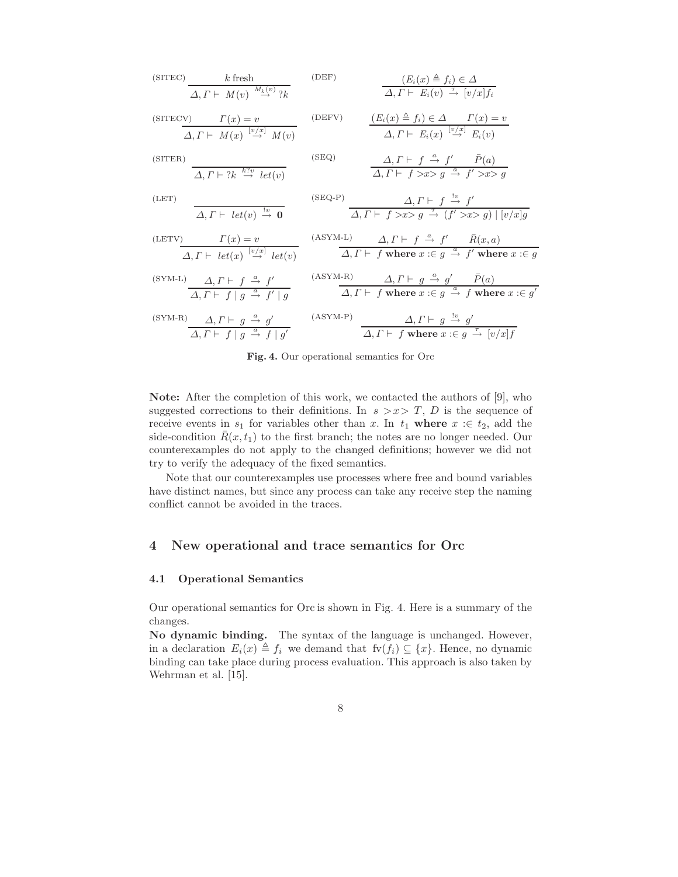(SITEC)  
\n
$$
\frac{k \text{ fresh}}{\Delta, \Gamma \vdash M(v)} \xrightarrow{M_{E}(v)} ? k
$$
\n
$$
\frac{(E_i(x) \triangleq f_i) \in \Delta}{\Delta, \Gamma \vdash E_i(v) \xrightarrow{\tau} [v/x] f_i}
$$
\n(SITECV)  
\n
$$
\frac{\Gamma(x) = v}{\Delta, \Gamma \vdash M(x)} \xrightarrow{[v/x]} M(v)
$$
\n(SITER)  
\n
$$
\frac{(SEQ)}{\Delta, \Gamma \vdash ? k \xrightarrow{k? v} let (v)}
$$
\n(SEQ)  
\n
$$
\frac{\Delta, \Gamma \vdash f \stackrel{a}{\rightarrow} f' \stackrel{\Gamma}{\downarrow} (a)}{\Delta, \Gamma \vdash f \Rightarrow x > g \xrightarrow{a} f' \Rightarrow x > g}
$$
\n(LET)  
\n
$$
\frac{\Delta, \Gamma \vdash f \xrightarrow{a} f' \stackrel{\Gamma}{\downarrow} (a)}{\Delta, \Gamma \vdash let (v) \xrightarrow{[v/x]} 0}
$$
\n(SEQ-P)  
\n
$$
\frac{\Delta, \Gamma \vdash f \xrightarrow{a} f' \stackrel{\Gamma}{\downarrow} (a)}{\Delta, \Gamma \vdash f \Rightarrow x > g \xrightarrow{\tau} (f' \Rightarrow x > g)} |[v/x] g|}
$$
\n(LETV)  
\n
$$
\frac{\Gamma(x) = v}{\Delta, \Gamma \vdash let (x) \xrightarrow{[v/x]} let (v)}
$$
\n(SSYM-L)  
\n
$$
\frac{\Delta, \Gamma \vdash f \xrightarrow{a} f'}{\Delta, \Gamma \vdash f \text{ where } x : \in g \xrightarrow{a} f' \text{ where } x : \in g}
$$
\n(SYM-L)  
\n
$$
\frac{\Delta, \Gamma \vdash f \xrightarrow{a} f'}{\Delta, \Gamma \vdash f | g \xrightarrow{a} f' | g}
$$
\n(ASYM-R)  
\n
$$
\frac{\Delta, \Gamma \vdash g \xrightarrow{a} g'}{\Delta, \Gamma \vdash f \text{ where } x : \in g \xrightarrow{a} f \text{ where } x : \in g'}
$$
\n(SYM-R)  
\n
$$
\frac{\Delta, \Gamma \vdash g \xrightarrow{a} g'}{\Delta, \Gamma \vdash f | g \xrightarrow{a} f | g'}
$$
\n(SYM-P)  
\n
$$
\frac{\Delta, \Gamma \vdash g \xrightarrow{a} g'}{\Delta, \Gamma
$$

Fig. 4. Our operational semantics for Orc

Note: After the completion of this work, we contacted the authors of [9], who suggested corrections to their definitions. In  $s > x > T$ , D is the sequence of receive events in  $s_1$  for variables other than x. In  $t_1$  where  $x \in t_2$ , add the side-condition  $\bar{R}(x, t_1)$  to the first branch; the notes are no longer needed. Our counterexamples do not apply to the changed definitions; however we did not try to verify the adequacy of the fixed semantics.

Note that our counterexamples use processes where free and bound variables have distinct names, but since any process can take any receive step the naming conflict cannot be avoided in the traces.

### 4 New operational and trace semantics for Orc

#### 4.1 Operational Semantics

Our operational semantics for Orc is shown in Fig. 4. Here is a summary of the changes.

No dynamic binding. The syntax of the language is unchanged. However, in a declaration  $E_i(x) \triangleq f_i$  we demand that  $fv(f_i) \subseteq \{x\}$ . Hence, no dynamic binding can take place during process evaluation. This approach is also taken by Wehrman et al. [15].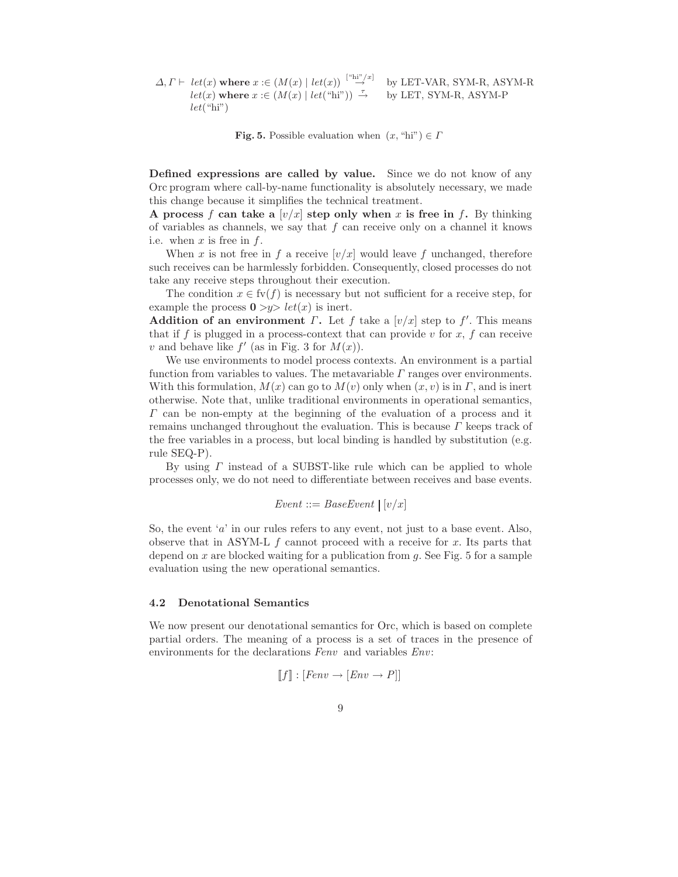$\Delta, \Gamma \vdash \text{let}(x)$  where  $x \in (M(x) | \text{let}(x)) \stackrel{[^{n} \text{hi} \cap Z]}{\rightarrow}$  by LET-VAR, SYM-R, ASYM-R  $let(x)$  where  $x : \in (M(x) | let("hi") ) \stackrel{\tau}{\rightarrow}$  $let("hi")$ by LET, SYM-R, ASYM-P

**Fig. 5.** Possible evaluation when  $(x, \text{``hi''}) \in \Gamma$ 

Defined expressions are called by value. Since we do not know of any Orc program where call-by-name functionality is absolutely necessary, we made this change because it simplifies the technical treatment.

A process f can take a  $[v/x]$  step only when x is free in f. By thinking of variables as channels, we say that  $f$  can receive only on a channel it knows i.e. when  $x$  is free in  $f$ .

When x is not free in f a receive  $[v/x]$  would leave f unchanged, therefore such receives can be harmlessly forbidden. Consequently, closed processes do not take any receive steps throughout their execution.

The condition  $x \in \text{fv}(f)$  is necessary but not sufficient for a receive step, for example the process  $0 \ge y \ge let(x)$  is inert.

Addition of an environment  $\Gamma$ . Let f take a  $[v/x]$  step to f'. This means that if f is plugged in a process-context that can provide v for  $x, f$  can receive v and behave like  $f'$  (as in Fig. 3 for  $M(x)$ ).

We use environments to model process contexts. An environment is a partial function from variables to values. The metavariable  $\Gamma$  ranges over environments. With this formulation,  $M(x)$  can go to  $M(v)$  only when  $(x, v)$  is in  $\Gamma$ , and is inert otherwise. Note that, unlike traditional environments in operational semantics, Γ can be non-empty at the beginning of the evaluation of a process and it remains unchanged throughout the evaluation. This is because  $\Gamma$  keeps track of the free variables in a process, but local binding is handled by substitution (e.g. rule SEQ-P).

By using  $\Gamma$  instead of a SUBST-like rule which can be applied to whole processes only, we do not need to differentiate between receives and base events.

*Event* ::= *BaseEvent* | 
$$
[v/x]
$$

So, the event 'a' in our rules refers to any event, not just to a base event. Also, observe that in ASYM-L  $f$  cannot proceed with a receive for  $x$ . Its parts that depend on x are blocked waiting for a publication from q. See Fig.  $5$  for a sample evaluation using the new operational semantics.

#### 4.2 Denotational Semantics

We now present our denotational semantics for Orc, which is based on complete partial orders. The meaning of a process is a set of traces in the presence of environments for the declarations Fenv and variables Env:

$$
[[f] : [Fenv \rightarrow [Env \rightarrow P]]
$$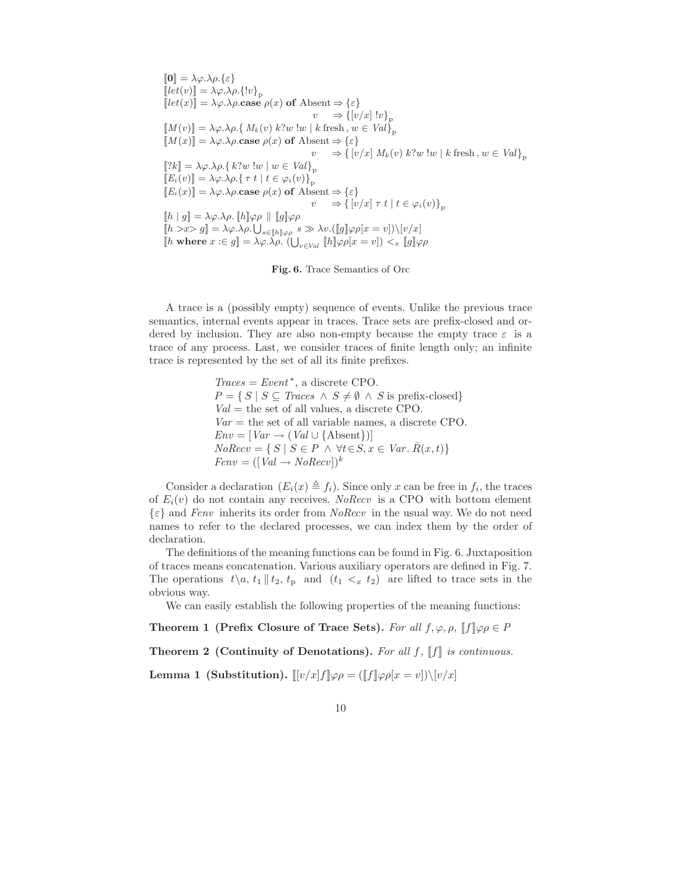$\llbracket 0 \rrbracket = \lambda \varphi . \lambda \rho . \{\varepsilon\}$  $[[let(v)]] = \lambda \varphi . \lambda \rho . \{!v\}_{\mathsf{p}}$  $[\![let(x)]\!] = \lambda \varphi . \lambda \rho . \mathbf{case} \; \rho(x) \; \mathbf{of} \; \mathbf{Absent} \Rightarrow \{\varepsilon\}$  $v \Rightarrow \{[v/x] : v\}$ <sub>p</sub>  $\llbracket M(v) \rrbracket = \lambda \varphi \cdot \lambda \rho \cdot \{ M_k(v) \ k?w \ \vdash w \mid k \text{ fresh}, w \in Val \} \$  $[M(x)] = \lambda \varphi \cdot \lambda \rho \cdot \textbf{case} \; \rho(x) \textbf{ of } \text{ Absent} \Rightarrow \{\varepsilon\}$  $v \Rightarrow \{ [v/x] M_k(v) k?w \} w \mid k \text{ fresh}, w \in Val \}$  $[[?k]] = \lambda \varphi \cdot \lambda \rho \cdot \langle k?w \cdot w \mid w \in Val \}_{p}$  $[[E_i(v)]] = \lambda \varphi \cdot \lambda \rho \cdot \{ \tau \mid t \in \varphi_i(v) \}_p$  $[[E_i(x)]] = \lambda \varphi \cdot \lambda \rho \cdot \textbf{case} \; \rho(x) \textbf{ of } \text{ Absent} \Rightarrow \{\varepsilon\}$  $v \Rightarrow \{ [v/x] \tau t \mid t \in \varphi_i(v) \}_p$  $[h | g] = \lambda \varphi \cdot \lambda \rho$ .  $[h] \varphi \rho || [g] \varphi \rho$  $[[h >x > g]] = \lambda \varphi \cdot \lambda \rho \cdot \bigcup_{s \in [h] \varphi \rho} s \gg \lambda v \cdot ([g] \varphi \rho[x = v]) \setminus [v/x]$ [h where  $x : \in g$ ] =  $\lambda \varphi \cdot \lambda \rho$ . ( $\bigcup_{v \in Val} [h] \varphi \rho[x = v]$ )  $\langle x | [g] \varphi \rho$ 

Fig. 6. Trace Semantics of Orc

A trace is a (possibly empty) sequence of events. Unlike the previous trace semantics, internal events appear in traces. Trace sets are prefix-closed and ordered by inclusion. They are also non-empty because the empty trace  $\varepsilon$  is a trace of any process. Last, we consider traces of finite length only; an infinite trace is represented by the set of all its finite prefixes.

> $Traces = Event^*$ , a discrete CPO.  $P = \{ S \mid S \subseteq Traces \land S \neq \emptyset \land S \text{ is prefix-closed} \}$  $Val =$  the set of all values, a discrete CPO.  $Var =$  the set of all variable names, a discrete CPO.  $Env = [Var \rightarrow (Val \cup \{Abstract\})]$  $NoRecv = \{ S \mid S \in P \land \forall t \in S, x \in Var \ldotp \bar{R}(x, t) \}$  $Fenv = ([Val \rightarrow NoRecv])^k$

Consider a declaration  $(E_i(x) \triangleq f_i)$ . Since only x can be free in  $f_i$ , the traces of  $E_i(v)$  do not contain any receives. NoRecv is a CPO with bottom element  $\{\varepsilon\}$  and Fenv inherits its order from NoRecv in the usual way. We do not need names to refer to the declared processes, we can index them by the order of declaration.

The definitions of the meaning functions can be found in Fig. 6. Juxtaposition of traces means concatenation. Various auxiliary operators are defined in Fig. 7. The operations  $t\backslash a$ ,  $t_1 \parallel t_2$ ,  $t_p$  and  $(t_1 <_x t_2)$  are lifted to trace sets in the obvious way.

We can easily establish the following properties of the meaning functions:

**Theorem 1 (Prefix Closure of Trace Sets).** For all  $f, \varphi, \rho, \|f\| \varphi \rho \in P$ 

**Theorem 2 (Continuity of Denotations).** For all  $f$ ,  $\llbracket f \rrbracket$  is continuous.

Lemma 1 (Substitution).  $[ [v/x]f] \varphi \rho = ([f] \varphi \rho [x = v]) \backslash [v/x]$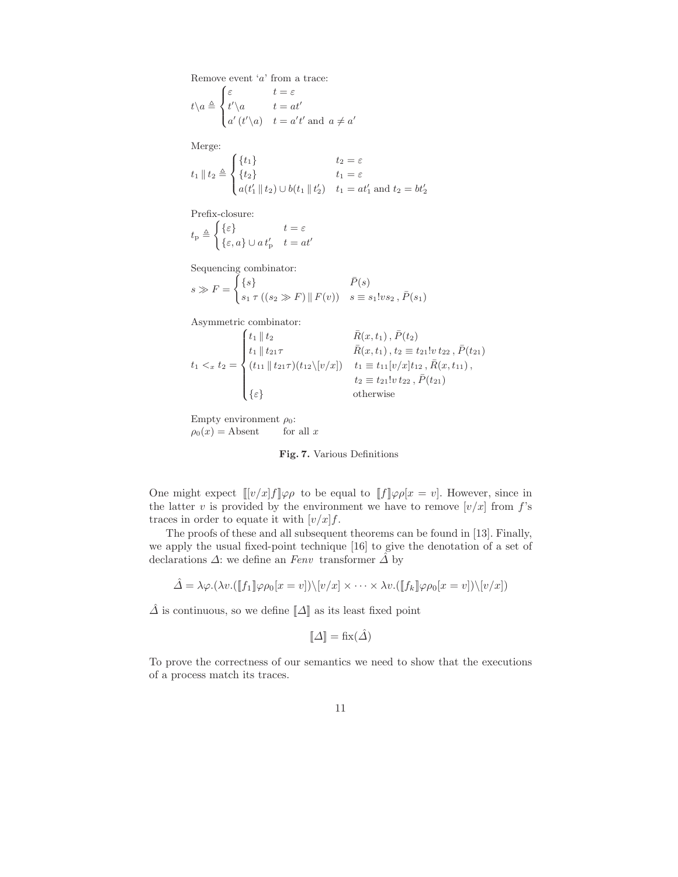Remove event ' $a$ ' from a trace:

$$
t \backslash a \triangleq \begin{cases} \varepsilon & t = \varepsilon \\ t' \backslash a & t = at' \\ a' \left( t' \backslash a \right) & t = a't' \text{ and } a \neq a' \end{cases}
$$

Merge:

$$
t_1 \parallel t_2 \triangleq \begin{cases} \{t_1\} & t_2 = \varepsilon \\ \{t_2\} & t_1 = \varepsilon \\ a(t'_1 \parallel t_2) \cup b(t_1 \parallel t'_2) & t_1 = at'_1 \text{ and } t_2 = bt'_2 \end{cases}
$$

Prefix-closure:

 $t_{\rm p} \triangleq$  $\int {\varepsilon}$   $t = \varepsilon$  $\{\varepsilon, a\} \cup a t'_{p} \quad t = a t'$ 

Sequencing combinator:

$$
s \gg F = \begin{cases} \{s\} & \bar{P}(s) \\ s_1 \tau ((s_2 \gg F) \parallel F(v)) & s \equiv s_1! v s_2, \bar{P}(s_1) \end{cases}
$$

Asymmetric combinator:

$$
t_1 <_x t_2 = \begin{cases} t_1 \parallel t_2 & \bar{R}(x, t_1), \bar{P}(t_2) \\ t_1 \parallel t_{21} \tau & \bar{R}(x, t_1), t_2 \equiv t_{21}! v t_{22}, \bar{P}(t_{21}) \\ (t_{11} \parallel t_{21} \tau)(t_{12} \setminus [v/x]) & t_1 \equiv t_{11} [v/x] t_{12}, \bar{R}(x, t_{11}), \\ t_2 \equiv t_{21}! v t_{22}, \bar{P}(t_{21}) \\ \{\varepsilon\} & \text{otherwise} \end{cases}
$$

Empty environment  $\rho_0$ :  $\rho_0(x) =$  Absent for all x

Fig. 7. Various Definitions

One might expect  $[[v/x]f]\varphi \rho$  to be equal to  $[[f]\varphi \rho[x = v]$ . However, since in the latter v is provided by the environment we have to remove  $[v/x]$  from f's traces in order to equate it with  $[v/x]f$ .

The proofs of these and all subsequent theorems can be found in [13]. Finally, we apply the usual fixed-point technique [16] to give the denotation of a set of declarations  $\Delta$ : we define an Fenv transformer  $\hat{\Delta}$  by

$$
\hat{\Delta} = \lambda \varphi.(\lambda v.([f_1]\varphi \rho_0[x = v]) \setminus [v/x] \times \cdots \times \lambda v.([f_k]\varphi \rho_0[x = v]) \setminus [v/x])
$$

 $\hat{\Delta}$  is continuous, so we define  $\llbracket \Delta \rrbracket$  as its least fixed point

$$
[\![\varDelta]\!] = \operatorname{fix}(\hat{\varDelta})
$$

To prove the correctness of our semantics we need to show that the executions of a process match its traces.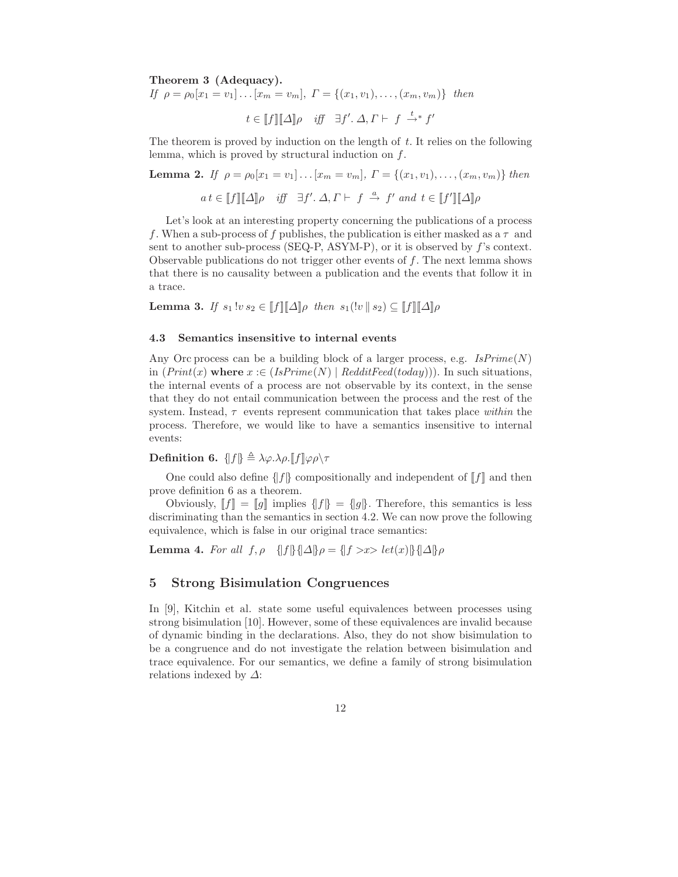### Theorem 3 (Adequacy).

$$
If \ \rho = \rho_0[x_1 = v_1] \dots [x_m = v_m], \ \Gamma = \{(x_1, v_1), \dots, (x_m, v_m)\} \ \ then
$$

$$
t \in [[f]][\Delta] \rho \ \ iff \ \ \exists f'. \ \Delta, \Gamma \vdash f \xrightarrow{t} f'
$$

The theorem is proved by induction on the length of  $t$ . It relies on the following lemma, which is proved by structural induction on f.

Lemma 2. If  $\rho = \rho_0[x_1 = v_1] \dots [x_m = v_m], \Gamma = \{(x_1, v_1), \dots, (x_m, v_m)\}\$  then

 $a t \in \llbracket f \rrbracket [\![\Delta]\!] \rho$  iff  $\exists f'. \ \Delta, \Gamma \vdash f \stackrel{a}{\rightarrow} f'$  and  $t \in \llbracket f' \rrbracket [\![\Delta]\!] \rho$ 

Let's look at an interesting property concerning the publications of a process f. When a sub-process of f publishes, the publication is either masked as a  $\tau$  and sent to another sub-process (SEQ-P, ASYM-P), or it is observed by  $f$ 's context. Observable publications do not trigger other events of  $f$ . The next lemma shows that there is no causality between a publication and the events that follow it in a trace.

Lemma 3. If  $s_1! v s_2 \in [f]$  $\Delta$ ] $\rho$  then  $s_1(!v \mid s_2) \subseteq [f]$  $\Delta$ ] $\rho$ 

### 4.3 Semantics insensitive to internal events

Any Orc process can be a building block of a larger process, e.g.  $IsPrime(N)$ in  $(Print(x)$  where  $x \in (IsPrime(N) | Reddit Feed(today))$ ). In such situations, the internal events of a process are not observable by its context, in the sense that they do not entail communication between the process and the rest of the system. Instead,  $\tau$  events represent communication that takes place within the process. Therefore, we would like to have a semantics insensitive to internal events:

# **Definition 6.**  $\{f\} \triangleq \lambda \varphi \cdot \lambda \rho$ .  $\|f\| \varphi \rho \setminus \tau$

One could also define  $\{f\}$  compositionally and independent of  $\llbracket f \rrbracket$  and then prove definition 6 as a theorem.

Obviously,  $[f] = [g]$  implies  $\{f\} = \{g\}$ . Therefore, this semantics is less discriminating than the semantics in section 4.2. We can now prove the following equivalence, which is false in our original trace semantics:

Lemma 4. For all  $f, \rho \in \{f\} \{\Delta\} \rho = \{f > x > \text{let}(x)\} \{\Delta\} \rho$ 

### 5 Strong Bisimulation Congruences

In [9], Kitchin et al. state some useful equivalences between processes using strong bisimulation [10]. However, some of these equivalences are invalid because of dynamic binding in the declarations. Also, they do not show bisimulation to be a congruence and do not investigate the relation between bisimulation and trace equivalence. For our semantics, we define a family of strong bisimulation relations indexed by  $\Delta$ :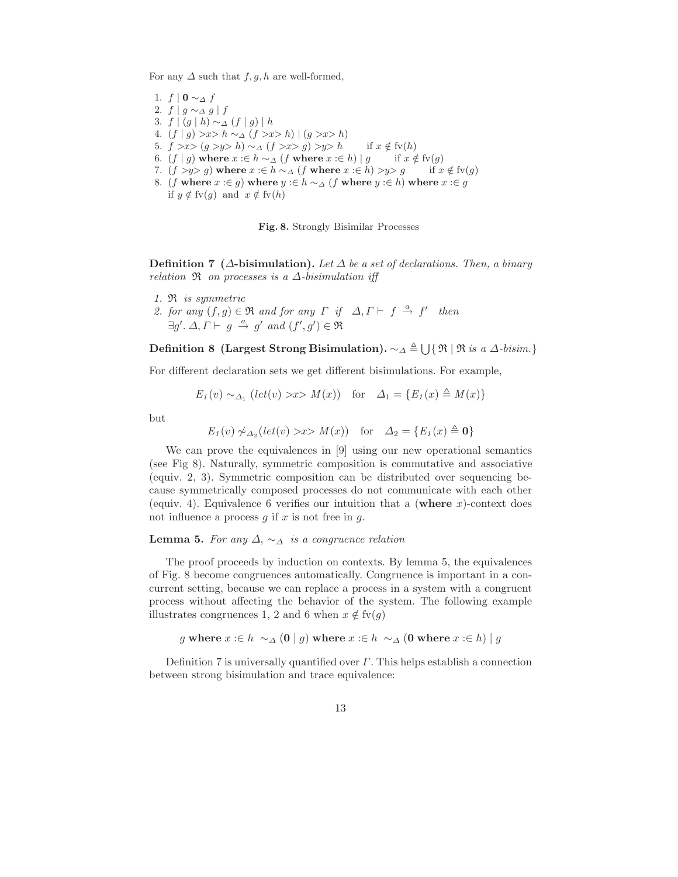For any  $\Delta$  such that  $f, g, h$  are well-formed,

1.  $f | 0 \sim \Delta f$ 2.  $f | g \sim \Delta g | f$ 3.  $f | (g | h) \sim_{\Delta} (f | g) | h$ 4.  $(f | g) >x > h \sim_\Delta (f >x > h) | (g >x > h)$ 5. f >x>  $(g \rightarrow y> h) \sim_{\Delta} (f \rightarrow x> g) \rightarrow y> h$  if  $x \notin \text{fv}(h)$ 6. (f | g) where  $x : \in h \sim \Delta$  (f where  $x : \in h$ ) | g if  $x \notin f(v(g))$ 7.  $(f \ge y \ge g)$  where  $x : \in h \sim_\Delta (f$  where  $x : \in h) \ge y \ge g$  if  $x \notin f(v(g))$ 8. (*f* where  $x : \in g$ ) where  $y : \in h \sim \Delta$  (*f* where  $y : \in h$ ) where  $x : \in g$ if  $y \notin \text{fv}(g)$  and  $x \notin \text{fv}(h)$ 

Fig. 8. Strongly Bisimilar Processes

Definition 7 ( $\Delta$ -bisimulation). Let  $\Delta$  be a set of declarations. Then, a binary relation  $\Re$  on processes is a  $\Delta$ -bisimulation iff

- 1. R is symmetric
- 2. for any  $(f, g) \in \Re$  and for any  $\Gamma$  if  $\Delta, \Gamma \vdash f \stackrel{a}{\rightarrow} f'$  then  $\exists g'. \ \Delta, \Gamma \vdash g \stackrel{a}{\rightarrow} g' \ \text{and} \ (f', g') \in \mathfrak{R}$

Definition 8 (Largest Strong Bisimulation).  $\sim_{\Delta} \triangleq \bigcup \{ \Re \mid \Re \ is \ a \ \varDelta\text{-}bism. \}$ 

For different declaration sets we get different bisimulations. For example,

$$
E_1(v) \sim_{\Delta_1} (let(v) > x > M(x)) \quad \text{for} \quad \Delta_1 = \{E_1(x) \triangleq M(x)\}
$$

but

$$
E_1(v) \not\sim_{\Delta_2}(let(v) > x > M(x)) \quad \text{for} \quad \Delta_2 = \{E_1(x) \triangleq 0\}
$$

We can prove the equivalences in [9] using our new operational semantics (see Fig 8). Naturally, symmetric composition is commutative and associative (equiv. 2, 3). Symmetric composition can be distributed over sequencing because symmetrically composed processes do not communicate with each other (equiv. 4). Equivalence 6 verifies our intuition that a (where  $x$ )-context does not influence a process  $g$  if  $x$  is not free in  $g$ .

#### **Lemma 5.** For any  $\Delta$ ,  $\sim_{\Delta}$  is a congruence relation

The proof proceeds by induction on contexts. By lemma 5, the equivalences of Fig. 8 become congruences automatically. Congruence is important in a concurrent setting, because we can replace a process in a system with a congruent process without affecting the behavior of the system. The following example illustrates congruences 1, 2 and 6 when  $x \notin f(v(g))$ 

```
g where x : \in h \sim_{\Delta} (0 | g) where x : \in h \sim_{\Delta} (0 where x : \in h) | g
```
Definition 7 is universally quantified over  $\Gamma$ . This helps establish a connection between strong bisimulation and trace equivalence: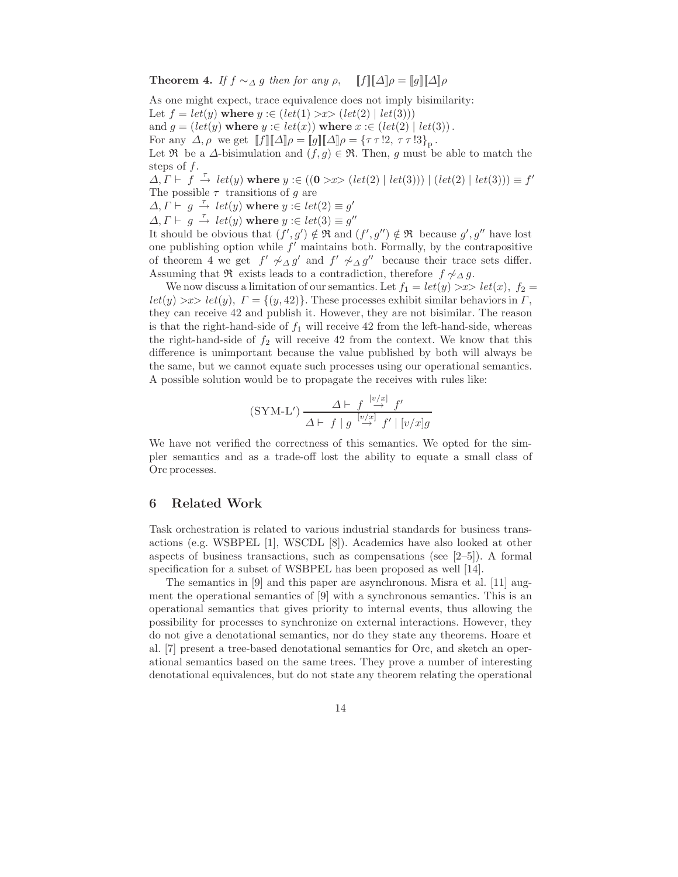## **Theorem 4.** If  $f \sim_{\Delta} g$  then for any  $\rho$ ,  $\llbracket f \rrbracket \Delta \rho = \llbracket g \rrbracket \Delta \rho$

As one might expect, trace equivalence does not imply bisimilarity: Let  $f = let(y)$  where  $y := (let(1) > x > (let(2) | let(3)))$ and  $g = (let(y)$  where  $y \in let(x))$  where  $x \in (let(2) | let(3))$ . For any  $\Delta, \rho$  we get  $[[f]][\Delta]\rho = [g] [\Delta]\rho = {\tau \tau}!2, \tau \tau!3$ <sub>p</sub>. Let R be a  $\Delta$ -bisimulation and  $(f, g) \in \mathfrak{R}$ . Then, g must be able to match the steps of  $f$ .  $\Delta, \Gamma \vdash f \stackrel{\tau}{\to} \text{let}(y) \text{ where } y : \in ((0 \ge x \ge (\text{let}(2) | \text{ let}(3))) | (\text{let}(2) | \text{ let}(3))) \equiv f'$ 

The possible  $\tau$  transitions of g are

 $\Delta, \Gamma \vdash g \stackrel{\tau}{\rightarrow} let(y)$  where  $y \in let(2) \equiv g'$ ′′

$$
\Delta, \Gamma \vdash g \stackrel{\tau}{\rightarrow} let(y) \text{ where } y : \in let(3) \equiv g
$$

It should be obvious that  $(f', g') \notin \mathfrak{R}$  and  $(f', g'') \notin \mathfrak{R}$  because  $g', g''$  have lost one publishing option while  $f'$  maintains both. Formally, by the contrapositive of theorem 4 we get  $f' \not\sim_{\Delta} g'$  and  $f' \not\sim_{\Delta} g''$  because their trace sets differ. Assuming that R exists leads to a contradiction, therefore  $f \sim_{\Delta} g$ .

We now discuss a limitation of our semantics. Let  $f_1 = let(y) >x > let(x)$ ,  $f_2 =$  $let(y) \gg z > let(y), \Gamma = \{(y, 42)\}.$  These processes exhibit similar behaviors in  $\Gamma$ , they can receive 42 and publish it. However, they are not bisimilar. The reason is that the right-hand-side of  $f_1$  will receive 42 from the left-hand-side, whereas the right-hand-side of  $f_2$  will receive 42 from the context. We know that this difference is unimportant because the value published by both will always be the same, but we cannot equate such processes using our operational semantics. A possible solution would be to propagate the receives with rules like:

$$
(\text{SYM-L'}) \frac{\Delta \vdash f \stackrel{[v/x]}{\rightarrow} f'}{\Delta \vdash f \mid g \stackrel{[v/x]}{\rightarrow} f' \mid [v/x]g}
$$

We have not verified the correctness of this semantics. We opted for the simpler semantics and as a trade-off lost the ability to equate a small class of Orc processes.

## 6 Related Work

Task orchestration is related to various industrial standards for business transactions (e.g. WSBPEL [1], WSCDL [8]). Academics have also looked at other aspects of business transactions, such as compensations (see [2–5]). A formal specification for a subset of WSBPEL has been proposed as well [14].

The semantics in [9] and this paper are asynchronous. Misra et al. [11] augment the operational semantics of [9] with a synchronous semantics. This is an operational semantics that gives priority to internal events, thus allowing the possibility for processes to synchronize on external interactions. However, they do not give a denotational semantics, nor do they state any theorems. Hoare et al. [7] present a tree-based denotational semantics for Orc, and sketch an operational semantics based on the same trees. They prove a number of interesting denotational equivalences, but do not state any theorem relating the operational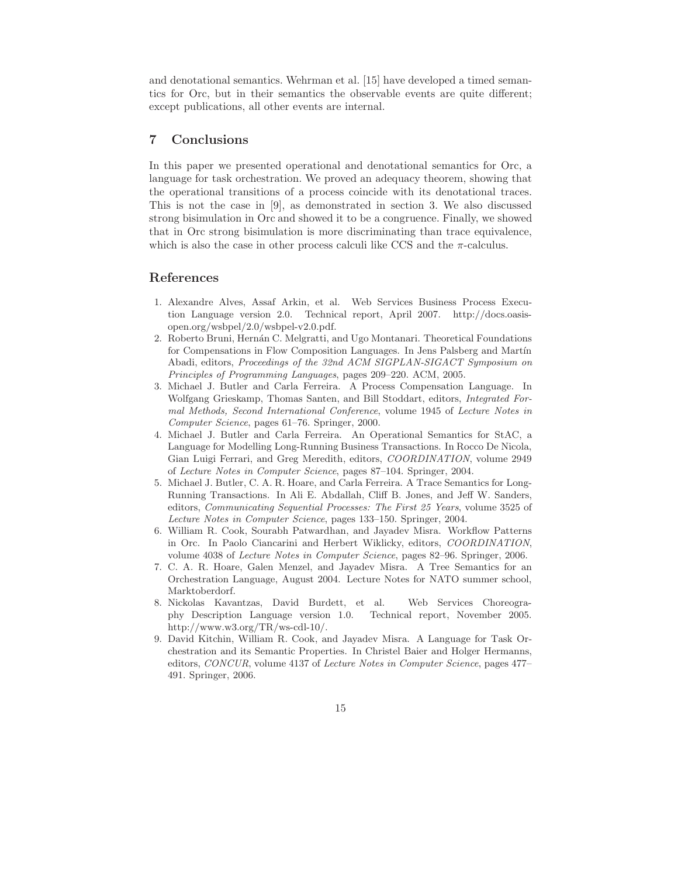and denotational semantics. Wehrman et al. [15] have developed a timed semantics for Orc, but in their semantics the observable events are quite different; except publications, all other events are internal.

## 7 Conclusions

In this paper we presented operational and denotational semantics for Orc, a language for task orchestration. We proved an adequacy theorem, showing that the operational transitions of a process coincide with its denotational traces. This is not the case in [9], as demonstrated in section 3. We also discussed strong bisimulation in Orc and showed it to be a congruence. Finally, we showed that in Orc strong bisimulation is more discriminating than trace equivalence, which is also the case in other process calculi like CCS and the  $\pi$ -calculus.

### References

- 1. Alexandre Alves, Assaf Arkin, et al. Web Services Business Process Execution Language version 2.0. Technical report, April 2007. http://docs.oasisopen.org/wsbpel/2.0/wsbpel-v2.0.pdf.
- 2. Roberto Bruni, Hernán C. Melgratti, and Ugo Montanari. Theoretical Foundations for Compensations in Flow Composition Languages. In Jens Palsberg and Martín Abadi, editors, Proceedings of the 32nd ACM SIGPLAN-SIGACT Symposium on Principles of Programming Languages, pages 209–220. ACM, 2005.
- 3. Michael J. Butler and Carla Ferreira. A Process Compensation Language. In Wolfgang Grieskamp, Thomas Santen, and Bill Stoddart, editors, Integrated Formal Methods, Second International Conference, volume 1945 of Lecture Notes in Computer Science, pages 61–76. Springer, 2000.
- 4. Michael J. Butler and Carla Ferreira. An Operational Semantics for StAC, a Language for Modelling Long-Running Business Transactions. In Rocco De Nicola, Gian Luigi Ferrari, and Greg Meredith, editors, COORDINATION, volume 2949 of Lecture Notes in Computer Science, pages 87–104. Springer, 2004.
- 5. Michael J. Butler, C. A. R. Hoare, and Carla Ferreira. A Trace Semantics for Long-Running Transactions. In Ali E. Abdallah, Cliff B. Jones, and Jeff W. Sanders, editors, Communicating Sequential Processes: The First 25 Years, volume 3525 of Lecture Notes in Computer Science, pages 133–150. Springer, 2004.
- 6. William R. Cook, Sourabh Patwardhan, and Jayadev Misra. Workflow Patterns in Orc. In Paolo Ciancarini and Herbert Wiklicky, editors, COORDINATION, volume 4038 of Lecture Notes in Computer Science, pages 82–96. Springer, 2006.
- 7. C. A. R. Hoare, Galen Menzel, and Jayadev Misra. A Tree Semantics for an Orchestration Language, August 2004. Lecture Notes for NATO summer school, Marktoberdorf.
- 8. Nickolas Kavantzas, David Burdett, et al. Web Services Choreography Description Language version 1.0. Technical report, November 2005. http://www.w3.org/TR/ws-cdl-10/.
- 9. David Kitchin, William R. Cook, and Jayadev Misra. A Language for Task Orchestration and its Semantic Properties. In Christel Baier and Holger Hermanns, editors, CONCUR, volume 4137 of Lecture Notes in Computer Science, pages 477– 491. Springer, 2006.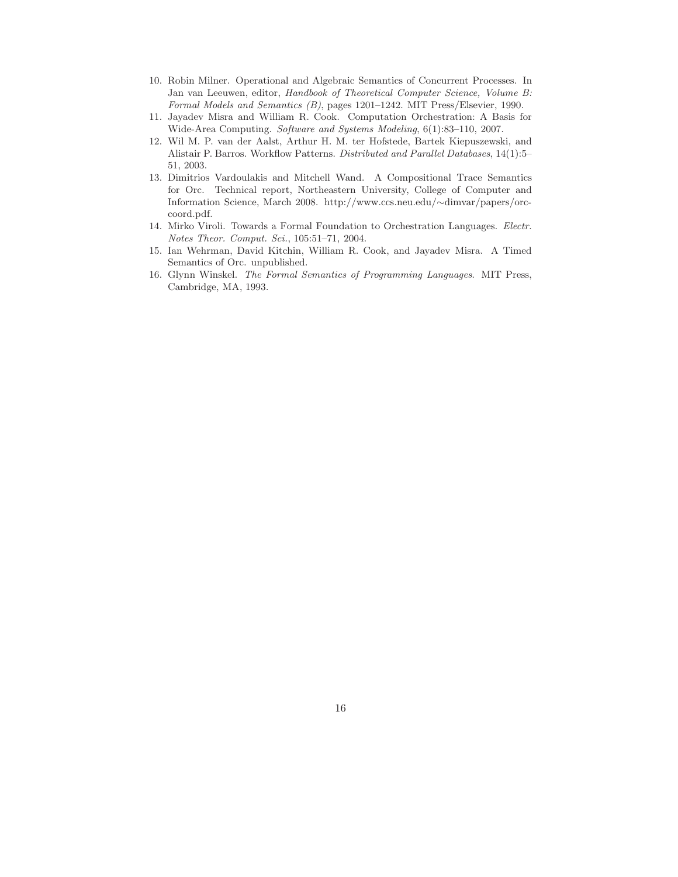- 10. Robin Milner. Operational and Algebraic Semantics of Concurrent Processes. In Jan van Leeuwen, editor, Handbook of Theoretical Computer Science, Volume B: Formal Models and Semantics (B), pages 1201–1242. MIT Press/Elsevier, 1990.
- 11. Jayadev Misra and William R. Cook. Computation Orchestration: A Basis for Wide-Area Computing. Software and Systems Modeling, 6(1):83–110, 2007.
- 12. Wil M. P. van der Aalst, Arthur H. M. ter Hofstede, Bartek Kiepuszewski, and Alistair P. Barros. Workflow Patterns. Distributed and Parallel Databases, 14(1):5– 51, 2003.
- 13. Dimitrios Vardoulakis and Mitchell Wand. A Compositional Trace Semantics for Orc. Technical report, Northeastern University, College of Computer and Information Science, March 2008. http://www.ccs.neu.edu/∼dimvar/papers/orccoord.pdf.
- 14. Mirko Viroli. Towards a Formal Foundation to Orchestration Languages. Electr. Notes Theor. Comput. Sci., 105:51–71, 2004.
- 15. Ian Wehrman, David Kitchin, William R. Cook, and Jayadev Misra. A Timed Semantics of Orc. unpublished.
- 16. Glynn Winskel. The Formal Semantics of Programming Languages. MIT Press, Cambridge, MA, 1993.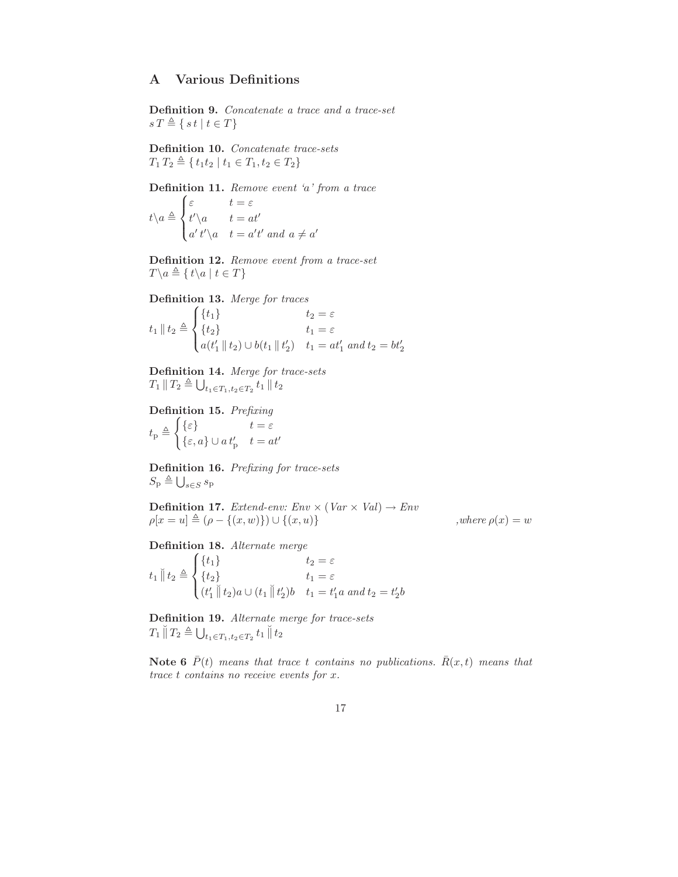# A Various Definitions

Definition 9. Concatenate a trace and a trace-set  $sT \triangleq \{ st \mid t \in T \}$ 

Definition 10. Concatenate trace-sets  $T_1 T_2 \triangleq \{ t_1 t_2 \mid t_1 \in T_1, t_2 \in T_2 \}$ 

Definition 11. Remove event 'a' from a trace  $t\backslash a \triangleq$  $\sqrt{ }$  $\int$  $\mathcal{L}$  $\varepsilon$   $t = \varepsilon$  $t'\backslash a$   $t = at'$  $a' t' \setminus a \quad t = a't' \text{ and } a \neq a'$ 

Definition 12. Remove event from a trace-set  $T \setminus a \triangleq \{ t \setminus a \mid t \in T \}$ 

Definition 13. Merge for traces

 $t_1 \parallel t_2 \triangleq$  $\sqrt{ }$  $\int$  $\overline{\mathcal{L}}$  ${t_1}$   $t_2 = \varepsilon$  ${t_2}$   $t_1 = \varepsilon$  $a(t'_1 \parallel t_2) \cup b(t_1 \parallel t'_2)$   $t_1 = at'_1$  and  $t_2 = bt'_2$ 

Definition 14. Merge for trace-sets  $T_1 \, \| \, T_2 \triangleq \bigcup_{t_1 \in T_1, t_2 \in T_2} t_1 \, \| \, t_2$ 

### Definition 15. Prefixing

 $t_{\rm p} \triangleq$  $\int {\varepsilon}$   $t = \varepsilon$  $\{\varepsilon, a\} \cup a t'_{p} \quad t = a t'$ 

Definition 16. Prefixing for trace-sets  $S_{\rm p} \triangleq \bigcup_{s \in S} s_{\rm p}$ 

**Definition 17.** *Extend-env: Env*  $\times$  (*Var*  $\times$  *Val*)  $\rightarrow$  *Env*  $\rho[x = u] \triangleq (\rho - \{(x, w)\}) \cup \{(x, u)\}\$ **Definition 17.** Extend-eno. Lift  $\wedge$  (rate  $\wedge$  , rate  $\wedge$  , where  $\rho(x) = w$ <br>  $\rho[x = u] \triangleq (\rho - \{(x, w)\}) \cup \{(x, u)\}$ , where  $\rho(x) = w$ 

Definition 18. Alternate merge

 $t_1 \parallel t_2 \triangleq$  $\sqrt{ }$  $\int$  $\mathcal{L}$  ${t_1}$   $t_2 = \varepsilon$  ${t_2}$   $t_1 = \varepsilon$  $(t'_1 \parallel t_2) a \cup (t_1 \parallel t'_2) b \quad t_1 = t'_1 a \text{ and } t_2 = t'_2 b$ 

Definition 19. Alternate merge for trace-sets  $T_1 \parallel T_2 \triangleq \bigcup_{t_1 \in T_1, t_2 \in T_2} t_1 \parallel t_2$ 

Note 6  $\bar{P}(t)$  means that trace t contains no publications.  $\bar{R}(x, t)$  means that trace t contains no receive events for x.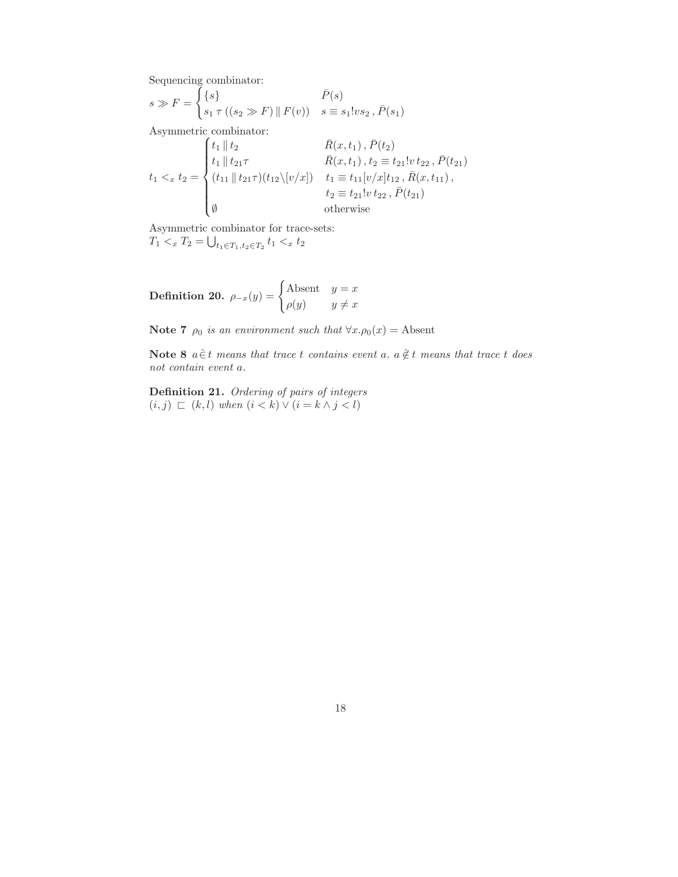Sequencing combinator:

$$
s \gg F = \begin{cases} \{s\} & \bar{P}(s) \\ s_1 \tau ((s_2 \gg F) \parallel F(v)) & s \equiv s_1! v s_2, \bar{P}(s_1) \end{cases}
$$

Asymmetric combinator:

$$
t_1 <_x t_2 = \begin{cases} t_1 \parallel t_2 & \bar{R}(x, t_1), \bar{P}(t_2) \\ t_1 \parallel t_{21} \tau & \bar{R}(x, t_1), t_2 \equiv t_{21}! v t_{22}, \bar{P}(t_{21}) \\ (t_{11} \parallel t_{21} \tau)(t_{12} \setminus [v/x]) & t_1 \equiv t_{11} [v/x] t_{12}, \bar{R}(x, t_{11}), \\ t_2 \equiv t_{21}! v t_{22}, \bar{P}(t_{21}) \\ \emptyset & \text{otherwise} \end{cases}
$$

Asymmetric combinator for trace-sets:  $T_1 <_x T_2 = \bigcup_{t_1 \in T_1, t_2 \in T_2} t_1 <_x t_2$ 

**Definition 20.** 
$$
\rho_{-x}(y) = \begin{cases} \text{Absent} & y = x \\ \rho(y) & y \neq x \end{cases}
$$

Note 7  $\rho_0$  is an environment such that  $\forall x.\rho_0(x) =$  Absent

Note 8  $a \hat{\in} t$  means that trace t contains event a.  $a \hat{\notin} t$  means that trace t does not contain event a.

Definition 21. Ordering of pairs of integers  $(i, j) \sqsubset (k, l)$  when  $(i < k) \vee (i = k \wedge j < l)$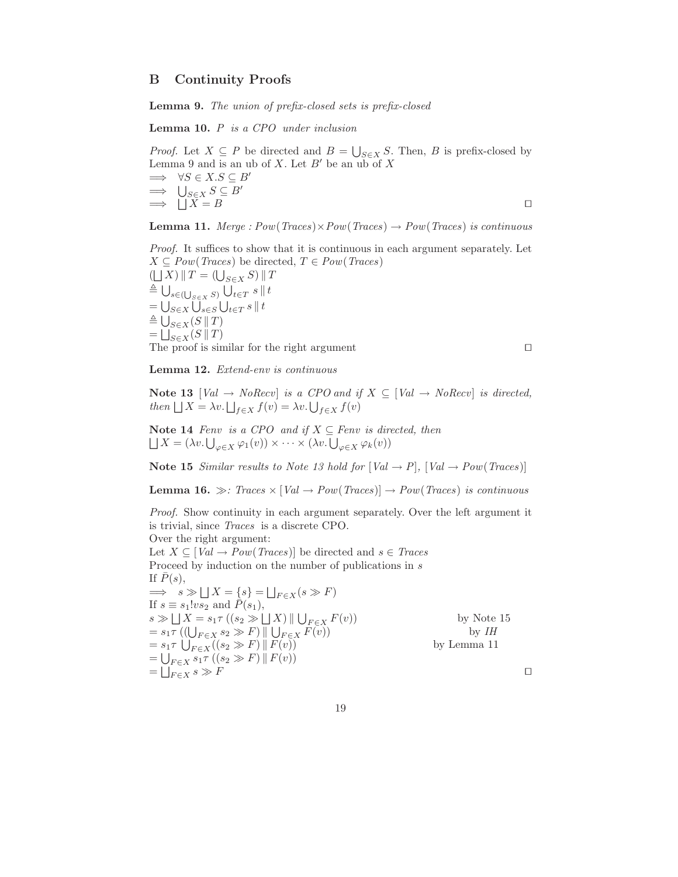# B Continuity Proofs

Lemma 9. The union of prefix-closed sets is prefix-closed

**Lemma 10.**  $P$  is a CPO under inclusion

*Proof.* Let  $X \subseteq P$  be directed and  $B = \bigcup_{S \in X} S$ . Then, B is prefix-closed by Lemma 9 and is an ub of  $X$ . Let  $B'$  be an ub of  $X$ 

$$
\Rightarrow \forall S \in X.S \subseteq B'
$$
  
\n
$$
\Rightarrow \bigcup_{S \in X} S \subseteq B'
$$
  
\n
$$
\Rightarrow \bigcup X = B
$$

**Lemma 11.** Merge :  $Pow(Traces) \times Pow(Traces) \rightarrow Pow(Traces)$  is continuous

Proof. It suffices to show that it is continuous in each argument separately. Let  $X \subseteq Pow(Traces)$  be directed,  $T \in Pow(Traces)$  $(\Box X)$   $T = (\bigcup_{S \in X} S)$   $T$  $\triangleq \bigcup_{s \in (\bigcup_{S \in X} S)} \bigcup_{t \in T} s \Vert t$  $=\bigcup_{S\in X}\bigcup_{s\in S}\bigcup_{t\in T}s\,\|\,t$  $\triangleq \bigcup_{S \in X} (S \parallel T)$  $=\bigsqcup_{S\in X}(S\parallel T)$ The proof is similar for the right argument □

Lemma 12. Extend-env is continuous

Note 13  $[Val \rightarrow NoRecv]$  is a CPO and if  $X \subseteq [Val \rightarrow NoRecv]$  is directed, then  $\bigsqcup X = \lambda v. \bigsqcup_{f \in X} f(v) = \lambda v. \bigcup_{f \in X} f(v)$ 

Note 14 Fenv is a CPO and if  $X \subseteq$  Fenv is directed, then  $\Box X = (\lambda v. \bigcup_{\varphi \in X} \varphi_1(v)) \times \cdots \times (\lambda v. \bigcup_{\varphi \in X} \varphi_k(v))$ 

Note 15 Similar results to Note 13 hold for  $[Val \rightarrow P]$ ,  $[Val \rightarrow Pow(Traces)]$ 

**Lemma 16.**  $\gg$ : Traces  $\times$  [Val  $\rightarrow$  Pow(Traces)]  $\rightarrow$  Pow(Traces) is continuous

Proof. Show continuity in each argument separately. Over the left argument it is trivial, since Traces is a discrete CPO.

Over the right argument: Let  $X \subseteq [Val \rightarrow Pow(Traces)]$  be directed and  $s \in Traces$ Proceed by induction on the number of publications in s If  $\overline{P}(s)$ ,  $\implies$   $s \gg \bigsqcup X = \{s\} = \bigsqcup_{F \in X} (s \gg F)$ If  $s \equiv s_1!vs_2$  and  $\overline{P}(s_1)$ ,  $s \gg \bigsqcup X = s_1 \tau ((s_2 \gg \bigsqcup X) \parallel \bigcup_{F \in X} F(v))$  by Note 15  $= s_1 \tau \left( \left( \bigcup_{F \in X} s_2 \gg F \right) \|\bigcup_{F \in X} F(v) \right)$  by IH  $= s_1 \tau \bigcup_{F \in X} ((s_2 \gg F) \parallel F(v))$  by Lemma 11  $=\bigcup_{F\in X} s_1 \tau ((s_2 \gg F) \parallel F(v))$  $=\bigsqcup_{F\in X} s\gg F$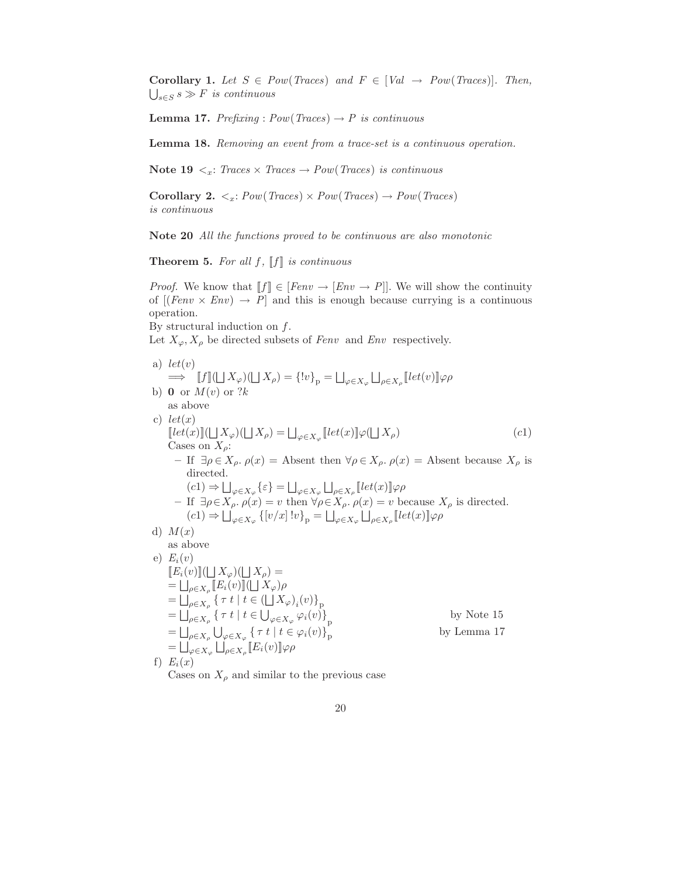**Corollary 1.** Let  $S \in Pow(Traces)$  and  $F \in [Val \rightarrow Pow(Traces)].$  Then,  $\bigcup_{s\in S} s\gg F$  is continuous

**Lemma 17.** Prefixing :  $Pow(Traces) \rightarrow P$  is continuous

Lemma 18. Removing an event from a trace-set is a continuous operation.

Note 19  $\lt_x$ : Traces  $\times$  Traces  $\rightarrow$  Pow(Traces) is continuous

Corollary 2.  $\lt_{x}$ :  $Pow(Traces) \times Pow(Traces) \rightarrow Pow(Traces)$ is continuous

Note 20 All the functions proved to be continuous are also monotonic

**Theorem 5.** For all  $f$ ,  $\llbracket f \rrbracket$  is continuous

*Proof.* We know that  $[f] \in [Fenv \rightarrow [Env \rightarrow P]]$ . We will show the continuity of  $[(Fenv \times Env) \rightarrow P]$  and this is enough because currying is a continuous operation.

By structural induction on  $f$ .

Let  $X_{\varphi}, X_{\rho}$  be directed subsets of *Fenv* and *Env* respectively.

a) 
$$
let(v)
$$
  
\n $\Rightarrow$   $[f](\Box X_{\varphi})(\Box X_{\rho}) = {\lbrace v \rbrace}_p = \Box_{\varphi \in X_{\varphi}} \Box_{\rho \in X_{\rho}} [let(v)] \varphi \rho$   
\nb) 0 or  $M(v)$  or ? $k$   
\nas above  
\nc)  $let(x)$   
\n $[let(x)][(\Box X_{\varphi})(\Box X_{\rho}) = \Box_{\varphi \in X_{\varphi}} [let(x)] \varphi(\Box X_{\rho})$  (c1)  
\nCases on  $X_{\rho}$ :  
\n $-$  If  $\exists \rho \in X_{\rho}$ .  $\rho(x) =$  Absent then  $\forall \rho \in X_{\rho}$ .  $\rho(x) =$  Absent because  $X_{\rho}$  is  
\ndirected.  
\n(c1)  $\Rightarrow \Box_{\varphi \in X_{\varphi}} \{ \varepsilon \} = \Box_{\varphi \in X_{\varphi}} \Box_{\rho \in X_{\rho}} [let(x)] \varphi \rho$   
\n $-$  If  $\exists \rho \in X_{\rho}$ .  $\rho(x) = v$  then  $\forall \rho \in X_{\rho}$ .  $\rho(x) = v$  because  $X_{\rho}$  is directed.  
\n(c1)  $\Rightarrow \Box_{\varphi \in X_{\varphi}} \{ [v/x] \, !v \}_p = \Box_{\varphi \in X_{\varphi}} \Box_{\rho \in X_{\rho}} [let(x)] \varphi \rho$   
\nd)  $M(x)$   
\nas above  
\ne)  $E_i(v)$   
\n $[E_i(v)][(\Box X_{\varphi})(\Box X_{\rho}) =$   
\n $= \Box_{\rho \in X_{\rho}} [E_i(v)][(\Box X_{\varphi})_{\rho})$   
\n $= \Box_{\rho \in X_{\rho}} \{ \tau t \mid t \in (\Box X_{\varphi})_i(v) \}_p$   
\n $= \Box_{\rho \in X_{\rho}} \bigcup_{\varphi \in X_{\varphi}} \{ \tau t \mid t \in \varphi_i(v) \}_p$   
\n $= \Box_{\varphi \in X_{\rho}} \bigcup_{\varphi \in X_{\varphi}} [E_i(v)] \varphi \rho$   
\nf)  $E_i(x)$   
\nCases on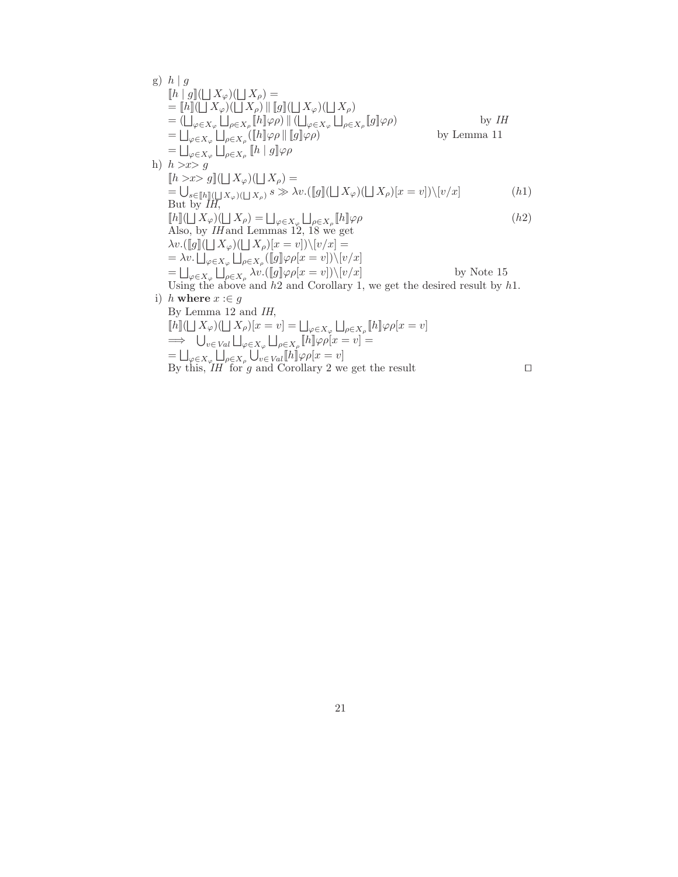g) 
$$
h | g
$$
  
\n $[h | g] (\lfloor X_{\varphi})(\lfloor X_{\rho}) =$   
\n $= [h] (\lfloor X_{\varphi})(\lfloor X_{\rho}) \rfloor \lfloor g] (\lfloor X_{\varphi})(\lfloor X_{\rho})$   
\n $= (\lfloor \varphi \in X_{\varphi} \lfloor \varphi \in X_{\rho} [h] \varphi \rho) \rfloor (\lfloor \varphi \in X_{\varphi} \lfloor g] \varphi \rho)$  by *IH*  
\n $= \lfloor \varphi \in X_{\varphi} \lfloor \varphi \in X_{\rho} [h] \varphi \rho \rfloor \lfloor g] \varphi \rho$  by Lemma 11  
\n $= \lfloor \varphi \in X_{\varphi} \lfloor \varphi \in X_{\rho} [h] g \varphi \rho$   
\nh)  $h \gg \gg g$   
\n $[h \gg \gg g] (\lfloor X_{\varphi})(\lfloor X_{\rho}) =$   
\n $= \bigcup_{s \in [h] (\lfloor X_{\varphi})(\lfloor X_{\rho}) \rfloor} s \gg \lambda v. ([g] (\lfloor X_{\varphi})(\lfloor X_{\rho})[x = v]) \setminus [v/x]$  (h1)  
\nBut by *IH*,  
\n $[h] (\lfloor X_{\varphi})(\lfloor X_{\rho}) \rfloor = \lfloor \varphi \in X_{\varphi} \lfloor \varphi \in X_{\rho} [h] \varphi \rho$   
\nAlso, by *IH* and Lemmas 12, 18 we get  
\n $\lambda v. ([g] (\lfloor X_{\varphi})(\lfloor X_{\rho})[x = v]) \setminus [v/x]$   
\n $= \lambda v. \lfloor \varphi \in X_{\varphi} \lfloor \varphi \in X_{\rho} \setminus ([g] \varphi \rho[x = v]) \setminus [v/x]$   
\n $= \lfloor \varphi \in X_{\varphi} \lfloor \varphi \in X_{\rho} \lambda v. ([g] \varphi \rho[x = v]) \setminus [v/x]$   
\n $= \lfloor \varphi \in X_{\varphi} \lfloor \varphi \in X_{\rho} \lambda v. ([g] \varphi \rho[x = v]) \setminus [v/x]$  by Note 15  
\nUsing the above and *h*2 and Corollary

21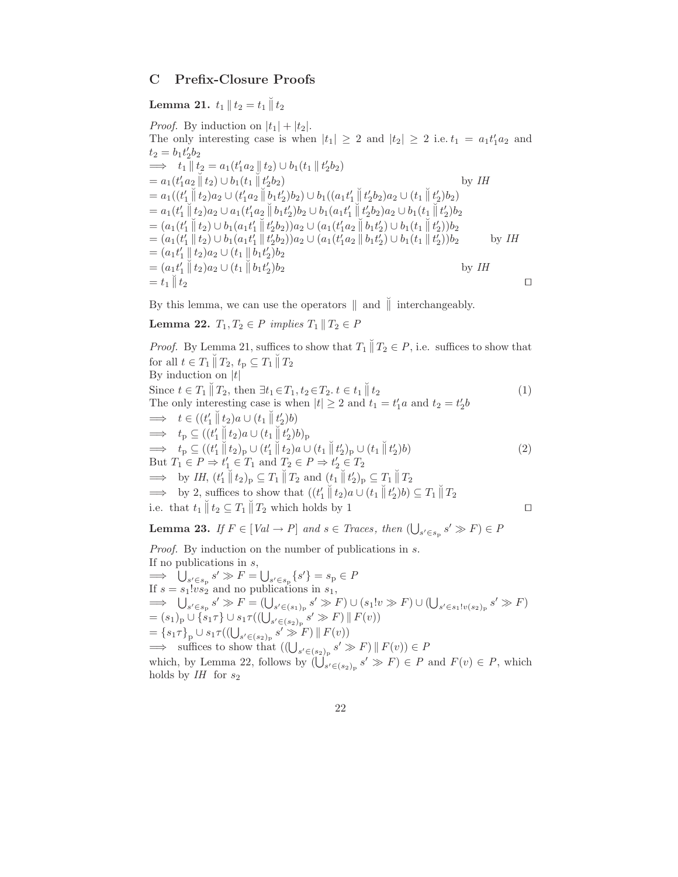# C Prefix-Closure Proofs

# $\textbf{Lemma 21.} \ \ t_1 \, \Vert \, t_2 = t_1 \, \breve{\Vert} \, t_2$

*Proof.* By induction on  $|t_1| + |t_2|$ . The only interesting case is when  $|t_1| \geq 2$  and  $|t_2| \geq 2$  i.e.  $t_1 = a_1 t_1^t a_2$  and  $t_2 = b_1 t'_2 b_2$  $\implies t_1 \parallel t_2 = a_1(t'_1 a_2 \parallel t_2) \cup b_1(t_1 \parallel t'_2 b_2)$  $= a_1(t'_1a_2 \parallel t_2) \cup b_1(t_1 \parallel t'_2)$ by  $I$ *H*  $=a_1((t'_1 \parallel t_2)a_2 \cup (t'_1 a_2 \parallel b_1 t'_2)b_2) \cup b_1((a_1 t'_1 \parallel t'_2 b_2)a_2 \cup (t_1 \parallel t'_2)b_2)$  $=a_1(t'_1 \parallel t_2)a_2 \cup a_1(t'_1a_2 \parallel b_1t'_2)b_2 \cup b_1(a_1t'_1 \parallel t'_2b_2)a_2 \cup b_1(t_1 \parallel t'_2)b_2$  $=(a_1(t'_1 \parallel t_2) \cup b_1(a_1t'_1 \parallel t'_2b_2))a_2 \cup (a_1(t'_1a_2 \parallel b_1t'_2) \cup b_1(t_1 \parallel t'_2))b_2$ =  $(a_1(t'_1 \parallel t_2) \cup b_1(a_1t'_1 \parallel t'_2b_2))a_2 \cup (a_1(t'_1a_2 \parallel b_1t'_2) \cup b_1(t_1 \parallel t'_2))$ by  $I$ *H*  $=(a_1t'_1 \parallel t_2)a_2 \cup (t_1 \parallel b_1t'_2)b_2$  $=(a_1 t'_1 \parallel t_2)a_2 \cup (t_1 \parallel b_1 t'_2)$ by  $I$ *H*  $= t_1 \parallel t_2$  $\parallel$  t<sub>2</sub> □

By this lemma, we can use the operators  $\parallel$  and  $\parallel$  interchangeably.

Lemma 22.  $T_1, T_2 \in P$  implies  $T_1 \parallel T_2 \in P$ 

*Proof.* By Lemma 21, suffices to show that  $T_1 \parallel T_2 \in P$ , i.e. suffices to show that for all  $t \in T_1 \parallel T_2$ ,  $t_p \subseteq T_1 \parallel T_2$ By induction on  $|t|$ Since  $t \in T_1 \parallel T_2$ , then  $\exists t_1 \in T_1, t_2 \in T_2$ .  $t \in t_1$  $\parallel t_2$  (1) The only interesting case is when  $|t| \ge 2$  and  $t_1 = t'_1 a$  and  $t_2 = t'_2 b$  $\implies t \in ((t'_1 \parallel t_2)a \cup (t_1 \parallel t'_2)b)$  $\implies t_{p} \subseteq ((t'_{1} \parallel t_{2}) a \cup (t_{1} \parallel t'_{2}) b)_{p}$  $\implies t_{\mathbf{p}} \subseteq ((t'_1 \parallel t_2)_{\mathbf{p}} \cup (t'_1 \parallel t_2)_{a} \cup (t_1 \parallel t'_2)_{\mathbf{p}} \cup (t_1 \parallel t'_2)_{a})$ <br>But  $T_1 \in P \Rightarrow t'_1 \in T_1$  and  $T_2 \in P \Rightarrow t'_2 \in T_2$  $(2)$  $\implies$  by IH,  $(t'_1 \parallel t_2)_{\text{p}} \subseteq T_1 \parallel T_2$  and  $(t_1 \parallel t'_2)_{\text{p}} \subseteq T_1 \parallel T_2$  $\implies$  by 2, suffices to show that  $((t'_1 \parallel t_2)a \cup (t_1 \parallel t'_2)b) \subseteq T_1 \parallel T_2$ i.e. that  $t_1 \parallel t_2 \subseteq T_1 \parallel T_2$  which holds by 1 □ **Lemma 23.** If  $F \in [Val \rightarrow P]$  and  $s \in Traces$ , then  $(\bigcup_{s' \in s_p} s' \gg F) \in P$ Proof. By induction on the number of publications in s. If no publications in  $s$ ,

 $\implies \bigcup_{s' \in s_p} s' \gg F = \bigcup_{s' \in s_p} \{s'\} = s_p \in P$ If  $s = s_1! v s_2$  and no publications in  $s_1$ ,  $\implies \bigcup_{s' \in s_p} s' \gg F = (\bigcup_{s' \in (s_1)_p} s' \gg F) \cup (s_1!v \gg F) \cup (\bigcup_{s' \in s_1!v(s_2)_p} s' \gg F)$  $=(s_1)_p \cup \{s_1\tau\} \cup s_1\tau((\bigcup_{s' \in (s_2)_p} s' \gg F) \parallel F(v))$  $=\{s_1\tau\}_{\text{p}}\cup s_1\tau((\bigcup_{s'\in(s_2)_{\text{p}}} s'\gg F)\|F(v))$ ⇒ suffices to show that  $((\bigcup_{s' \in (s_2)_p} s' \gg F) \parallel F(v)) \in P$ which, by Lemma 22, follows by  $(\bigcup_{s' \in (s_2)_p} s' \gg F) \in P$  and  $F(v) \in P$ , which holds by  $IH$  for  $s_2$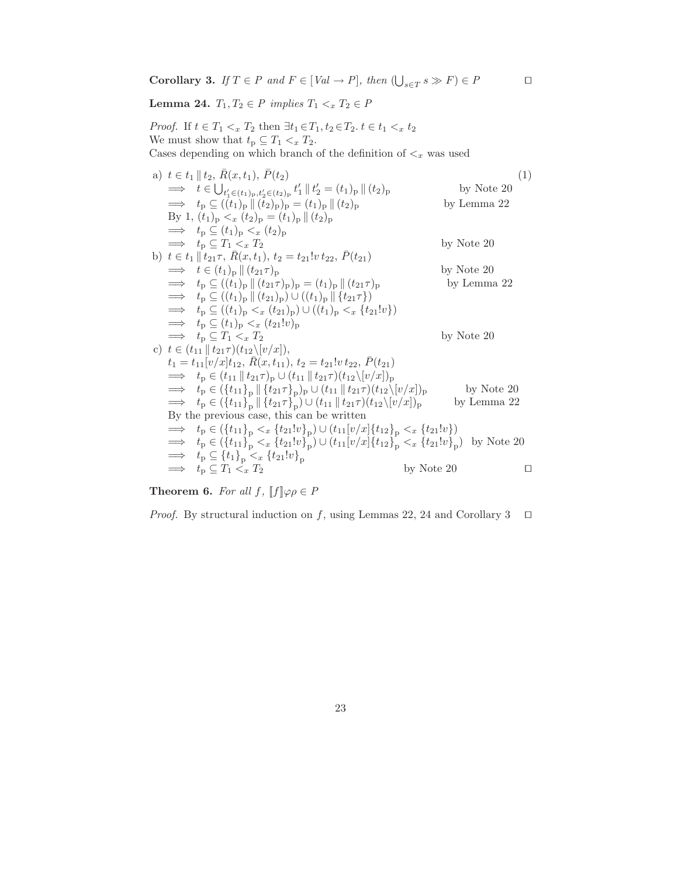**Corollary 3.** If  $T \in P$  and  $F \in [Val \rightarrow P]$ , then  $(\bigcup_{s \in T} s \gg F) \in P$ 

Lemma 24.  $T_1, T_2 \in P$  implies  $T_1 \leq_x T_2 \in P$ 

*Proof.* If  $t \in T_1 \lt_x T_2$  then  $\exists t_1 \in T_1, t_2 \in T_2$ .  $t \in t_1 \lt_x t_2$ We must show that  $t_p \subseteq T_1 <_x T_2$ . Cases depending on which branch of the definition of  $\lt_x$  was used

| a) $t \in t_1 \parallel t_2$ , $R(x, t_1)$ , $P(t_2)$                                                                                                           | (1)         |
|-----------------------------------------------------------------------------------------------------------------------------------------------------------------|-------------|
| $\implies t \in \bigcup_{t'_1 \in (t_1)_p, t'_2 \in (t_2)_p} t'_1 \parallel t'_2 = (t_1)_p \parallel (t_2)_p$                                                   | by Note 20  |
| $\implies t_{\mathbf{p}} \subseteq ((t_1)_{\mathbf{p}} \mathbin{\ } (t_2)_{\mathbf{p}})_{\mathbf{p}} = (t_1)_{\mathbf{p}} \mathbin{\ } (t_2)_{\mathbf{p}}$      | by Lemma 22 |
| By 1, $(t_1)_{\text{p}} <_x (t_2)_{\text{p}} = (t_1)_{\text{p}}    (t_2)_{\text{p}}$                                                                            |             |
| $\implies t_{\rm p} \subseteq (t_1)_{\rm p} <_x (t_2)_{\rm p}$                                                                                                  |             |
| $\implies t_{\text{p}} \subseteq T_1 \leq x T_2$                                                                                                                | by Note 20  |
| b) $t \in t_1 \parallel t_{21} \tau$ , $\bar{R}(x, t_1)$ , $t_2 = t_{21}! v t_{22}$ , $P(t_{21})$                                                               |             |
| $\implies t \in (t_1)_{\mathrm{p}} \parallel (t_{21}\tau)_{\mathrm{p}}$                                                                                         | by Note 20  |
| $\implies t_{\rm p} \subseteq ((t_1)_{\rm p} \mathbin{\ } (t_{21} \tau)_{\rm p})_{\rm p} = (t_1)_{\rm p} \mathbin{\ } (t_{21} \tau)_{\rm p}$                    | by Lemma 22 |
| $\implies t_{\rm p} \subseteq ((t_1)_{\rm p} \,    \, (t_{21})_{\rm p}) \cup ((t_1)_{\rm p} \,    \, \{t_{21} \tau\})$                                          |             |
| $\implies t_{\rm p} \subseteq ((t_1)_{\rm p} <_{x} (t_{21})_{\rm p}) \cup ((t_1)_{\rm p} <_{x} \{t_{21}!v\})$                                                   |             |
| $\implies t_{\rm p} \subseteq (t_1)_{\rm p} <_{x} (t_2 \cdot 1!v)_{\rm p}$                                                                                      |             |
| $\implies t_{\text{p}} \subseteq T_1 \leq x T_2$                                                                                                                | by Note 20  |
| c) $t \in (t_{11} \,    \, t_{21} \tau)(t_{12} \backslash [v/x]),$                                                                                              |             |
| $t_1 = t_{11}[v/x]t_{12}, R(x, t_{11}), t_2 = t_{21}!v t_{22}, P(t_{21})$                                                                                       |             |
| $\implies t_{\rm p} \in (t_{11} \,    \, t_{21} \tau)_{\rm p} \cup (t_{11} \,    \, t_{21} \tau) (t_{12} \setminus [v/x])_{\rm p}$                              |             |
| $\implies t_{\rm p} \in (\{t_{11}\}_{\rm p} \, \  \, \{t_{21}\tau\}_{\rm p})_{\rm p} \cup (t_{11} \, \  \, t_{21}\tau)(t_{12} \setminus [v/x])_{\rm p}$         | by Note 20  |
| $\implies t_{\rm p} \in (\{t_{11}\}_{\rm p}^{\rm p} \, \  \, \{t_{21}\tau\}_{\rm p}^{\rm p}) \cup (t_{11} \, \  \, t_{21}\tau)(t_{12} \setminus [v/x])_{\rm p}$ | by Lemma 22 |
| By the previous case, this can be written                                                                                                                       |             |
| $\implies t_{p} \in (\{t_{11}\}_{p} <_{x} \{t_{21}!v\}_{p}) \cup (t_{11}[v/x]\{t_{12}\}_{p} <_{x} \{t_{21}!v\})$                                                |             |
| $\implies t_p \in (\{t_{11}\}_p <_x \{t_{21}!v\}_p) \cup (t_{11}[v/x]\{t_{12}\}_p <_x \{t_{21}!v\}_p)$ by Note 20                                               |             |
| $\implies t_{\rm p} \subseteq {\{t_1\}}_{\rm p} <_{x} {\{t_{21}!v\}}_{\rm p}$                                                                                   |             |
| $\implies t_{\text{p}} \subseteq T_1 \leq x T_2$<br>by Note 20                                                                                                  |             |

**Theorem 6.** For all  $f$ ,  $[f] \varphi \rho \in P$ 

*Proof.* By structural induction on f, using Lemmas 22, 24 and Corollary 3  $□$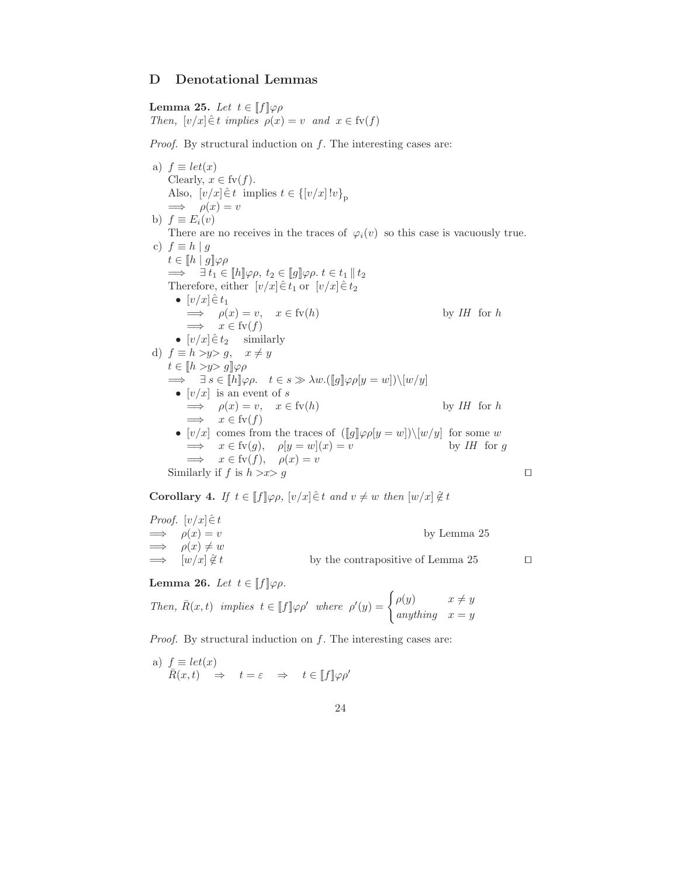# D Denotational Lemmas

Lemma 25. Let  $t \in [f] \varphi \rho$ Then,  $[v/x] \hat{\in} t$  implies  $\rho(x) = v$  and  $x \in \text{fv}(f)$ 

*Proof.* By structural induction on  $f$ . The interesting cases are:

a)  $f \equiv let(x)$ Clearly,  $x \in \text{fv}(f)$ . Also,  $[v/x] \in \mathfrak{t}$  implies  $t \in \{[v/x] \cdot v\}_{p}$  $\implies \rho(x) = v$ b)  $f \equiv E_i(v)$ There are no receives in the traces of  $\varphi_i(v)$  so this case is vacuously true. c)  $f \equiv h \mid g$  $t \in [h \mid g] \varphi \rho$  $\implies$   $\exists t_1 \in [\![h]\!] \varphi \rho, t_2 \in [\![g]\!] \varphi \rho. t \in t_1 \, || \, t_2$ Therefore, either  $[v/x] \hat{\in} t_1$  or  $[v/x] \hat{\in} t_2$ •  $[v/x] \hat{\in} t_1$  $\implies \rho(x) = v, \quad x \in \text{fv}(h)$  by IH for h  $\implies x \in \text{fv}(f)$ •  $[v/x] \hat{\in} t_2$  similarly d)  $f \equiv h \gg y \gg g, \quad x \neq y$  $t \in [h \gt y > g] \varphi \rho$  $\implies$   $\exists s \in [h] \varphi \rho$ .  $t \in s \gg \lambda w. ([g] \varphi \rho [y = w]) \setminus [w/y]$ •  $[v/x]$  is an event of s  $\implies \rho(x) = v, \quad x \in \text{fv}(h)$  by IH for h  $\implies x \in \text{fv}(f)$ •  $[v/x]$  comes from the traces of  $([g] \varphi \varphi[y = w]) \setminus [w/y]$  for some w  $\implies x \in \text{fv}(g), \quad \rho[y = w](x) = v$  by IH for g  $\implies x \in \text{fv}(f), \quad \rho(x) = v$ Similarly if f is  $h >x>g$  □

Corollary 4. If  $t \in [f] \varphi \rho$ ,  $[v/x] \hat{\in} t$  and  $v \neq w$  then  $[w/x] \hat{\notin} t$ 

| <i>Proof.</i> $[v/x] \hat{\in} t$ |                                   |  |
|-----------------------------------|-----------------------------------|--|
| $\implies \rho(x) = v$            | by Lemma 25                       |  |
| $\implies \rho(x) \neq w$         |                                   |  |
| $\implies$ $[w/x] \notin t$       | by the contrapositive of Lemma 25 |  |

Lemma 26. Let  $t \in [f] \varphi \rho$ .

Then, 
$$
\bar{R}(x, t)
$$
 implies  $t \in [[f]]\varphi \rho'$  where  $\rho'(y) = \begin{cases} \rho(y) & x \neq y \\ anything & x = y \end{cases}$ 

*Proof.* By structural induction on  $f$ . The interesting cases are:

a) 
$$
f \equiv let(x)
$$
  
\n $\overline{R}(x, t) \Rightarrow t = \varepsilon \Rightarrow t \in [[f]]\varphi\rho'$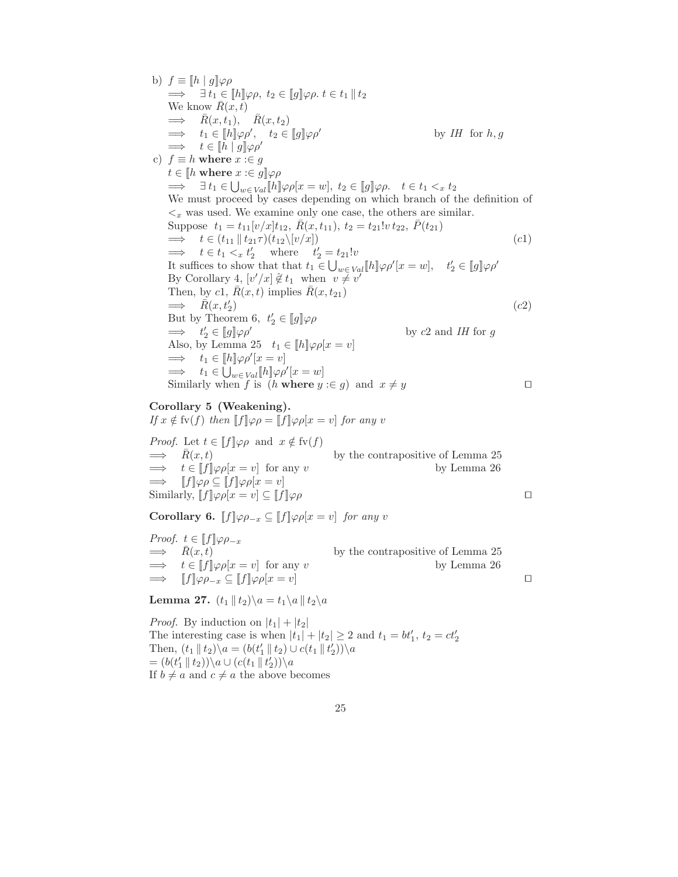b)  $f \equiv [h \mid g] \varphi \rho$  $\implies$   $\exists t_1 \in [\![h]\!] \varphi \rho, t_2 \in [\![g]\!] \varphi \rho, t \in t_1 \parallel t_2$ We know  $R(x, t)$  $\implies$   $\overline{R}(x, t_1), \quad \overline{R}(x, t_2)$  $\implies t_1 \in [h]\varphi\rho', \quad t_2 \in [g]\varphi\rho'$  by IH for  $h, g$  $\implies t \in [h \mid g] \varphi \rho'$ c)  $f \equiv h$  where  $x \in g$  $t \in [h$  where  $x : \in g \| \varphi \rho$  $\implies$   $\exists t_1 \in \bigcup_{w \in Val} [h] \varphi \rho[x = w], t_2 \in [g] \varphi \rho$ .  $t \in t_1 <_x t_2$ We must proceed by cases depending on which branch of the definition of  $\lt_x$  was used. We examine only one case, the others are similar. Suppose  $t_1 = t_{11}[v/x]t_{12}$ ,  $\bar{R}(x, t_{11})$ ,  $t_2 = t_{21}!v t_{22}$ ,  $\bar{P}(t_{21})$  $\implies t \in (t_{11} \, \| \, t_{21} \tau)(t_{12} \setminus [v/x])$  (c1)  $\implies t \in t_1 \lt_x t_2'$  where  $t_2' = t_{21}!v$ It suffices to show that that  $t_1 \in \bigcup_{w \in Val} [h] \varphi \rho'[x = w], \quad t'_2 \in [g] \varphi \rho'$ By Corollary 4,  $[v'/x] \notin t_1$  when  $v \neq v'$ Then, by c1,  $\bar{R}(x, t)$  implies  $\bar{R}(x, t_{21})$  $\implies$   $\overline{R}(x, t'_2)$ )  $(c2)$ But by Theorem 6,  $t_2 \in [g] \varphi \rho$  $\implies$  t<sub>2</sub> by  $c2$  and IH for g Also, by Lemma 25  $t_1 \in [h] \varphi \rho[x = v]$  $\implies t_1 \in [h] \varphi \rho' [x = v]$  $\implies t_1 \in \bigcup_{w \in Val} [h] \varphi \rho'[x = w]$ Similarly when f is (h where  $y \in g$ ) and  $x \neq y$  □

### Corollary 5 (Weakening).

If  $x \notin \text{fv}(f)$  then  $[[f]]\varphi\rho = [[f]]\varphi\rho[x = v]$  for any v

*Proof.* Let 
$$
t \in [f] \varphi \rho
$$
 and  $x \notin f v(f)$   
\n $\implies \overline{R}(x, t)$  by the contrapositive of Lemma 25  
\n $\implies t \in [f] \varphi \rho[x = v]$  for any v  
\n $\implies [f] \varphi \rho \subseteq [f] \varphi \rho[x = v]$   
\nSimilarly,  $[f] \varphi \rho[x = v] \subseteq [f] \varphi \rho$ 

Corollary 6.  $[[f] \varphi \rho_{-x} \subseteq [[f] \varphi \rho[x = v]$  for any v

| <i>Proof.</i> $t \in \llbracket f \rrbracket \varphi \rho_{-x}$  |                                   |  |
|------------------------------------------------------------------|-----------------------------------|--|
| $\implies \overline{R}(x,t)$                                     | by the contrapositive of Lemma 25 |  |
| $\implies t \in [f] \varphi \rho[x = v]$ for any v               | by Lemma 26                       |  |
| $\implies$ $[f]\varphi \rho_{-x} \subseteq [f]\varphi \rho[x=v]$ |                                   |  |

**Lemma 27.**  $(t_1 || t_2) \setminus a = t_1 \setminus a || t_2 \setminus a$ 

*Proof.* By induction on  $|t_1| + |t_2|$ The interesting case is when  $|t_1| + |t_2| \ge 2$  and  $t_1 = bt'_1$ ,  $t_2 = ct'_2$ Then,  $(t_1 || t_2) \backslash a = (b(t'_1 || t_2) \cup c(t_1 || t'_2)) \backslash a$  $=(b(t'_1 \,||\, t_2))\backslash a \cup (c(t_1 \,||\, t'_2))\backslash a$ If  $b \neq a$  and  $c \neq a$  the above becomes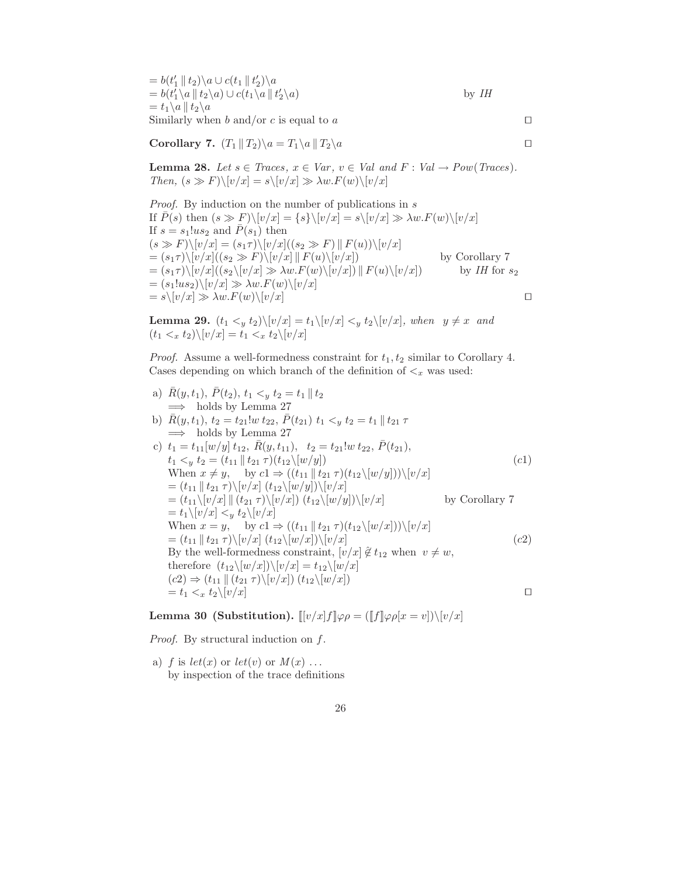$= b(t'_1 || t_2) \backslash a \cup c(t_1 || t'_2) \backslash a$  $= b(t'_1\backslash a\mathbin{||} t_2\backslash a)\cup c(t_1\backslash a\mathbin{||} t'_2)$ by  $I\!H$  $= t_1\backslash a \parallel t_2\backslash a$ Similarly when b and/or c is equal to a  $\Box$ 

Corollary 7.  $(T_1 || T_2)\$ a =  $T_1\$ a  $|| T_2\$ a  $□$ 

**Lemma 28.** Let  $s \in Traces$ ,  $x \in Var$ ,  $v \in Val$  and  $F : Val \rightarrow Pow(Traces)$ . Then,  $(s \gg F) \setminus [v/x] = s \setminus [v/x] \gg \lambda w.F(w) \setminus [v/x]$ 

Proof. By induction on the number of publications in s If  $\overline{P}(s)$  then  $(s \gg F) \setminus [v/x] = \{s\} \setminus [v/x] = s \setminus [v/x] \gg \lambda w \cdot F(w) \setminus [v/x]$ If  $s = s_1!us_2$  and  $\bar{P}(s_1)$  then  $(s \gg F) \left\{ \frac{v}{x} \right\} = (s_1 \tau) \left\{ \frac{v}{x} \right\} \left( \frac{s_2 \gg F}{F(u)} \right) \left\{ \frac{v}{x} \right\}$  $= (s_1\tau)\{v/x\}((s_2 \gg F)\{v/x\} || F(u)\{v/x\})$  by Corollary 7<br>  $= (s_1\tau)\{v/x\}((s_2\{v/x\}) \gg \lambda w.F(w)\{v/x\}) || F(u)\{v/x\})$  by *IH* for  $s_2$  $=(s_1\tau)\langle [v/x]((s_2\langle [v/x] \gg \lambda w.F(w)\langle [v/x] \rangle || F(u)\langle [v/x] \rangle$  $= (s_1!us_2)\backslash [v/x] \gg \lambda w.F(w)\backslash [v/x]$  $= s\langle [v/x] \gg \lambda w.F(w)\langle [v/x]$ 

**Lemma 29.**  $(t_1 \lt y t_2) \setminus [v/x] = t_1 \setminus [v/x] \lt y t_2 \setminus [v/x]$ , when  $y \neq x$  and  $(t_1 <_x t_2) \setminus [v/x] = t_1 <_x t_2 \setminus [v/x]$ 

*Proof.* Assume a well-formedness constraint for  $t_1, t_2$  similar to Corollary 4. Cases depending on which branch of the definition of  $\lt_x$  was used:

a) 
$$
\bar{R}(y, t_1), \bar{P}(t_2), t_1 < y t_2 = t_1 || t_2
$$
  
\n $\implies$  holds by Lemma 27  
\nb)  $\bar{R}(y, t_1), t_2 = t_{21}!w t_{22}, \bar{P}(t_{21}) t_1 < y t_2 = t_1 || t_{21} \tau$   
\n $\implies$  holds by Lemma 27  
\nc)  $t_1 = t_{11}[w/y] t_{12}, \bar{R}(y, t_{11}), t_2 = t_{21}!w t_{22}, \bar{P}(t_{21}),$   
\n $t_1 < y t_2 = (t_{11} || t_{21} \tau)(t_{12} \wedge [w/y])$   
\nWhen  $x \neq y$ , by  $c1 \Rightarrow ((t_{11} || t_{21} \tau)(t_{12} \wedge [w/y])) \wedge [v/x]$   
\n $= (t_{11} || t_{21} \tau) \wedge [v/x] (t_{12} \wedge [w/y]) \wedge [v/x]$   
\n $= (t_{11} \vee vx] || (t_{21} \tau) \wedge [v/x] (t_{12} \wedge [w/y]) \wedge [v/x]$   
\n $= t_1 \vee [v/x] < y t_2 \vee [v/x]$   
\nWhen  $x = y$ , by  $c1 \Rightarrow ((t_{11} || t_{21} \tau)(t_{12} \wedge [w/x])) \vee [v/x]$   
\n $= (t_{11} || t_{21} \tau) \wedge [v/x] (t_{12} \wedge [w/x]) \vee [v/x]$   
\n $= (t_{11} || t_{21} \tau) \wedge [v/x] (t_{12} \wedge [w/x]) \vee [v/x]$   
\nBy the well-formedness constraint,  $[v/x] \notin t_{12}$  when  $v \neq w$ ,  
\ntherefore  $(t_{12} \wedge [w/x]) \vee [v/x] = t_{12} \vee [w/x]$   
\n $(c2) \Rightarrow (t_{11} || (t_{21} \tau) \vee [v/x]) (t_{12} \vee [w/x])$   
\n $= t_1 < x_t t_2 \vee [v/x]$ 

Lemma 30 (Substitution).  $[ [v/x]f] | \varphi \rho = ([f] | \varphi \rho [x = v]) \setminus [v/x]$ 

*Proof.* By structural induction on  $f$ .

a) f is  $let(x)$  or  $let(v)$  or  $M(x)$ ... by inspection of the trace definitions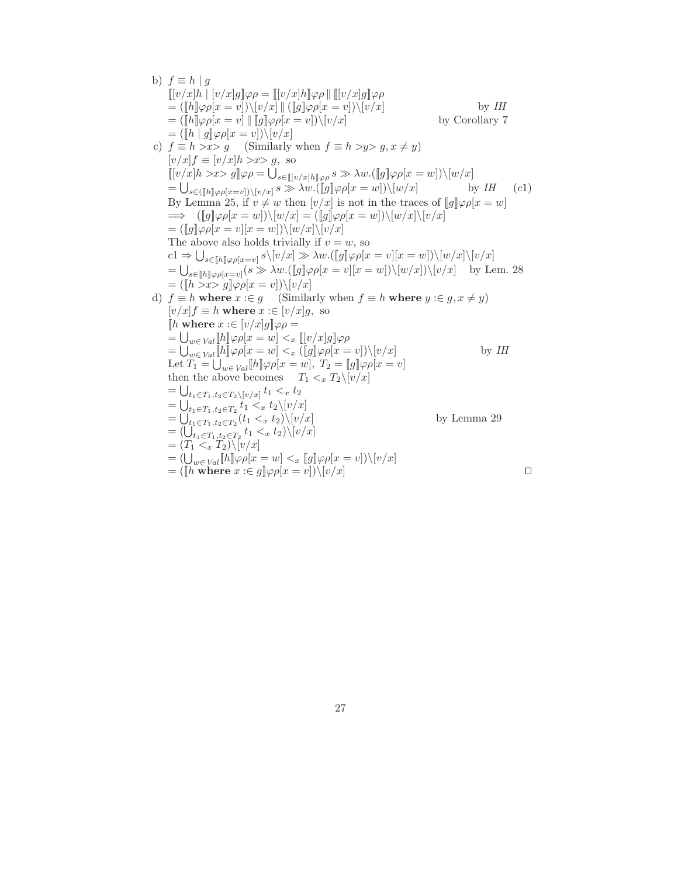b) 
$$
f = h | g
$$
  
\n
$$
[[v/x]h | [v/x]g] \varphi \rho = [[v/x]h] \varphi \rho] [[[v/x]g] \varphi \rho
$$
\n
$$
= ([h] \varphi \rho[x = v]) \backslash [v/x] || [[g] \varphi \rho[x = v]) \backslash [v/x]
$$
\nby Corollary 7\n
$$
= ([h] g] \varphi \rho[x = v]) \backslash [v/x]
$$
\nc)  $f = h > x > g$  (Similarly when  $f = h > y > g, x \neq y$ )\n
$$
[v/x] f = [v/x]h > x > g, so
$$
\n
$$
[[v/x]h \rightarrow x > g] \varphi \rho = U_{s \in [[v/x]h] \varphi \rho s} \gg \lambda w. ([g] \varphi \rho[x = w]) \backslash [w/x]
$$
\n
$$
= U_{s \in [[h] \varphi \rho[x = w]) \backslash [v/x] s} \gg \lambda w. ([g] \varphi \rho[x = w]) \backslash [w/x]
$$
\nby Lemma 25, if  $v \neq w$  then  $[v/x]$  is not in the traces of  $[g] \varphi \rho[x = w]$ \n
$$
\Rightarrow ([g] \varphi \rho[x = w]) \backslash [w/x] \rightarrow [w/x] \backslash [v/x]
$$
\n
$$
= ([g] \varphi \rho[x = w]) \backslash [w/x] \backslash [v/x]
$$
\nThe above also holds trivially if  $v = w$ , so\n
$$
c1 \Rightarrow U_{s \in [h] \varphi \rho[x = v]} s \backslash [v/x] \gg \lambda w. ([g] \varphi \rho[x = v]] \backslash [w/x] \backslash [v/x]
$$
\n
$$
= U_{s \in [h] \varphi \rho[x = v]} s \backslash [w/x] \gg \lambda w. ([g] \varphi \rho[x = v]] \backslash [w/x] \backslash [v/x]
$$
\n
$$
= U_{s \in [h] \varphi \rho[x = v]} \backslash [w/x] \gg \lambda w. ([g] \varphi \rho[x = v]] \backslash [w/x] \backslash [v/x]
$$
\n
$$
= U_{s \in [h] \varphi \rho[x = v]} \backslash [w/x] \rightarrow [w = w] \backslash [w/x] \backslash [v/x]
$$
\n
$$
= U_{s \in [h] \var
$$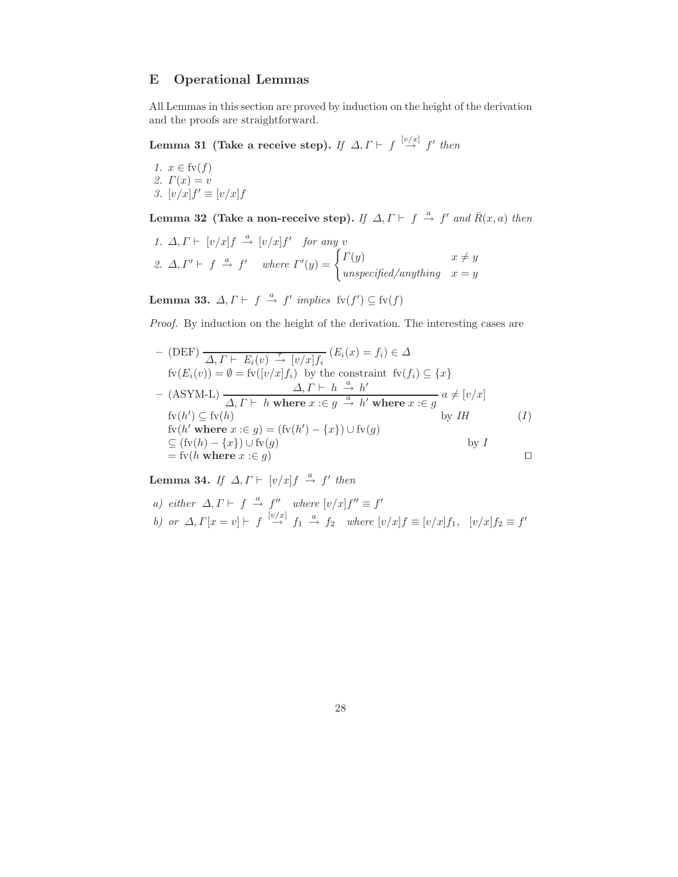# E Operational Lemmas

All Lemmas in this section are proved by induction on the height of the derivation and the proofs are straightforward.

Lemma 31 (Take a receive step). If  $\Delta, \Gamma \vdash f \stackrel{[v/x]}{\rightarrow} f'$  then

1.  $x \in \text{fv}(f)$ 2.  $\Gamma(x) = v$ 3.  $[v/x]f' \equiv [v/x]f$ 

Lemma 32 (Take a non-receive step). If  $\Delta, \Gamma \vdash f \stackrel{a}{\rightarrow} f'$  and  $\overline{R}(x, a)$  then

1. 
$$
\Delta, \Gamma \vdash [v/x]f \stackrel{a}{\rightarrow} [v/x]f'
$$
 for any  $v$   
\n2.  $\Delta, \Gamma' \vdash f \stackrel{a}{\rightarrow} f'$  where  $\Gamma'(y) = \begin{cases} \Gamma(y) & x \neq y \\ \text{unspecified/anything} & x = y \end{cases}$ 

**Lemma 33.**  $\Delta, \Gamma \vdash f \stackrel{a}{\rightarrow} f'$  implies  $f(v(f')) \subseteq f(v(f))$ 

Proof. By induction on the height of the derivation. The interesting cases are

$$
-(DEF) \frac{\Delta}{\Delta, \Gamma \vdash E_i(v)} \xrightarrow{\tau} [v/x] f_i \quad (E_i(x) = f_i) \in \Delta
$$
  
\n
$$
f(v(E_i(v)) = \emptyset = f(v[v/x] f_i) \text{ by the constraint } f(v(f_i) \subseteq \{x\}
$$
  
\n
$$
-(ASYM-L) \frac{\Delta, \Gamma \vdash h \xrightarrow{a} h'}{\Delta, \Gamma \vdash h \text{ where } x \in g \xrightarrow{a} h' \text{ where } x \in g} a \neq [v/x]
$$
  
\n
$$
f(v(h') \subseteq f(v(h))
$$
  
\n
$$
f(v(h') \subseteq f(v(h)) - \{x\}) \cup f(v(g))
$$
  
\n
$$
\subseteq (f(v(h) - \{x\}) \cup f(v(g))
$$
  
\n
$$
= f(v(h \text{ where } x \in g)
$$

**Lemma 34.** If  $\Delta, \Gamma \vdash [v/x]f \stackrel{a}{\rightarrow} f'$  then

a) either 
$$
\Delta, \Gamma \vdash f \stackrel{a}{\rightarrow} f''
$$
 where  $[v/x]f'' \equiv f'$   
b) or  $\Delta, \Gamma[x = v] \vdash f \stackrel{[v/x]}{\rightarrow} f_1 \stackrel{a}{\rightarrow} f_2$  where  $[v/x]f \equiv [v/x]f_1$ ,  $[v/x]f_2 \equiv f'$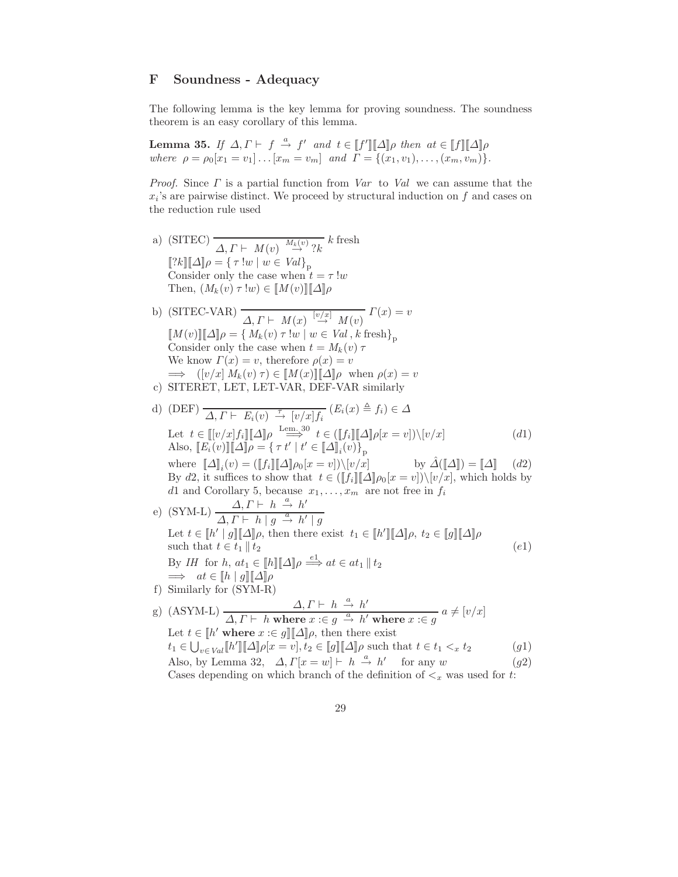### F Soundness - Adequacy

The following lemma is the key lemma for proving soundness. The soundness theorem is an easy corollary of this lemma.

**Lemma 35.** If 
$$
\Delta, \Gamma \vdash f \stackrel{a}{\rightarrow} f'
$$
 and  $t \in [[f]][\Delta]\rho$  then at  $\in [[f]][\Delta]\rho$   
where  $\rho = \rho_0[x_1 = v_1] \dots [x_m = v_m]$  and  $\Gamma = \{(x_1, v_1), \dots, (x_m, v_m)\}.$ 

*Proof.* Since  $\Gamma$  is a partial function from  $\text{Var}$  to  $\text{Val}$  we can assume that the  $x_i$ 's are pairwise distinct. We proceed by structural induction on  $f$  and cases on the reduction rule used

a) (SITEC)  $\overline{\Delta, \Gamma \vdash M(v) \stackrel{M_k(v)}{\rightarrow} ?k}$  k fresh  $\llbracket ?k \rrbracket \llbracket \Delta \rrbracket \rho = \{ \tau ! w \mid w \in Val \}_{p}$ Consider only the case when  $t = \tau!w$ Then,  $(M_k(v) \tau ! w) \in [M(v)][\Delta] \rho$ b) (SITEC-VAR)  $\overline{\Delta, \Gamma \vdash M(x) \stackrel{[v/x]}{\rightarrow} M(v)} \stackrel{\Gamma(x)}{\rightarrow} v$  $\llbracket M(v) \rrbracket [\Delta] \rho = \{ M_k(v) \tau ! w \mid w \in Val, k \text{ fresh} \},$ Consider only the case when  $t = M_k(v) \tau$ We know  $\Gamma(x) = v$ , therefore  $\rho(x) = v$  $\implies$   $([v/x] M_k(v) \tau) \in [M(x)][\Delta] \rho$  when  $\rho(x) = v$ c) SITERET, LET, LET-VAR, DEF-VAR similarly d) (DEF)  $\overline{\Delta, \Gamma \vdash E_i(v) \stackrel{\tau}{\rightarrow} [v/x] f_i}$   $(E_i(x) \triangleq f_i) \in \Delta$ Let  $t \in [[v/x]f_i]] \Delta] \rho \stackrel{\text{Lem.30}}{\Longrightarrow} t \in (\llbracket f_i \rrbracket [\Delta] \rho [x = v]) \setminus [v/x]$  (d1) Also,  $[[E_i(v)][\![\Delta]\!] \rho = {\tau t' | t' \in [\![\Delta]\!]_i(v)}_p$ where  $[\![\Delta]\!]_i(v) = ([\![f_i]\!] [\![\Delta]\!] \rho_0[x = v]) \setminus [v/x]$  by  $\hat{\Delta}([\![\Delta]\!]) = [\![\Delta]\!]$  (d2) By d2, it suffices to show that  $t \in (\llbracket f_i \rrbracket \llbracket \Delta \rrbracket \rho_0[x = v]) \setminus [v/x]$ , which holds by d1 and Corollary 5, because  $x_1, \ldots, x_m$  are not free in  $f_i$ e) (SYM-L)  $\frac{\Delta, \Gamma \vdash h \stackrel{a}{\rightarrow} h'}{\Delta, \Gamma \vdash h \stackrel{a}{\rightarrow} h'}$  $\Delta, \Gamma \vdash h \mid g \stackrel{a}{\rightarrow} h' \mid g$ Let  $t \in [h' | g] [\![\Delta]\!] \rho$ , then there exist  $t_1 \in [h'] [\![\Delta]\!] \rho$ ,  $t_2 \in [g] [\![\Delta]\!] \rho$ such that  $t \in t_1 \parallel t_2$  (e1) By IH for  $h, at_1 \in [h] [\![\Delta]\!] \rho \stackrel{e1}{\Longrightarrow} at \in at_1 \mid \mid t_2$  $\implies$  at  $\in$   $[h \mid g \rrbracket \Delta \not\!\vert \rho$ f) Similarly for (SYM-R) g)  $(ASYM-L)$   $\frac{\Delta, \Gamma \vdash h \stackrel{a}{\longrightarrow} h'}{1}$  $\overline{\Delta}, \Gamma \vdash h$  where  $x : \in g \stackrel{a}{\to} h'$  where  $x : \in g$   $a \neq [v/x]$ Let  $t \in [h'$  where  $x : \in g][\![\Delta]\!] \rho$ , then there exist  $t_1 \in \bigcup_{v \in Val} [h'] \llbracket \Delta \rrbracket \rho[x = v], t_2 \in \llbracket g \rrbracket \llbracket \Delta \rrbracket \rho$  such that  $t \in t_1 <_x t_2$  (g1) Also, by Lemma 32,  $\Delta, \Gamma[x = w] \vdash h \stackrel{a}{\rightarrow} h'$  for any w (g2) Cases depending on which branch of the definition of  $\lt_x$  was used for t: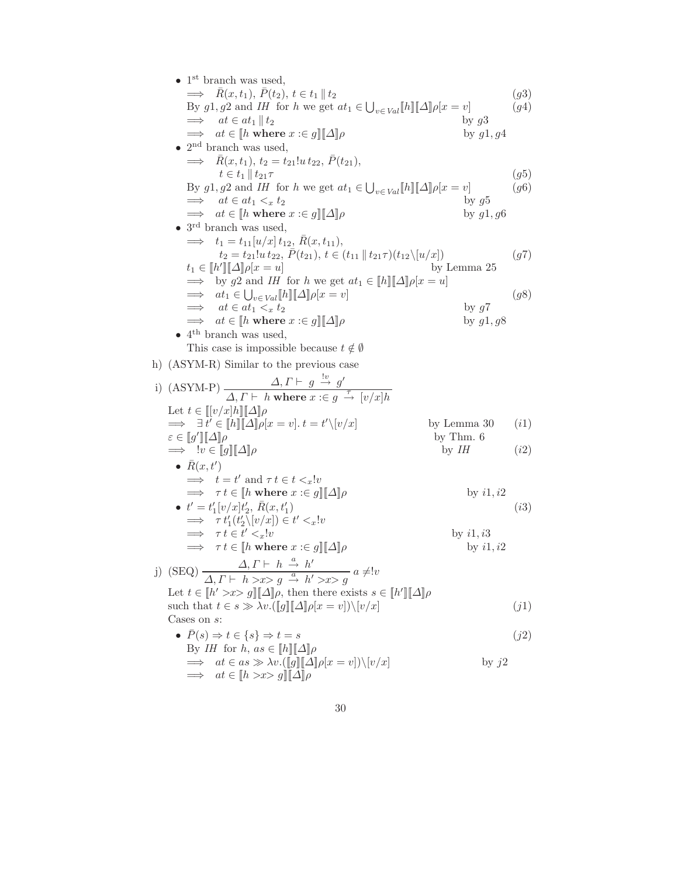$\bullet$  1<sup>st</sup> branch was used,  $\implies \bar{R}(x, t_1), \bar{P}(t_2), t \in t_1 \parallel t_2$  (g3) By  $g1, g2$  and IH for h we get  $at_1 \in \bigcup_{v \in Val} [h] [\![\Delta]\!] \rho[x = v]$  (g4)  $\implies$  at  $\in$  at<sub>1</sub> || t<sub>2</sub> by g3  $\implies$  at  $\in$  [h where  $x : \in g$ ][ $\triangle$ ] $\rho$  by  $g1, g4$ •  $2<sup>nd</sup>$  branch was used,  $\implies \overline{R}(x, t_1), t_2 = t_{21}!u t_{22}, \overline{P}(t_{21}),$  $t \in t_1 \, || \, t_{21} \tau$  (g5) By  $g1, g2$  and IH for h we get  $at_1 \in \bigcup_{v \in Val} [h] [\![\Delta]\!] \rho[x = v]$  (g6)  $\implies$  at  $\in$  at<sub>1</sub>  $\lt_x t_2$  by g5  $\implies$  at  $\in$  [h where  $x : \in g$ ][ $\triangle$ ] $\rho$  by g1, g6 •  $3^{\text{rd}}$  branch was used,  $\implies t_1 = t_{11}[u/x] t_{12}, R(x, t_{11}),$  $t_2 = t_{21}!u t_{22}, \bar{P}(t_{21}), t \in (t_{11} || t_{21} \tau) (t_{12} \setminus [u/x])$  (g7)  $t_1 \in \llbracket h' \rrbracket$ by Lemma 25  $\implies$  by g2 and IH for h we get  $at_1 \in [h] [\![\Delta]\!] \rho[x = u]$  $\implies at_1 \in \bigcup_{v \in Val} [h] [\![\Delta]\!] \rho[x = v]$  (g8)  $\implies$  at  $\in$  at<sub>1</sub>  $\lt_x$  t<sub>2</sub> by g7  $\implies$  at  $\in$  [h where  $x : \in g$ ][ $\triangle$ ] $\rho$  by g1, g8  $\bullet$  4<sup>th</sup> branch was used, This case is impossible because  $t \notin \emptyset$ h) (ASYM-R) Similar to the previous case i)  $(ASYM-P)$   $\longrightarrow$   $\frac{\Delta, \Gamma \vdash g \stackrel{\text{lv}}{\rightarrow} g'}{\longrightarrow}$  $\Delta, \Gamma \vdash h$  where  $x : \in g \stackrel{\tau}{\to} [v/x]h$ Let  $t \in \llbracket [v/x]h \rrbracket \llbracket \Delta \rrbracket \rho$  $\implies \exists t' \in [\![h]\!][\![\Delta]\!] \rho[x = v]. t = t$ by Lemma 30  $(i1)$  $\varepsilon \in [g']$ by Thm.  $6$  $\implies$   $\exists v \in [g] [\![\Delta]\!] \rho$  by *IH* (i2) •  $\bar{R}(x, t')$  $\implies t = t'$  and  $\tau t \in t <_x!v$  $\implies \tau t \in [h \text{ where } x \in g][\![\Delta]\!] \rho$  by  $i1, i2$ •  $t' = t'_1[v/x]t'_2, \, \bar{R}(x, t'_1)$ )  $(i3)$  $\implies \tau t'_1(t'_2\setminus[v/x]) \in t' <_x!v$  $\implies \tau t \in t' <_x! v$ by  $i1, i3$  $\implies \tau t \in [h \text{ where } x : \in g][\![\Delta]\!] \rho$  by  $i1, i2$ j) (SEQ)  $\frac{\Delta, \Gamma \vdash h \stackrel{a}{\rightarrow} h'}{4 \cdot \Gamma \vdash h \rightarrow h}$  $\overline{\Delta, \Gamma \vdash h \gg z \gt g \stackrel{a}{\rightarrow} h' \gt x \gt g}$   $a \neq v$ Let  $t \in [h' > x > g] [ \Delta ] \rho$ , then there exists  $s \in [h'] [ \Delta ] \rho$ such that  $t \in s \gg \lambda v. (\llbracket g \rrbracket \Delta \llbracket \rho[x = v] \setminus [v/x]$  (j1) Cases on s: •  $\overline{P}(s) \Rightarrow t \in \{s\} \Rightarrow t = s$  (j2) By *IH* for  $h, as \in [h][\![\Delta]\!] \rho$  $\implies$  at  $\in$  as  $\gg \lambda v. (\llbracket g \rrbracket \Delta \llbracket \rho \rrbracket x = v \rrbracket) \backslash [v/x]$  by j2  $\implies$  at  $\in$   $|h \gt x > g$   $||\Delta|| \rho$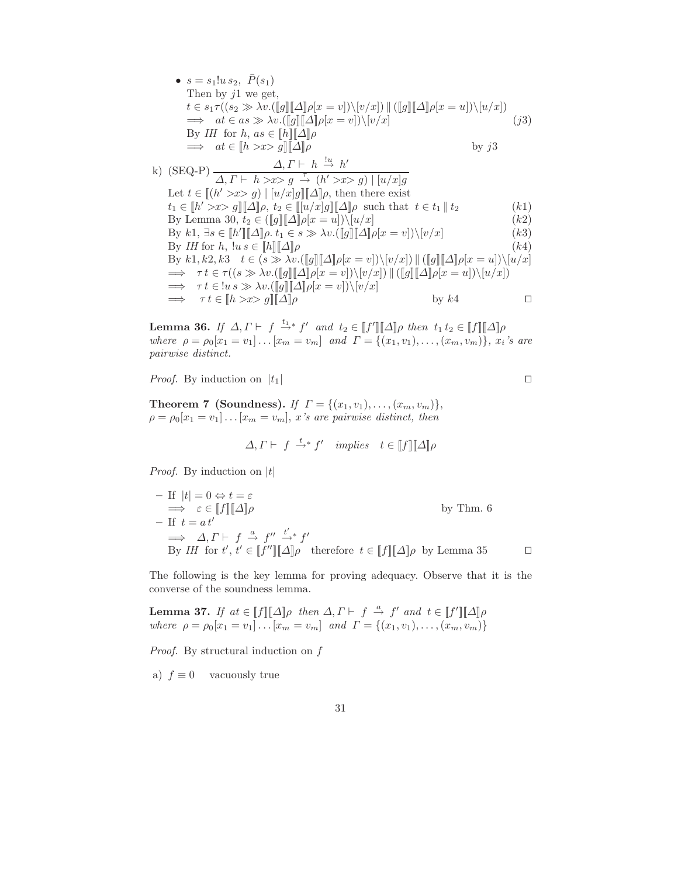• 
$$
s = s_1!u s_2
$$
,  $\bar{P}(s_1)$   
\nThen by  $j1$  we get,  
\n $t \in s_1 \tau((s_2 \gg \lambda v.([g]\llbracket \Delta \rrbracket \rho[x = v])\backslash[v/x]) \parallel ([g]\llbracket \Delta \rrbracket \rho[x = u])\backslash[u/x])$  (33)  
\nBy *IH* for  $h$ ,  $as \in [h]\llbracket \Delta \rrbracket \rho[x = v]\backslash[v/x]$  by  $j3$   
\nBy *IH* for  $h$ ,  $as \in [h]\llbracket \Delta \rrbracket \rho$  by  $j3$   
\n  
\n**k**)  $(\text{SEQ-P}) \xrightarrow{\Delta, \Gamma \vdash h \gg x > g} \xrightarrow{\tau} (h' \gg x > g) | [u/x]g$   
\nLet  $t \in [(h' \gg x > g)] [u/x]g][\llbracket \Delta \rrbracket \rho$ , then there exist  
\n $t_1 \in [h' \gg x > g][\llbracket \Delta \rrbracket \rho, t_2 \in [[u/x]g][\llbracket \Delta \rrbracket \rho$  such that  $t \in t_1 || t_2$  (k1)  
\nBy Lemma 30,  $t_2 \in ([g]\llbracket \Delta \rrbracket \rho[x = u])\backslash[u/x]$  (k2)  
\nBy  $k1$ ,  $\exists s \in [h'][\llbracket \Delta \rrbracket \rho, t_1 \in s \gg \lambda v. ([g]\llbracket \Delta \rrbracket \rho[x = v])\backslash[v/x]) || ([g]\llbracket \Delta \rrbracket \rho[x = u])\backslash[u/x]$   
\nBy  $k1$ ,  $k2$ ,  $ks$   $t \in (s \gg \lambda v. ([g]\llbracket \Delta \rrbracket \rho[x = v])\backslash[v/x]) || ([g]\llbracket \Delta \rrbracket \rho[x = u])\backslash[u/x]$   
\n $\Rightarrow \tau t \in \tau((s \gg \lambda v.([\lg]\llbracket \Delta \rrbracket \rho[x = v])\backslash[v/x]) || ([g]\llbracket \Delta \rrbracket \rho[x = u])\backslash[u/x])$   
\n $\Rightarrow \tau t \in [h \gg x > g]\llbracket \Delta \rrbracket \rho$  by  $k4$ 

Lemma 36. If  $\Delta, \Gamma \vdash f \stackrel{t_1}{\rightarrow} f'$  and  $t_2 \in [f'] [ \Delta ] \rho$  then  $t_1 t_2 \in [f] [ \Delta ] \rho$ where  $\rho = \rho_0[x_1 = v_1] \dots [x_m = v_m]$  and  $\Gamma = \{(x_1, v_1), \dots, (x_m, v_m)\}, x_i$ 's are pairwise distinct.

*Proof.* By induction on  $|t_1|$  □

**Theorem 7 (Soundness).** If  $\Gamma = \{(x_1, v_1), \dots, (x_m, v_m)\},\$  $\rho = \rho_0[x_1 = v_1] \dots [x_m = v_m],$  x's are pairwise distinct, then

$$
\Delta, \Gamma \vdash f \stackrel{t}{\rightarrow} f' \quad implies \quad t \in \llbracket f \rrbracket \llbracket \Delta \rrbracket \rho
$$

*Proof.* By induction on  $|t|$ 

$$
- \text{ If } |t| = 0 \Leftrightarrow t = \varepsilon
$$
  
\n
$$
\implies \varepsilon \in [f] [\![\Delta]\!] \rho
$$
  
\n
$$
- \text{ If } t = a t'
$$
  
\n
$$
\implies \Delta, \Gamma \vdash f \stackrel{a}{\to} f'' \stackrel{t'}{\to} f'
$$
  
\nBy *IH* for  $t', t' \in [f''] [\![\Delta]\!] \rho$  therefore  $t \in [f] [\![\Delta]\!] \rho$  by Lemma 35

The following is the key lemma for proving adequacy. Observe that it is the converse of the soundness lemma.

**Lemma 37.** If  $at \in [f][\![\Delta]\!] \rho$  then  $\Delta, \Gamma \vdash f \stackrel{a}{\to} f'$  and  $t \in [f'][\![\Delta]\!] \rho$ where  $\rho = \rho_0[x_1 = v_1] \dots [x_m = v_m]$  and  $\Gamma = \{(x_1, v_1), \dots, (x_m, v_m)\}\$ 

*Proof.* By structural induction on  $f$ 

a)  $f \equiv 0$  vacuously true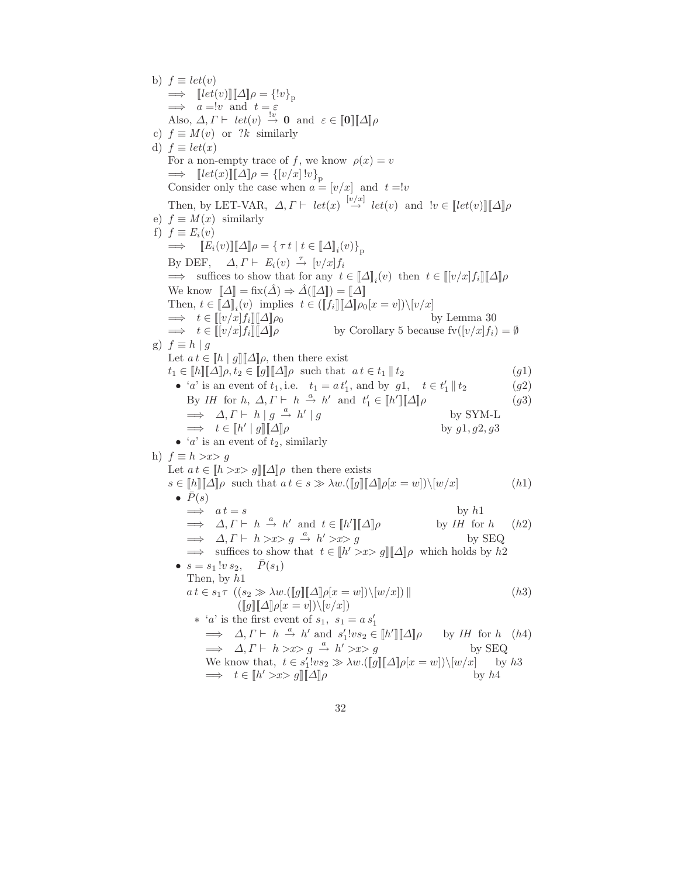b)  $f \equiv let(v)$  $\implies$   $[let(v)][\Delta]\rho = {\{iv\}}_{\text{p}}$  $\implies a = v$  and  $t = \varepsilon$ Also,  $\Delta, \Gamma \vdash \text{let}(v) \stackrel{!v}{\rightarrow} \mathbf{0}$  and  $\varepsilon \in [\![\mathbf{0}]\!][\![\Delta]\!] \rho$ c)  $f \equiv M(v)$  or ?k similarly d)  $f \equiv let(x)$ For a non-empty trace of f, we know  $\rho(x) = v$  $\implies$   $[let(x)][\Delta]\rho = {\{v/x\}}v\}_p$ Consider only the case when  $a = [v/x]$  and  $t = v$ Then, by LET-VAR,  $\Delta, \Gamma \vdash let(x) \stackrel{[v/x]}{\rightarrow} let(v)$  and  $!v \in [let(v)][\Delta]\rho$ e)  $f \equiv M(x)$  similarly f)  $f \equiv E_i(v)$  $\implies$   $\left[ E_i(v) \right] \left[ \Delta \right] \rho = \{ \tau t \mid t \in \left[ \Delta \right]_i(v) \}_{\text{p}}$ By DEF,  $\Delta, \Gamma \vdash E_i(v) \stackrel{\tau}{\to} [v/x] f_i$  $\implies$  suffices to show that for any  $t \in [\![\Delta]\!]_i(v)$  then  $t \in [[v/x]f_i][\![\Delta]\!] \rho$ We know  $[\![\Delta]\!] = \operatorname{fix}(\hat{\Delta}) \Rightarrow \hat{\Delta}([\![\Delta]\!]) = [\![\Delta]\!]$ Then,  $t \in [\![\Delta]\!]_i(v)$  implies  $t \in ([\![f_i]\!] [\![\Delta]\!] \rho_0[x = v]) \setminus [v/x]$  $\implies t \in [[v/x]f_i] [\![\Delta]\!] \rho_0$ by Lemma 30  $\implies t \in [[v/x]f_i] [\![\Delta]\!] \rho$ by Corollary 5 because  $f_v([v/x]f_i) = \emptyset$ g)  $f \equiv h \mid g$ Let  $a t \in [h | g] [ \Delta ] \rho$ , then there exist  $t_1 \in \llbracket h \rrbracket [\Delta] \rho, t_2 \in \llbracket g \rrbracket [\Delta] \rho$  such that  $a \, t \in t_1 \, \parallel t_2$  (g1) • '*a*' is an event of  $t_1$ , i.e.  $t_1 = a t'_1$ , and by  $g_1$ ,  $t \in t'_1$  $(g2)$ By *IH* for *h*,  $\Delta, \Gamma \vdash h \stackrel{a}{\rightarrow} h'$  and  $t'_1 \in [h'] [ \![ \Delta ] \!] \rho$  (g3)  $\implies \Delta, \Gamma \vdash h \mid g \stackrel{a}{\rightarrow} h'$ by SYM-L  $\implies t \in [h'$ by  $g1, g2, g3$ •  $a'$  is an event of  $t_2$ , similarly h)  $f \equiv h \gg z \gg g$ Let  $a t \in [h \gt x > g]$   $\llbracket \Delta \rrbracket \rho$  then there exists  $s \in \llbracket h \rrbracket \Delta \rrbracket \rho$  such that  $a t \in s \gg \lambda w. (\llbracket g \rrbracket \llbracket \Delta \rrbracket \rho[x = w]) \setminus [w/x]$  (h1)  $\bullet$   $\bar{P}(s)$  $\implies$   $at = s$  by h1  $\implies \Delta, \Gamma \vdash h \stackrel{a}{\rightarrow} h' \text{ and } t \in [h']$ by  $IH$  for  $h$  (h2)  $\implies \Delta, \Gamma \vdash h \gg z \gg g \stackrel{a}{\to} h' \gg z \gg g$  by SEQ  $\implies$  suffices to show that  $t \in [h' > x > g][\![\Delta]\!] \rho$  which holds by  $h2$ •  $s = s_1! v s_2, \quad \bar{P}(s_1)$ Then, by h1  $a t \in s_1 \tau \ ((s_2 \gg \lambda w. (\llbracket g \rrbracket \llbracket \Delta \rrbracket \rho[x = w]) \setminus [w/x])$  $([g]\llbracket\Delta\rrbracket\rho[x=v])\backslash[v/x])$ (h3) ∗ '*a*' is the first event of  $s_1$ ,  $s_1 = a s'_1$  $\implies \Delta, \Gamma \vdash h \stackrel{a}{\rightarrow} h' \text{ and } s_1'! vs_2 \in [h']$ by  $IH$  for  $h$  (h4)  $\implies$   $\Delta, \Gamma \vdash h \gg z \gt g \stackrel{a}{\rightarrow} h' \gg z \gt g$  by SEQ We know that,  $t \in s'_1! v s_2 \gg \lambda w. ([g] [\![\Delta]\!] \rho[x = w]) \setminus [w/x]$  by h3  $\implies t \in [h' > x > g][\![\Delta]\!] \rho$  by h4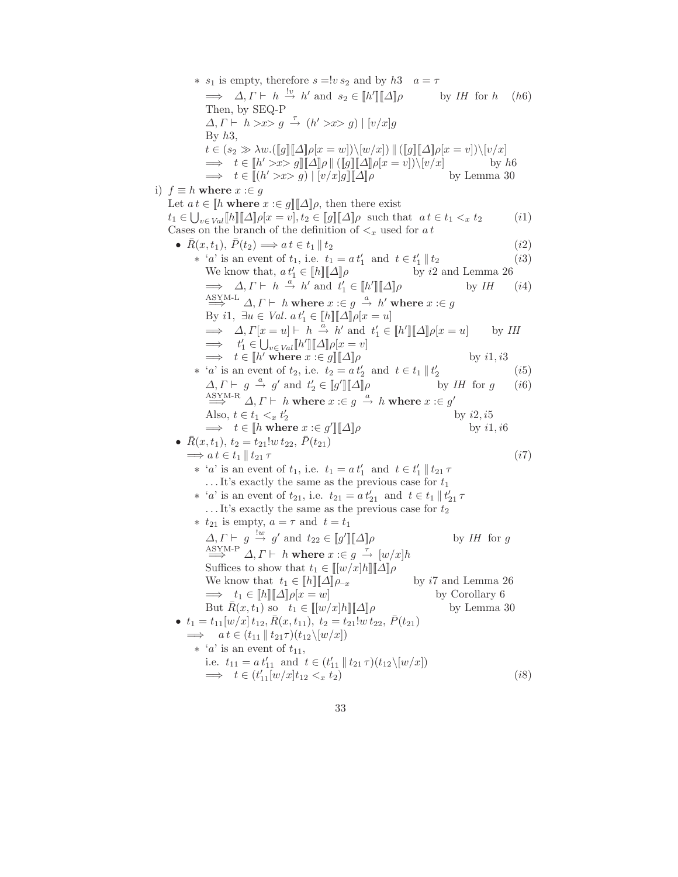$\ast s_1$  is empty, therefore  $s = !v s_2$  and by  $h3 \text{ a = } \tau$  $\implies \Delta, \Gamma \vdash h \stackrel{!v}{\rightarrow} h' \text{ and } s_2 \in [h']$ by IH for h  $(h6)$ Then, by SEQ-P  $\Delta, \Gamma \vdash \hat{h} >x> g \stackrel{\tau}{\rightarrow} (h' >x> g) \mid [v/x]g$ By  $h3$ ,  $t \in (s_2 \gg \lambda w. (\llbracket g \rrbracket \llbracket \Delta \rrbracket \rho[x = w]) \setminus [w/x]) \parallel (\llbracket g \rrbracket \llbracket \Delta \rrbracket \rho[x = v]) \setminus [v/x]$  $\implies t \in [h' >x > g][\hspace{-0.1cm}][\hspace{-0.1cm}]\Delta \hspace{-0.1cm}][\hspace{-0.1cm}]\rho \hspace{-0.1cm}][\hspace{-0.1cm}[(g][\hspace{-0.1cm}][\hspace{-0.1cm}]\Delta \hspace{-0.1cm}][\hspace{-0.1cm}]\rho[x = v]) \backslash [v/x]$  by h6  $\implies t \in [(h' > x > g) | [v/x]g] [\Delta] \rho$  by Lemma 30 i)  $f \equiv h$  where  $x : \in g$ Let  $a t \in [h$  where  $x \in g][\![\Delta]\!] \rho$ , then there exist  $t_1 \in \bigcup_{v \in Val} [h] [\![\Delta]\!] \rho[x = v], t_2 \in [\![g]\!] [\![\Delta]\!] \rho$  such that  $a \, t \in t_1 \lt_x t_2$  (i1) Cases on the branch of the definition of  $\lt_x$  used for a t •  $\overline{R}(x, t_1), \overline{P}(t_2) \Longrightarrow a \, t \in t_1 \, \| \, t_2$  (i2) \* 'a' is an event of  $t_1$ , i.e.  $t_1 = a t'_1$  and  $t \in t'_1 \parallel t_2$  (i3) We know that,  $a t'_1 \in [h][\![\Delta]\!] \rho$ by  $i2$  and Lemma 26  $\implies \Delta, \Gamma \vdash h \stackrel{a}{\to} h'$  and  $t'_1 \in [h'] [ \Delta ] \rho$  by IH (i4)  $\stackrel{\textrm{ASYM-L}}{\Longrightarrow} \Delta, \varGamma \vdash \; h \; \textrm{where} \; x \vcentcolon\in g \; \stackrel{a}{\to} \; h' \; \textrm{where} \; x \vcentcolon\in g$ By *i*1,  $\exists u \in Val. \; a \, t'_1 \in [\![h]\!][\![\Delta]\!] \rho[x = u]$  $\implies \Delta, \Gamma[x = u] \vdash h \stackrel{\tilde{a}}{\rightarrow} h' \text{ and } t'_1 \in [h'] [\![\Delta]\!] \rho[x = u] \quad \text{by } IH$  $\implies t'_1 \in \bigcup_{v \in Val} [h'] [ \Delta ] \rho [x = v]$  $\implies t \in [h' \text{ where } x : \in g][\![\Delta]\!] \rho$  by  $i1, i3$ ∗ '*a*' is an event of  $t_2$ , i.e.  $t_2 = a t'_2$  and  $t \in t_1 \parallel t'_2$  $(i5)$  $\Delta, \Gamma \vdash g \stackrel{a}{\rightarrow} g'$  and  $t'_2 \in [g]$ by IH for g  $(i6)$  $\stackrel{\text{ASYM-R}}{\Longrightarrow} \Delta, \Gamma \vdash h \text{ where } x : \in g \stackrel{a}{\to} h \text{ where } x : \in g'$ Also,  $t \in t_1 <_x t_2'$ by  $i2, i5$  $\implies t \in [h \text{ where } x : \in g'$ by  $i1, i6$ •  $\bar{R}(x, t_1), t_2 = t_{21}!w t_{22}, \bar{P}(t_{21})$  $\Rightarrow$   $at \in t_1 \parallel t_{21} \tau$  (i7) ∗ '*a*' is an event of  $t_1$ , i.e.  $t_1 = a t'_1$  and  $t \in t'_1 \parallel t_{21} \tau$  $\dots$  It's exactly the same as the previous case for  $t_1$ ∗ '*a*' is an event of  $t_{21}$ , i.e.  $t_{21} = a t'_{21}$  and  $t \in t_1 \parallel t'_{21} \tau$  $\dots$  It's exactly the same as the previous case for  $t_2$ ∗  $t_{21}$  is empty,  $a = \tau$  and  $t = t_1$  $\Delta, \Gamma \vdash g \stackrel{!w}{\rightarrow} g'$  and  $t_{22} \in [g']$ by  $IH$  for q  $\stackrel{\text{ASYM-P}}{\Longrightarrow} \Delta, \Gamma \vdash h \text{ where } x : \in g \stackrel{\tau}{\to} [w/x]h$ Suffices to show that  $t_1 \in \llbracket [w/x]h \rrbracket \llbracket \Delta \rrbracket \rho$ We know that  $t_1 \in [h] [\![\Delta]\!] \rho_{-x}$  by i7 and Lemma 26  $\implies t_1 \in [h] [\![\Delta]\!] \rho[x = w]$  by Corollary 6 But  $\overline{R}(x, t_1)$  so  $t_1 \in [[w/x]h]][\Delta]\rho$  by Lemma 30 •  $t_1 = t_{11}[w/x] t_{12}, R(x, t_{11}), t_2 = t_{21}!w t_{22}, P(t_{21})$  $\implies$   $at \in (t_{11} \parallel t_{21} \tau)(t_{12} \setminus [w/x])$  $∗ 'a'$  is an event of  $t_{11}$ , i.e.  $t_{11} = a t'_{11}$  and  $t \in (t'_{11} \parallel t_{21} \tau)(t_{12} \setminus [w/x])$  $\implies t \in (t'_{11}[w/x]t_{12} <_x t_2)$  (i8)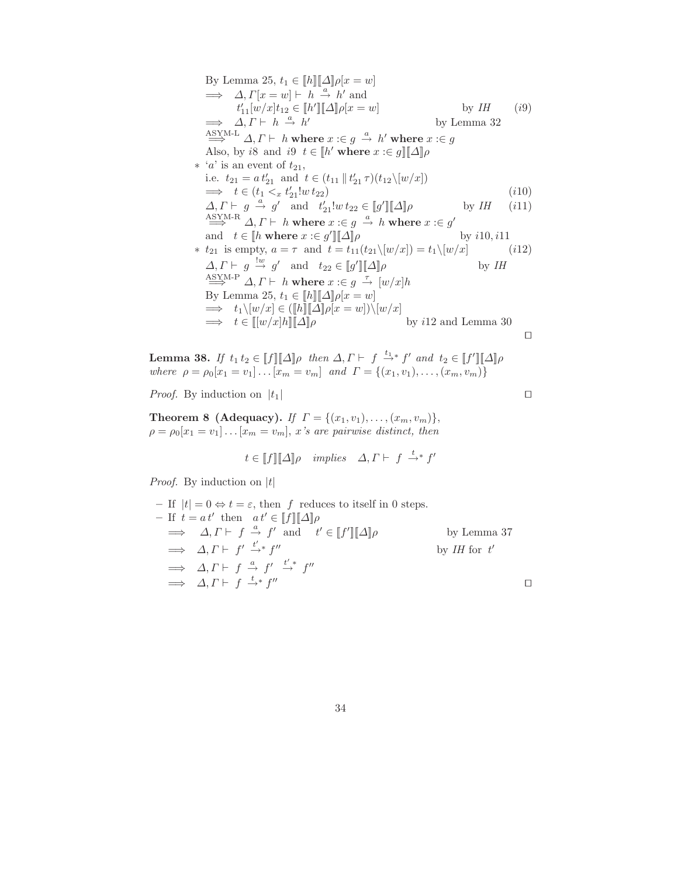By Lemma 25, 
$$
t_1 \in [h] [\![\Delta]\!] \rho[x = w]
$$
  
\n $\Rightarrow \Delta, \Gamma[x = w] \vdash h \stackrel{\alpha}{\rightarrow} h' \text{ and } t'_{11}[w/x]t_{12} \in [h'] [\![\Delta]\!] \rho[x = w]$  by *IH* (i9)  
\n $\Rightarrow \Delta, \Gamma \vdash h \stackrel{\alpha}{\rightarrow} h'$  by Lemma 32  
\n $\xrightarrow{asyM-L} \Delta, \Gamma \vdash h \text{ where } x : \in g \stackrel{\alpha}{\rightarrow} h' \text{ where } x : \in g$   
\nAlso, by *i8* and *i9*  $t \in [h' \text{ where } x : \in g] [\![\Delta]\!] \rho$   
\n $\ast$  'a' is an event of  $t_{21}$ ,  
\ni.e.  $t_{21} = a t'_{21}$  and  $t \in (t_{11} || t'_{21} \tau)(t_{12} \setminus [w/x])$   
\n $\Rightarrow t \in (t_1 < x t'_{21}! w t_{22})$  (i10)  
\n $\Delta, \Gamma \vdash g \stackrel{\alpha}{\rightarrow} g'$  and  $t'_{21}! w t_{22} \in [g'] [\![\Delta]\!] \rho$  by *IH* (i11)  
\n $\xrightarrow{asyM-R} \Delta, \Gamma \vdash h \text{ where } x : \in g \stackrel{\alpha}{\rightarrow} h \text{ where } x : \in g'$   
\nand  $t \in [h \text{ where } x : \in g' ] [\![\Delta]\!] \rho$  by *i10*, *i11*  
\n $\ast t_{21}$  is empty,  $a = \tau$  and  $t = t_{11}(t_{21} \setminus [w/x]) = t_1 \setminus [w/x]$  (i12)  
\n $\Delta, \Gamma \vdash g \stackrel{\text{law}}{\rightarrow} g'$  and  $t_{22} \in [g'] [\![\Delta]\!] \rho$  by *IH*  
\nBy Lemma 25,  $t_1 \in [h] [\![\Delta]\!] \rho[x = w]$   
\n $\Rightarrow t_1 \setminus [w/x] \in ([\![h] [\![\Delta]\!] \rho[x = w]) \setminus [w/x]$   
\n

**Lemma 38.** If  $t_1 t_2 \in [[f]][[\Delta]]\rho$  then  $\Delta, \Gamma \vdash f \stackrel{t_1}{\rightarrow} f'$  and  $t_2 \in [[f']][[\Delta]]\rho$ where  $\rho = \rho_0[x_1 = v_1] \dots [x_m = v_m]$  and  $\Gamma = \{(x_1, v_1), \dots, (x_m, v_m)\}\$ 

*Proof.* By induction on 
$$
|t_1|
$$

**Theorem 8 (Adequacy).** If  $\Gamma = \{(x_1, v_1), \ldots, (x_m, v_m)\},\$  $\rho = \rho_0[x_1 = v_1] \dots [x_m = v_m],$  x's are pairwise distinct, then

$$
t \in \llbracket f \rrbracket \llbracket \varDelta \rrbracket \rho \quad \textit{implies} \quad \varDelta, \varGamma \vdash \ f \stackrel{t}{\rightarrow^*} f'
$$

*Proof.* By induction on  $|t|$ 

\n- \n
$$
- \text{ If } |t| = 0 \Leftrightarrow t = \varepsilon, \text{ then } f \text{ reduces to itself in 0 steps.}
$$
\n
\n- \n
$$
- \text{ If } t = a t' \text{ then } a t' \in [f][\![\Delta]\!] \rho
$$
\n
$$
\implies \Delta, \Gamma \vdash f \stackrel{a}{\rightarrow} f' \text{ and } t' \in [f'][\![\Delta]\!] \rho
$$
\n
$$
\implies \Delta, \Gamma \vdash f' \stackrel{t'}{\rightarrow} f''
$$
\n
$$
\implies \Delta, \Gamma \vdash f \stackrel{a}{\rightarrow} f' \stackrel{t'}{\rightarrow} f''
$$
\n
$$
\implies \Delta, \Gamma \vdash f \stackrel{t}{\rightarrow} f''
$$
\n
\n
\n□

\n□

$$
\overline{}
$$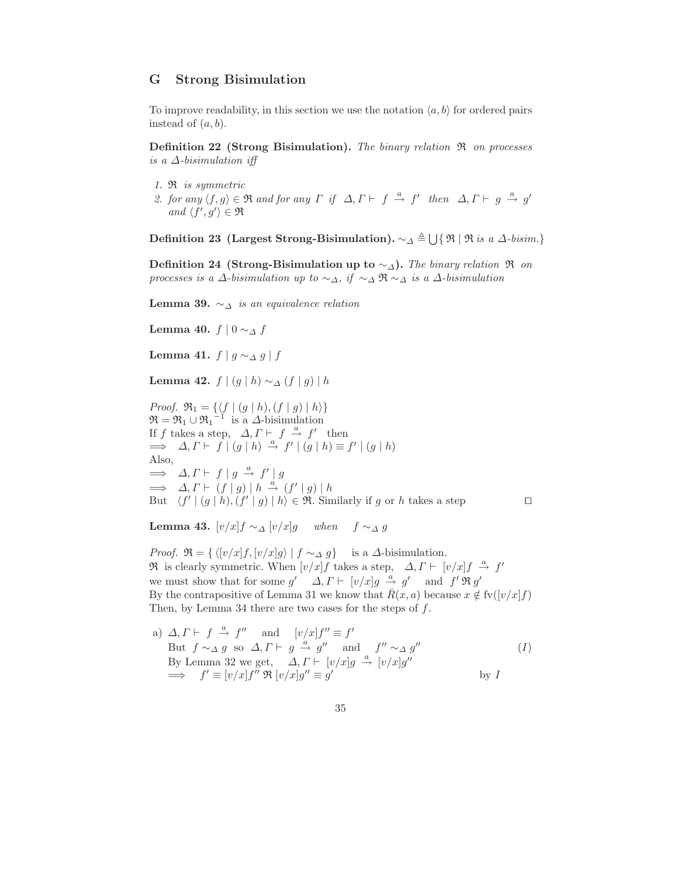# G Strong Bisimulation

To improve readability, in this section we use the notation  $\langle a, b \rangle$  for ordered pairs instead of  $(a, b)$ .

Definition 22 (Strong Bisimulation). The binary relation  $\Re$  on processes is a  $\Delta$ -bisimulation iff

- 1. R is symmetric
- 2. for any  $\langle f, g \rangle \in \Re$  and for any  $\Gamma$  if  $\Delta, \Gamma \vdash f \stackrel{a}{\rightarrow} f'$  then  $\Delta, \Gamma \vdash g \stackrel{a}{\rightarrow} g'$ and  $\langle f', g' \rangle \in \Re$

Definition 23 (Largest Strong-Bisimulation).  $\sim_{\Delta} \triangleq \bigcup \{ \Re \mid \Re \ is \ a \ \varDelta\text{-}bisim. \}$ 

Definition 24 (Strong-Bisimulation up to  $\sim_{\Delta}$ ). The binary relation  $\Re$  on processes is a  $\Delta$ -bisimulation up to  $\sim_{\Delta}$ , if  $\sim_{\Delta} \Re \sim_{\Delta}$  is a  $\Delta$ -bisimulation

Lemma 39.  $\sim_{\Delta}$  is an equivalence relation

Lemma 40.  $f | 0 \sim_\Delta f$ 

Lemma 41.  $f | g \sim_A g | f$ 

Lemma 42.  $f | (g | h) \sim_A (f | g) | h$ 

*Proof.*  $\Re_1 = \{ \langle f | (g | h), (f | g) | h \rangle \}$  $\mathfrak{R} = \mathfrak{R}_1 \cup \mathfrak{R}_1^{-1}$  is a  $\Delta$ -bisimulation If f takes a step,  $\Delta, \Gamma \vdash f \stackrel{a}{\rightarrow} f'$  then  $\Rightarrow \Delta, \Gamma \vdash f \mid (g \mid h) \stackrel{a}{\rightarrow} f' \mid (g \mid h) \equiv f' \mid (g \mid h)$ Also,  $\implies$   $\Delta, \Gamma \vdash f \mid g \stackrel{a}{\rightarrow} f' \mid g$  $\implies \Delta, \Gamma \vdash (f \mid g) \mid h \stackrel{a}{\rightarrow} (f' \mid g) \mid h$ But  $\langle f' | (g | h), (f' | g) | h \rangle \in \mathfrak{R}$ . Similarly if g or h takes a step □

Lemma 43.  $[v/x]f \sim_A [v/x]g$  when  $f \sim_A g$ 

*Proof.*  $\mathfrak{R} = \{ \langle [v/x]f, [v/x]g \rangle | f \sim_{\Delta} g \}$  is a  $\Delta$ -bisimulation. **R** is clearly symmetric. When  $[v/x]f$  takes a step,  $\Delta, \Gamma \vdash [v/x]f \stackrel{a}{\rightarrow} f'$ we must show that for some  $g'$   $\Delta, \Gamma \vdash [v/x]g \stackrel{a}{\rightarrow} g'$  and  $f' \mathfrak{R} g'$ By the contrapositive of Lemma 31 we know that  $\bar{R}(x, a)$  because  $x \notin \text{fv}([v/x]f)$ Then, by Lemma 34 there are two cases for the steps of  $f$ .

a) 
$$
\Delta, \Gamma \vdash f \xrightarrow{a} f''
$$
 and  $[v/x]f'' \equiv f'$   
But  $f \sim_{\Delta} g$  so  $\Delta, \Gamma \vdash g \xrightarrow{\alpha} g''$  and  $f'' \sim_{\Delta} g''$   
By Lemma 32 we get,  $\Delta, \Gamma \vdash [v/x]g \xrightarrow{a} [v/x]g''$   
 $\implies f' \equiv [v/x]f'' \mathfrak{R} [v/x]g'' \equiv g'$  by I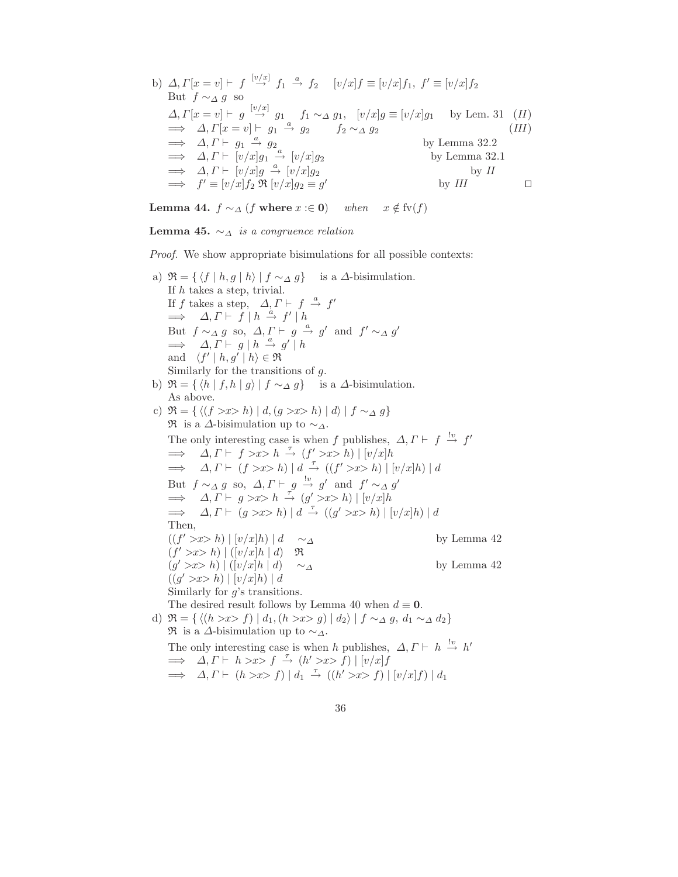b) 
$$
\Delta, \Gamma[x = v] \vdash f \stackrel{[v/x]}{\rightarrow} f_1 \stackrel{a}{\rightarrow} f_2 \quad [v/x]f \equiv [v/x]f_1, f' \equiv [v/x]f_2
$$
  
\nBut  $f \sim_{\Delta} g$  so  
\n $\Delta, \Gamma[x = v] \vdash g \stackrel{[v/x]}{\rightarrow} g_1 \quad f_1 \sim_{\Delta} g_1, \quad [v/x]g \equiv [v/x]g_1 \quad \text{by Lem. 31} \quad (II)$   
\n $\implies \Delta, \Gamma[x = v] \vdash g_1 \stackrel{a}{\rightarrow} g_2 \quad f_2 \sim_{\Delta} g_2$  (III)  
\n $\implies \Delta, \Gamma \vdash g_1 \stackrel{a}{\rightarrow} g_2 \quad \text{by Lemma 32.2}$   
\n $\implies \Delta, \Gamma \vdash [v/x]g_1 \stackrel{a}{\rightarrow} [v/x]g_2 \quad \text{by Lemma 32.1}$   
\n $\implies \Delta, \Gamma \vdash [v/x]g \stackrel{a}{\rightarrow} [v/x]g_2 \quad \text{by II}$ 

Lemma 44.  $f \sim_{\Delta} (f \text{ where } x := 0)$  when  $x \notin \text{fv}(f)$ 

Lemma 45.  $\sim_{\Delta}$  is a congruence relation

Proof. We show appropriate bisimulations for all possible contexts:

a) 
$$
\mathfrak{R} = \{ \langle f | h, g | h \rangle | f \sim_{\Delta} g \}
$$
 is a  $\Delta$ -bisimulation.  
\nIf h takes a step, trivial.  
\nIf f takes a step,  $\Delta, \Gamma \vdash f \xrightarrow{\alpha} f'$   
\n $\Rightarrow \Delta, \Gamma \vdash f | h \xrightarrow{\alpha} f' | h$   
\nBut  $f \sim_{\Delta} g$  so,  $\Delta, \Gamma \vdash g \xrightarrow{a} g'$  and  $f' \sim_{\Delta} g'$   
\n $\Rightarrow \Delta, \Gamma \vdash g | h \xrightarrow{\alpha} g' | h$   
\nand  $\langle f' | h, g' | h \rangle \in \mathfrak{R}$   
\nSimilarly for the transitions of g.  
\nb)  $\mathfrak{R} = \{ \langle h | f, h | g \rangle | f \sim_{\Delta} g \}$  is a  $\Delta$ -bisimulation.  
\nAs above.  
\nc)  $\mathfrak{R} = \{ \langle f | x \rangle \Rightarrow h | d, (g \gg x > h) | d \rangle | f \sim_{\Delta} g \}$   
\n $\mathfrak{R} = \{ \langle f | x \rangle \Rightarrow h | d, (g \gg x > h) | d \rangle | f \sim_{\Delta} g \}$   
\n $\Rightarrow \Delta, \Gamma \vdash f \gg x > h \xrightarrow{\tau} (f' \gg x > h) | [v/x]h$   
\n $\Rightarrow \Delta, \Gamma \vdash (f \gg x > h) | d \xrightarrow{\tau} (f' \gg x > h) | [v/x]h | d$   
\nBut  $f \sim_{\Delta} g$  so,  $\Delta, \Gamma \vdash g \xrightarrow{h} g'$  and  $f' \sim_{\Delta} g'$   
\n $\Rightarrow \Delta, \Gamma \vdash g \gg x > h \xrightarrow{\tau} (g' \gg x > h) | [v/x]h$   
\nThen,  
\n $((f' \gg x > h) | [v/x]h | d \rightarrow \alpha$   
\n $((f' \gg x > h) | [v/x]h | d) \rightarrow \alpha$   
\nby Lemma 42  
\n $(f' \gg x > h) | [v/x]h | d) \rightarrow \alpha$   
\nby Lemma 42  
\n $(g' \gg x > h) | [v/x]h | d$ 

 $\implies \Delta, \Gamma \vdash (h \gg x) \mid d_1 \stackrel{\tau}{\rightarrow} ((h' \gg x) f) \mid [v/x] f) \mid d_1$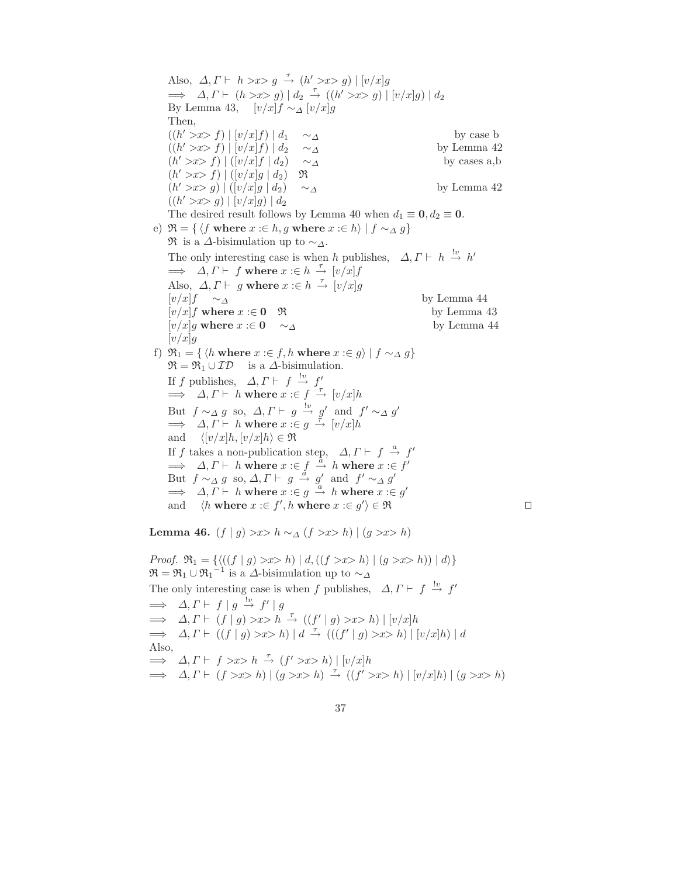Also,  $\Delta, \Gamma \vdash h \gg x \gg g \stackrel{\tau}{\rightarrow} (h' \gg x \gg g) | [v/x]g$  $\implies \Delta, \Gamma \vdash (h \gg x \gg g) | d_2 \stackrel{\tau}{\rightarrow} ((h' \gg x \gg g) | [v/x]g) | d_2$ By Lemma 43,  $[v/x]f \sim_\Delta [v/x]g$ Then,  $((h' > x > f) | [v/x]f) | d_1 \sim_\Delta$  by case b  $((h' > x > f) | [v/x]f) | d_2 \sim_{\Delta}$  by Lemma 42  $(h' \geq x > f) \mid ([v/x]f \mid d_2) \sim \Delta$  by cases a,b  $(h' > x > f) | ([v/x]g | d_2)$  R  $(h' \geq x \geq g) \mid ([v/x]g \mid d_2) \sim \Delta$  by Lemma 42  $((h' > x > g) | [v/x]g) | d_2$ The desired result follows by Lemma 40 when  $d_1 \equiv \mathbf{0}, d_2 \equiv \mathbf{0}$ . e)  $\mathfrak{R} = \{ \langle f \text{ where } x : \in h, g \text{ where } x : \in h \rangle \mid f \sim_{\Delta} g \}$  $\Re$  is a  $\Delta$ -bisimulation up to  $\sim_{\Delta}$ . The only interesting case is when h publishes,  $\Delta, \Gamma \vdash h \stackrel{!v}{\rightarrow} h'$  $\implies$   $\Delta, \Gamma \vdash f$  where  $x \in h \stackrel{\tau}{\to} [v/x]f$ Also,  $\Delta, \Gamma \vdash g$  where  $x \in h \stackrel{\tau}{\to} [v/x]g$  $[v/x]f \sim_{\Delta}$  by Lemma 44  $[v/x]$ f where  $x \in \mathbf{0}$   $\mathfrak{R}$  by Lemma 43  $[v/x]g$  where  $x : \in \mathbf{0} \quad \sim_{\Delta}$  by Lemma 44  $[v/x]g$ f)  $\mathfrak{R}_1 = \{ \langle h \text{ where } x : \in f, h \text{ where } x : \in g \rangle \mid f \sim_{\Delta} g \}$  $\mathfrak{R} = \mathfrak{R}_1 \cup \mathcal{ID}$  is a  $\Delta$ -bisimulation. If f publishes,  $\Delta, \Gamma \vdash f \stackrel{!v}{\rightarrow} f'$  $\Rightarrow$   $\Delta, \Gamma \vdash h$  where  $x : \in f \stackrel{\tau}{\to} [v/x]h$ But  $f \sim_{\Delta} g$  so,  $\Delta, \Gamma \vdash g \stackrel{!v}{\rightarrow} g'$  and  $f' \sim_{\Delta} g'$  $\implies$   $\Delta, \Gamma \vdash h$  where  $x : \in g \stackrel{\tilde{\tau}}{\rightarrow} [v/x]h$ and  $\langle [v/x]h, [v/x]h \rangle \in \Re$ If f takes a non-publication step,  $\Delta, \Gamma \vdash f \stackrel{a}{\rightarrow} f'$  $\implies \Delta, \Gamma \vdash h \text{ where } x \in f \stackrel{\tilde{a}}{\rightarrow} h \text{ where } x \in f'$ But  $f \sim_{\Delta} g$  so,  $\Delta, \Gamma \vdash g \stackrel{\tilde{a}}{\rightarrow} g'$  and  $f' \sim_{\Delta} g'$  $\implies$   $\Delta, \Gamma \vdash h$  where  $x : \in g \stackrel{a}{\to} h$  where  $x : \in g'$ and  $\langle h$  where  $x : \in f', h$  where  $x : \in g' \rangle \in \Re$ 

Lemma 46. (f | g) >x> h ∼∆ (f >x> h) | (g >x> h)

*Proof.*  $\mathfrak{R}_1 = \{((f | g) > x > h) | d, ((f > x > h) | (g > x > h)) | d \}$  $\mathfrak{R} = \mathfrak{R}_1 \cup \mathfrak{R}_1^{-1}$  is a  $\Delta$ -bisimulation up to  $\sim_{\Delta}$ The only interesting case is when f publishes,  $\Delta, \Gamma \vdash f \stackrel{!v}{\rightarrow} f'$  $\implies \Delta, \Gamma \vdash f \mid g \stackrel{!v}{\rightarrow} f' \mid g$  $\implies \Delta, \Gamma \vdash (f \mid g) >x>h \stackrel{\tau}{\rightarrow} ((f' \mid g) >x>h) \mid [v/x]h$  $\implies \Delta, \Gamma \vdash ((f \mid g) > x > h) \mid d \stackrel{\tau}{\rightarrow} (((f' \mid g) > x > h) \mid [v/x]h) \mid d$ Also,  $\implies$   $\Delta, \Gamma \vdash f > x > h \stackrel{\tau}{\rightarrow} (f' > x > h) \mid [v/x]h$  $\implies \Delta, \Gamma \vdash (f \gg x > h) \mid (g \gg x > h) \stackrel{\tau}{\rightarrow} ((f' \gg x > h) \mid [v/x]h) \mid (g \gg x > h)$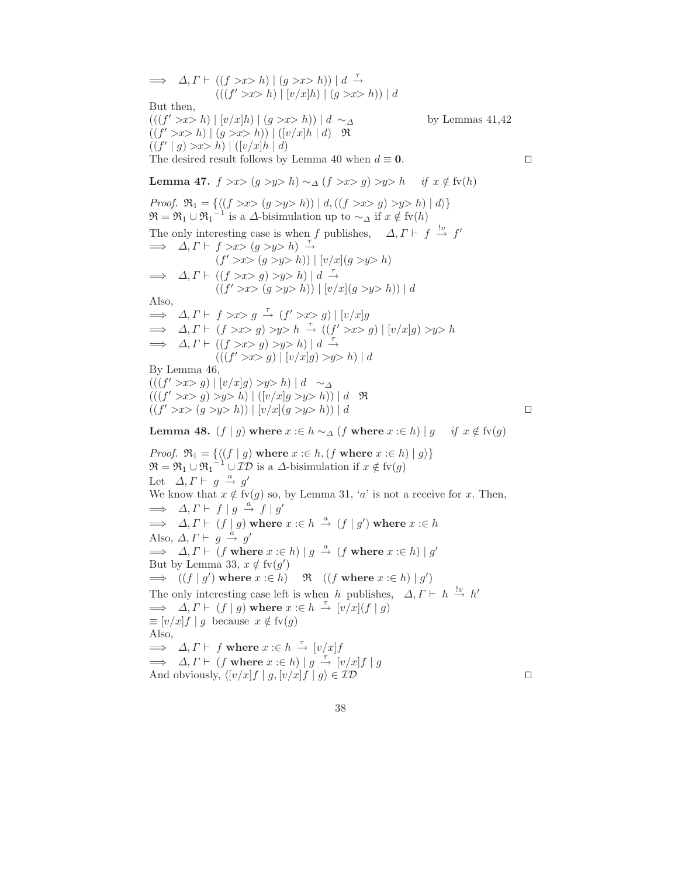$\implies \Delta, \Gamma \vdash ((f \geq x > h) \mid (g \geq x > h)) \mid d \stackrel{\tau}{\rightarrow}$  $(((f' > x > h) | [v/x]h) | (g > x > h))] d$ But then,  $(((f' > x > h) | [v/x]h) | (g > x > h))] d \sim_{\Delta}$  by Lemmas 41,42  $((f' > x > h) | (g > x > h)) | ([v/x]h | d)$  R  $((f' | g) >x > h) | ([v/x]h | d)$ The desired result follows by Lemma 40 when  $d \equiv 0$ . □ Lemma 47.  $f > x > (g > y > h) \sim_{\Delta} (f > x > g) > y > h$  if  $x \notin f_v(h)$ *Proof.*  $\mathfrak{R}_1 = \{ \langle (f > x > (g > y > h)) | d, ((f > x > g) > y > h) | d \rangle \}$  $\mathfrak{R} = \mathfrak{R}_1 \cup \mathfrak{R}_1^{-1}$  is a  $\Delta$ -bisimulation up to  $\sim_{\Delta}$  if  $x \notin \text{fv}(h)$ The only interesting case is when f publishes,  $\Delta, \Gamma \vdash f \stackrel{!v}{\rightarrow} f'$  $\implies$   $\Delta, \Gamma \vdash f >x > (g > y > h) \stackrel{\tau}{\rightarrow}$  $(f' >x>(g >y>h)) | [v/x](g >y>h)$  $\implies \Delta, \Gamma \vdash ((f \geq x > g) > y > h) \mid d \stackrel{\tau}{\rightarrow}$  $((f' > x > (g > y > h)) | [v/x](g > y > h)) | d$ Also,  $\implies$   $\Delta, \Gamma \vdash f >x> g \stackrel{\tau}{\rightarrow} (f' >x> g) \mid [v/x]g$  $\implies \Delta, \Gamma \vdash (f \geq x > g) \geq y > h \stackrel{\tau}{\to} ((f' \geq x > g) \mid [v/x]g) \geq y > h$  $\implies \Delta, \Gamma \vdash ((f \geq x > g) > y > h) \mid d \stackrel{\tau}{\rightarrow}$  $(((f' > x > g) | [v/x]g) > y > h) | d$ By Lemma 46,  $(((f' > x > g) | [v/x]g) > y > h) | d \sim_{\Delta}$  $(((f' > x > g) > y > h) \mid ((v/x)g > y > h)) \mid d \mathcal{R}$  $((f' > x > (g > y > h)) | [v/x](g > y > h)) | d ∎$ Lemma 48.  $(f | g)$  where  $x : \in h \sim_\Delta (f$  where  $x : \in h) | g \text{ if } x \notin f \circ (g)$ *Proof.*  $\mathfrak{R}_1 = \{ \langle (f | g) \text{ where } x : \in h, (f \text{ where } x : \in h) | g \rangle \}$  $\mathfrak{R} = \mathfrak{R}_1 \cup \mathfrak{R}_1^{-1} \cup \mathcal{ID}$  is a  $\Delta$ -bisimulation if  $x \notin \mathrm{fv}(g)$ Let  $\Delta, \Gamma \vdash g \stackrel{a}{\rightarrow} g'$ We know that  $x \notin f(v(g)$  so, by Lemma 31, 'a' is not a receive for x. Then,  $\implies \Delta, \Gamma \vdash f \mid g \stackrel{a}{\rightarrow} f \mid g'$  $\implies \Delta, \Gamma \vdash (f \mid g)$  where  $x \in h \stackrel{a}{\to} (f \mid g')$  where  $x \in h$ Also,  $\Delta, \Gamma \vdash g \stackrel{a}{\rightarrow} g'$  $\implies$   $\Delta, \Gamma \vdash (f \text{ where } x : \in h) \mid g \stackrel{a}{\rightarrow} (f \text{ where } x : \in h) \mid g'$ But by Lemma 33,  $x \notin \text{fv}(g')$  $\implies ((f | g') \text{ where } x : \in h) \quad \Re \quad ((f \text{ where } x : \in h) | g')$ The only interesting case left is when h publishes,  $\Delta, \Gamma \vdash h \stackrel{!v}{\rightarrow} h'$  $\implies$   $\Delta, \Gamma \vdash (f \mid g)$  where  $x \in h \stackrel{\tau}{\to} [v/x](f \mid g)$  $\equiv [v/x]f | g$  because  $x \notin \text{fv}(g)$ Also,  $\implies$   $\Delta, \Gamma \vdash f$  where  $x \in h \stackrel{\tau}{\to} [v/x]f$  $\implies \Delta, \Gamma \vdash (f \text{ where } x : \in h) \mid g \stackrel{\tau}{\rightarrow} [v/x] f \mid g$ And obviously,  $\langle [v/x]f | g, [v/x]f | g \rangle \in \mathcal{ID}$  □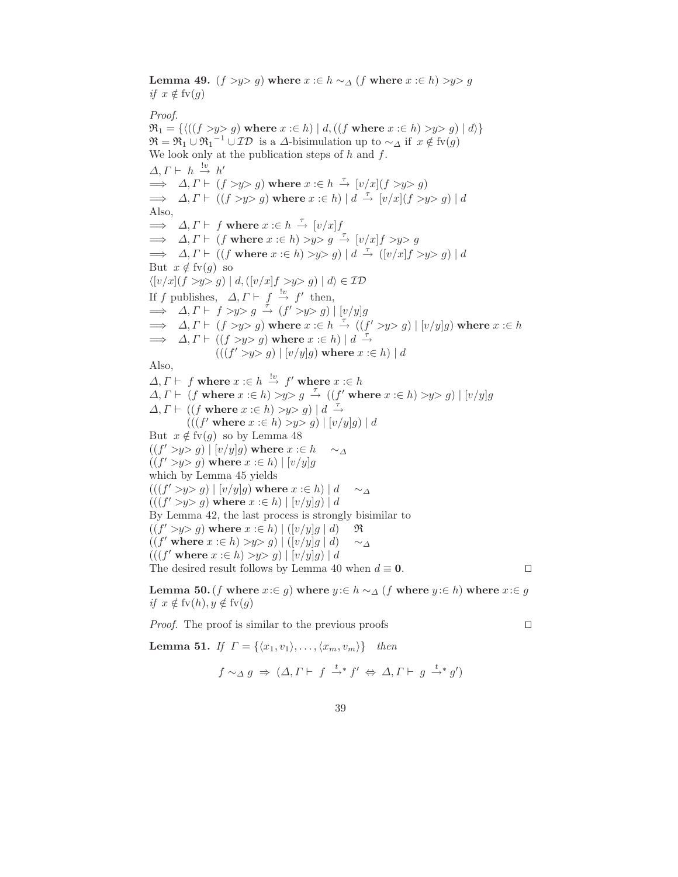Lemma 49.  $(f \ge y \ge g)$  where  $x : \in h \sim_\Delta (f$  where  $x : \in h) \ge y \ge g$ if  $x \notin$  fv(q)

Proof.

 $\mathfrak{R}_1 = \{ \langle ((f > y > g) \text{ where } x : \in h) \mid d, ((f \text{ where } x : \in h) > y > g) \mid d \rangle \}$  $\mathfrak{R} = \mathfrak{R}_1 \cup \mathfrak{R}_1^{-1} \cup \mathcal{ID}$  is a  $\Delta$ -bisimulation up to  $\sim_{\Delta}$  if  $x \notin \mathrm{fv}(g)$ We look only at the publication steps of  $h$  and  $f$ .  $\varDelta, \Gamma \vdash h \stackrel{!v}{\rightarrow} h'$  $\Rightarrow \Delta, \Gamma \vdash (f > y > g)$  where  $x \in h \stackrel{\tau}{\to} [v/x](f > y > g)$  $\implies \Delta, \Gamma \vdash ((f \geq y \geq g) \text{ where } x \in h) \mid d \stackrel{\tau}{\rightarrow} [v/x](f \geq y \geq g) \mid d$ Also,  $\implies$   $\Delta, \Gamma \vdash f$  where  $x \in h \stackrel{\tau}{\to} [v/x]f$  $\implies \Delta, \Gamma \vdash (f \text{ where } x : \in h) >y > g \stackrel{\tau}{\to} [v/x]f >y > g$  $\implies \Delta, \Gamma \vdash ((f \text{ where } x : \in h) > y > g) \mid d \stackrel{\tau}{\to} ((v/x)f > y > g) \mid d$ But  $x \notin \mathrm{fv}(q)$  so  $\langle [v/x](f > y > g) | d, ([v/x]f > y > g) | d \rangle \in \mathcal{ID}$ If f publishes,  $\Delta, \Gamma \vdash f \stackrel{!v}{\rightarrow} f'$  then,  $\Rightarrow$   $\Delta, \Gamma \vdash f > y > g \stackrel{\tau}{\rightarrow} (f' > y > g) \mid [v/y]g$  $\implies \Delta, \Gamma \vdash (f > y > g) \text{ where } x \in h \stackrel{\tau}{\to} ((f' > y > g) \mid [v/y]g) \text{ where } x \in h$  $\implies \Delta, \Gamma \vdash ((f \geq y \geq g) \text{ where } x \in h) \mid d \stackrel{\tau}{\rightarrow}$  $(((f' > y > g) | [v/y]g)$  where  $x \in h | d$ Also,  $\varDelta,\varGamma\vdash\ f\text{ where }x:\in h\ \stackrel{!v}{\rightarrow}\ f'\text{ where }x:\in h$  $\Delta, \Gamma \vdash (f \text{ where } x := h) > y > g \stackrel{\tau}{\to} ((f' \text{ where } x := h) > y > g) \mid [v/y]g$  $\Delta, \Gamma \vdash ((f \text{ where } x : \in h) > y > g) | d \rightarrow$  $(((f' \text{ where } x : \in h) >y > g) \mid [v/y]g) \mid d$ But  $x \notin f(v(g))$  so by Lemma 48  $((f' > y > g) | [v/y]g)$  where  $x : \in h \quad \sim_{\Delta}$  $((f' > y > g)$  where  $x \in h) | [v/y]g$ which by Lemma 45 yields  $(((f' > y > g) | [v/y]g)$  where  $x \in h) | d \sim_\Delta$  $(((f' > y > g)$  where  $x \in h) | [v/y]g| | d$ By Lemma 42, the last process is strongly bisimilar to  $((f' > y > g)$  where  $x \in h) | ([v/y]g | d)$  R  $((f' \text{ where } x : \in h) >y>g) | ([v/y]g | d) \sim_{\Delta}$  $(((f' \text{ where } x : \in h) >y > g) \mid [v/y]g) \mid d$ The desired result follows by Lemma 40 when  $d \equiv 0$ . □

Lemma 50.(f where  $x: \in g$ ) where  $y: \in h \sim_{\Delta} (f$  where  $y: \in h$ ) where  $x: \in g$ if  $x \notin$  fv $(h), y \notin$  fv $(g)$ 

*Proof.* The proof is similar to the previous proofs □

**Lemma 51.** If  $\Gamma = \{ \langle x_1, v_1 \rangle, \ldots, \langle x_m, v_m \rangle \}$  then

$$
f \sim_{\Delta} g \Rightarrow (\Delta, \Gamma \vdash f \stackrel{t}{\rightarrow^*} f' \Leftrightarrow \Delta, \Gamma \vdash g \stackrel{t}{\rightarrow^*} g')
$$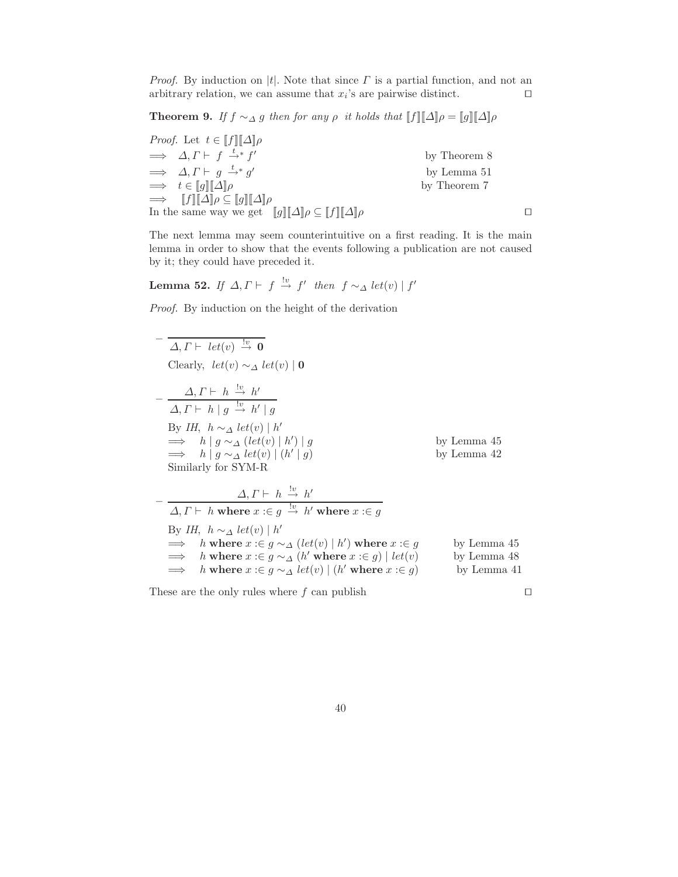*Proof.* By induction on |t|. Note that since  $\Gamma$  is a partial function, and not an arbitrary relation, we can assume that  $x_i$ 's are pairwise distinct. □

**Theorem 9.** If  $f \sim_{\Delta} g$  then for any  $\rho$  it holds that  $[[f]][\Delta]\rho = [[g]][\Delta]\rho$ 

| <i>Proof.</i> Let $t \in \llbracket f \rrbracket \llbracket \Delta \rrbracket \rho$              |              |  |
|--------------------------------------------------------------------------------------------------|--------------|--|
| $\implies \Delta, \Gamma \vdash f \stackrel{t}{\rightarrow} f'$                                  | by Theorem 8 |  |
| $\implies \Delta, \Gamma \vdash g \stackrel{t}{\rightarrow} g'$                                  | by Lemma 51  |  |
| $\implies t \in [g][\![\Delta]\!] \rho$                                                          | by Theorem 7 |  |
| $\implies$ $[f]\llbracket \Delta \rrbracket \rho \subseteq [g]\llbracket \Delta \rrbracket \rho$ |              |  |
| In the same way we get $[[g]][\Delta]\rho \subseteq [[f]][\Delta]\rho$                           |              |  |

The next lemma may seem counterintuitive on a first reading. It is the main lemma in order to show that the events following a publication are not caused by it; they could have preceded it.

Lemma 52. If  $\Delta, \Gamma \vdash f \stackrel{!v}{\rightarrow} f'$  then  $f \sim_{\Delta} let(v) | f'$ 

Proof. By induction on the height of the derivation

 $\overline{\Delta, \Gamma \vdash \text{let}(v) \stackrel{!v}{\rightarrow} \mathbf{0}}$ Clearly,  $let(v) \sim_{\Delta} let(v) | \mathbf{0}$  $\frac{\Delta}{\Delta} \frac{\Gamma \vdash h \stackrel{!v}{\rightarrow} h'}{\cdots}$  $\varDelta,\varGamma\vdash h\mid g\stackrel{!v}{\rightarrow}h'\mid g$ By IH,  $h \sim_{\Delta} let(v) | h'$  $\implies h \mid g \sim_{\Delta} (let(v) \mid h'$ by Lemma 45  $\implies h \mid g \sim_{\Delta} let(v) \mid (h'$ by Lemma  $42$ Similarly for SYM-R –  $\varDelta, \Gamma \vdash h \stackrel{!v}{\rightarrow} h'$  $\varDelta,\varGamma\vdash h\text{ where }x:\in g\stackrel{!v}{\rightarrow}h' \text{ where }x:\in g$ By IH,  $h \sim_{\Delta} let(v) | h'$  $\implies$  h where  $x \in g \sim_\Delta (let(v) | h')$  where  $x \in g$  by Lemma 45  $\implies$  h where  $x \in g \sim_\Delta (h'$  where  $x \in g) \mid let(v)$  by Lemma 48  $\implies$  h where  $x \in g \sim_{\Delta} let(v) \mid (h' \text{ where } x \in g)$  by Lemma 41

These are the only rules where f can publish  $\Box$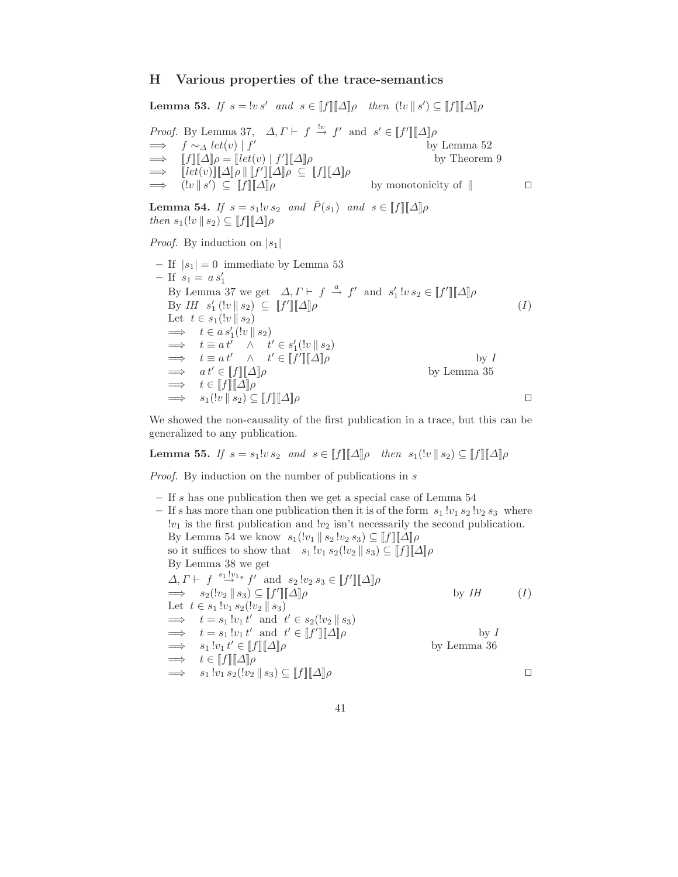## H Various properties of the trace-semantics

**Lemma 53.** If  $s = !vs'$  and  $s \in [[f]][ \triangle ] \rho$  then  $(!v || s') \subseteq [[f]][ \triangle ] \rho$ *Proof.* By Lemma 37,  $\Delta, \Gamma \vdash f \stackrel{!v}{\rightarrow} f'$  and  $s' \in [f'] [ \Delta ] \rho$  $\implies$  f ~  $\triangle$  let(v) | f' by Lemma 52  $\implies$   $[f][\Delta]\rho = [let(v) | f'$ by Theorem 9  $\implies$   $[let(v)][\Delta]\rho || [f'][\Delta]\rho \subseteq [f][\Delta]\rho$  $\implies$   $(|v||s'|$ by monotonicity of  $\parallel$  □

**Lemma 54.** If  $s = s_1! v s_2$  and  $\overline{P}(s_1)$  and  $s \in [[f]][\Delta]\rho$ then  $s_1(!v || s_2) \subseteq ||f|| ||\Delta|| \rho$ 

*Proof.* By induction on  $|s_1|$ 

\n- \n
$$
|S_1| = 0
$$
 immediate by Lemma 53\n  $-$  If  $s_1 = a s_1'$ \n  $By$  Lemma 37 we get\n  $\Delta, \Gamma \vdash f \xrightarrow{a} f'$ \n and\n  $s_1' \, \lfloor v s_2 \leq \lfloor f' \rfloor \lfloor \Delta \rfloor \rho$ \n  $By \, HH \, s_1' \, \lfloor v \rfloor \, s_2) \subseteq \lfloor f' \rfloor \lfloor \Delta \rfloor \rho$ \n Let  $t \in s_1(\lfloor v \rfloor \, s_2)$ \n  $\implies t \in a s_1'(\lfloor v \rfloor \, s_2)$ \n  $\implies t \equiv a t' \land t' \in s_1'(\lfloor v \rfloor \, s_2)$ \n  $\implies t \equiv a t' \land t' \in [f'] \lfloor \Delta \rfloor \rho$ \n by  $I$ \n by  $I$ \n  $\implies a t' \in [f] \lfloor \Delta \rfloor \rho$ \n by  $t \in [f] \lfloor \Delta \rfloor \rho$ \n by  $s_1(\lfloor v \rfloor \, s_2) \subseteq [f] \lfloor \Delta \rfloor \rho$ \n
\n

We showed the non-causality of the first publication in a trace, but this can be generalized to any publication.

Lemma 55. If  $s = s_1! v s_2$  and  $s \in [[f]][[\Delta]]\rho$  then  $s_1(!v || s_2) \subseteq [[f]][[\Delta]]\rho$ 

Proof. By induction on the number of publications in s

 $-$  If s has one publication then we get a special case of Lemma 54 – If s has more than one publication then it is of the form  $s_1 ! v_1 s_2 ! v_2 s_3$  where  $!v_1$  is the first publication and  $!v_2$  isn't necessarily the second publication. By Lemma 54 we know  $s_1(!v_1 \rvert \rvert s_2 \rvert v_2 s_3) \subseteq \llbracket f \rrbracket \llbracket \Delta \rrbracket \rho$ so it suffices to show that  $s_1 ! v_1 s_2(!v_2 || s_3) \subseteq [f] [\![\Delta]\!] \rho$ By Lemma 38 we get  $\Delta, \Gamma \vdash f \stackrel{s_1!v_1}{\rightarrow} f'$  and  $s_2!v_2 s_3 \in [f'] [ \Delta ] \rho$  $\implies s_2(!v_2 \mid s_3) \subseteq [f'] [ \Box ] \rho$  by IH (I) Let  $t \in s_1!v_1 s_2(!v_2 \, || \, s_3)$  $\implies t = s_1!v_1 t'$  and  $t' \in s_2(lv_2 \, || \, s_3)$  $\implies t = s_1!v_1 t'$  and  $t' \in [f'] [ \Delta ] \rho$  by I  $\implies s_1!v_1 t' \in \llbracket f \rrbracket [\Delta] \rho$ by Lemma 36  $\implies t \in [[f]][\Delta]\rho$  $\implies$   $s_1 ! v_1 s_2 (! v_2 \, || \, s_3) \subseteq ||f||[{\Delta}]\rho$